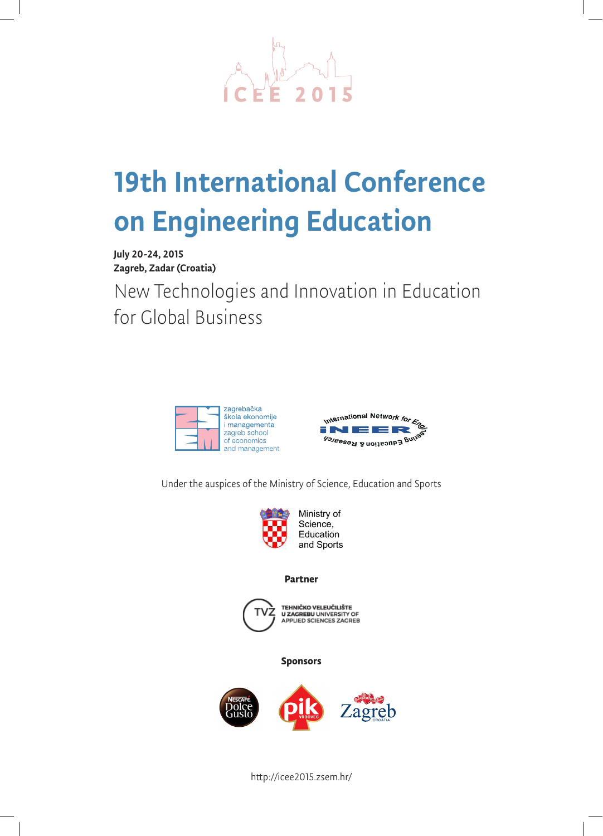

# 19th International Conference on Engineering Education

July 20-24, 2015 Zagreb, Zadar (Croatia)

New Technologies and Innovation in Education for Global Business





Under the auspices of the Ministry of Science, Education and Sports



#### **Partner**



TEHNIČKO VELEUČILIŠTE<br>U ZAGREBU UNIVERSITY OF<br>APPLIED SCIENCES ZAGREB

**Sponsors**



http://icee2015.zsem.hr/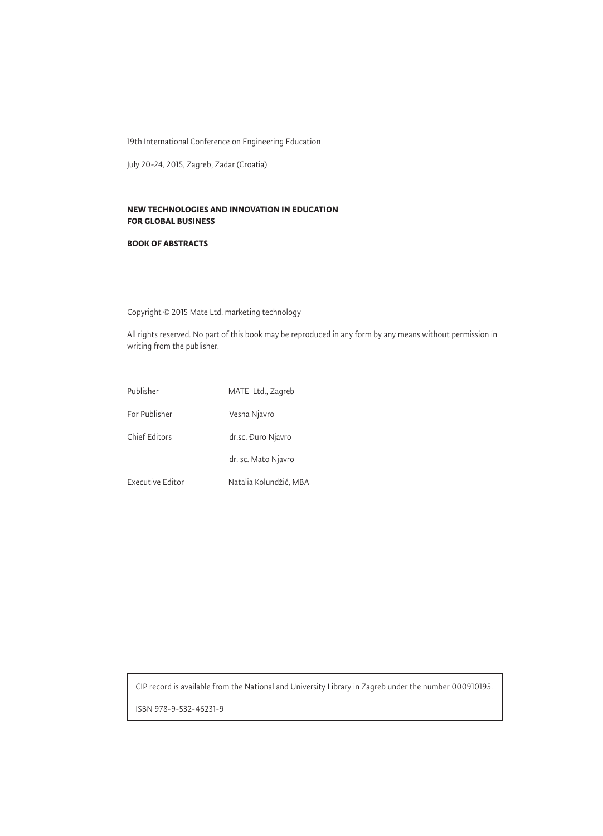19th International Conference on Engineering Education

July 20-24, 2015, Zagreb, Zadar (Croatia)

#### **NEW TECHNOLOGIES AND INNOVATION IN EDUCATION FOR GLOBAL BUSINESS**

#### **BOOK OF ABSTRACTS**

Copyright © 2015 Mate Ltd. marketing technology

All rights reserved. No part of this book may be reproduced in any form by any means without permission in writing from the publisher.

| Publisher        | MATE Ltd., Zagreb      |
|------------------|------------------------|
| For Publisher    | Vesna Njavro           |
| Chief Editors    | dr.sc. Đuro Njavro     |
|                  | dr. sc. Mato Njavro    |
| Executive Editor | Natalia Kolundžić, MBA |

CIP record is available from the National and University Library in Zagreb under the number 000910195.

ISBN 978-9-532-46231-9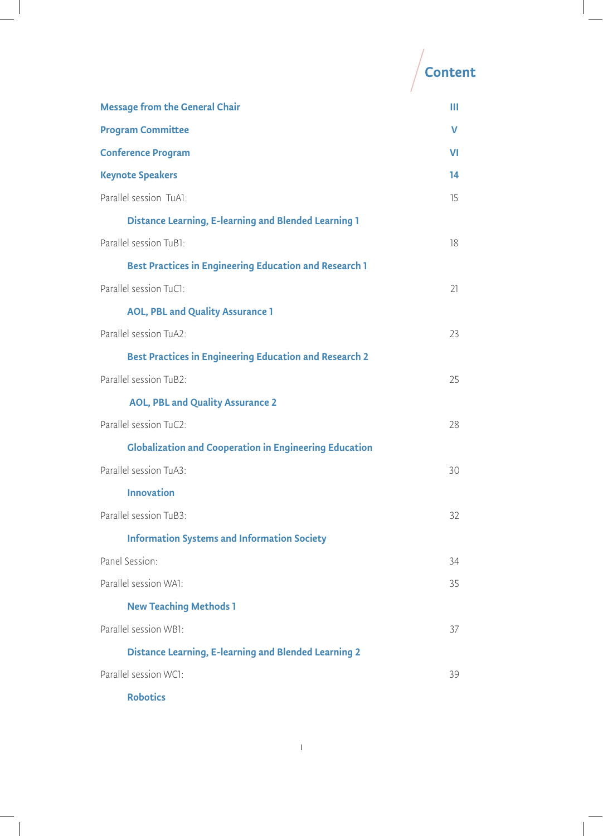|                                                               | Content |
|---------------------------------------------------------------|---------|
| <b>Message from the General Chair</b>                         | Ш       |
| <b>Program Committee</b>                                      | v       |
| <b>Conference Program</b>                                     | VI      |
| <b>Keynote Speakers</b>                                       | 14      |
| Parallel session TuA1:                                        | 15      |
| <b>Distance Learning, E-learning and Blended Learning 1</b>   |         |
| Parallel session TuB1:                                        | 18      |
| <b>Best Practices in Engineering Education and Research 1</b> |         |
| Parallel session TuC1:                                        | 21      |
| <b>AOL, PBL and Quality Assurance 1</b>                       |         |
| Parallel session TuA2:                                        | 23      |
| <b>Best Practices in Engineering Education and Research 2</b> |         |
| Parallel session TuB2:                                        | 25      |
| <b>AOL, PBL and Quality Assurance 2</b>                       |         |
| Parallel session TuC2:                                        | 28      |
| <b>Globalization and Cooperation in Engineering Education</b> |         |
| Parallel session TuA3:                                        | 30      |
| <b>Innovation</b>                                             |         |
| Parallel session TuB3:                                        | 32      |
| <b>Information Systems and Information Society</b>            |         |
| Panel Session:                                                | 34      |
| Parallel session WA1:                                         | 35      |
| <b>New Teaching Methods 1</b>                                 |         |
| Parallel session WB1:                                         | 37      |
| <b>Distance Learning, E-learning and Blended Learning 2</b>   |         |
| Parallel session WC1:                                         | 39      |
| <b>Robotics</b>                                               |         |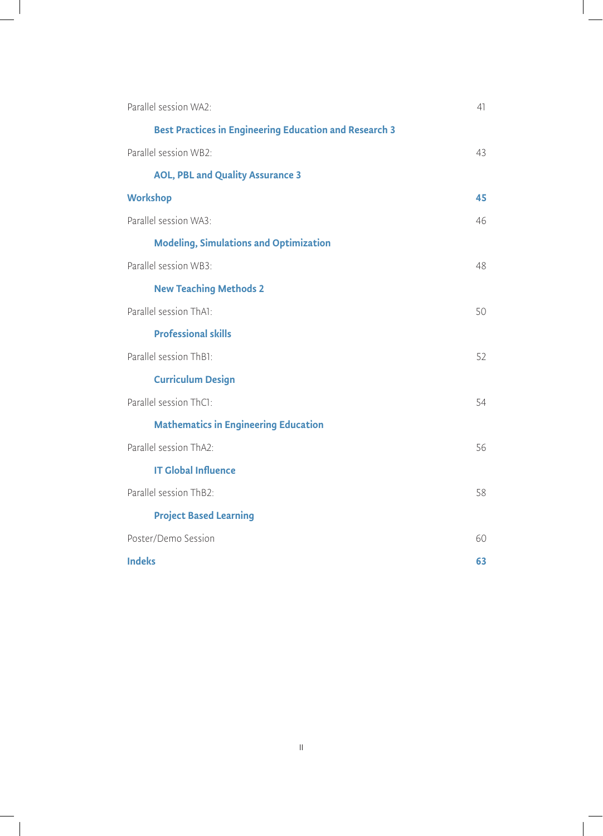| Parallel session WA2:                                         | 41 |
|---------------------------------------------------------------|----|
| <b>Best Practices in Engineering Education and Research 3</b> |    |
| Parallel session WB2:                                         | 43 |
| <b>AOL, PBL and Quality Assurance 3</b>                       |    |
| <b>Workshop</b>                                               | 45 |
| Parallel session WA3:                                         | 46 |
| <b>Modeling, Simulations and Optimization</b>                 |    |
| Parallel session WB3:                                         | 48 |
| <b>New Teaching Methods 2</b>                                 |    |
| Parallel session ThA1:                                        | 50 |
| <b>Professional skills</b>                                    |    |
| Parallel session ThB1:                                        | 52 |
| <b>Curriculum Design</b>                                      |    |
| Parallel session ThC1:                                        | 54 |
| <b>Mathematics in Engineering Education</b>                   |    |
| Parallel session ThA2:                                        | 56 |
| <b>IT Global Influence</b>                                    |    |
| Parallel session ThB2:                                        | 58 |
| <b>Project Based Learning</b>                                 |    |
| Poster/Demo Session                                           | 60 |
| <b>Indeks</b>                                                 | 63 |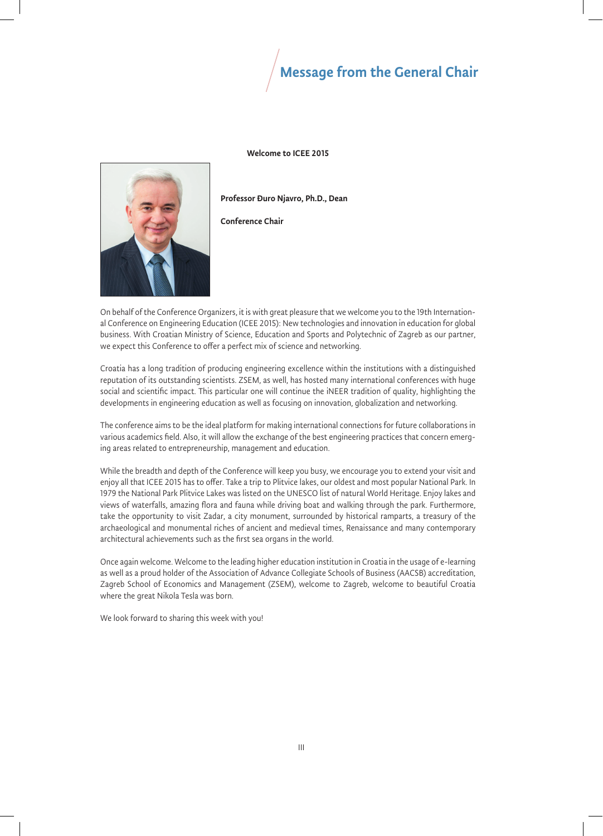# Message from the General Chair

Welcome to ICEE 2015



Professor Đuro Njavro, Ph.D., Dean

Conference Chair

On behalf of the Conference Organizers, it is with great pleasure that we welcome you to the 19th International Conference on Engineering Education (ICEE 2015): New technologies and innovation in education for global business. With Croatian Ministry of Science, Education and Sports and Polytechnic of Zagreb as our partner, we expect this Conference to offer a perfect mix of science and networking.

Croatia has a long tradition of producing engineering excellence within the institutions with a distinguished reputation of its outstanding scientists. ZSEM, as well, has hosted many international conferences with huge social and scientific impact. This particular one will continue the iNEER tradition of quality, highlighting the developments in engineering education as well as focusing on innovation, globalization and networking.

The conference aims to be the ideal platform for making international connections for future collaborations in various academics field. Also, it will allow the exchange of the best engineering practices that concern emerging areas related to entrepreneurship, management and education.

While the breadth and depth of the Conference will keep you busy, we encourage you to extend your visit and enjoy all that ICEE 2015 has to offer. Take a trip to Plitvice lakes, our oldest and most popular National Park. In 1979 the National Park Plitvice Lakes was listed on the UNESCO list of natural World Heritage. Enjoy lakes and views of waterfalls, amazing flora and fauna while driving boat and walking through the park. Furthermore, take the opportunity to visit Zadar, a city monument, surrounded by historical ramparts, a treasury of the archaeological and monumental riches of ancient and medieval times, Renaissance and many contemporary architectural achievements such as the first sea organs in the world.

Once again welcome. Welcome to the leading higher education institution in Croatia in the usage of e-learning as well as a proud holder of the Association of Advance Collegiate Schools of Business (AACSB) accreditation, Zagreb School of Economics and Management (ZSEM), welcome to Zagreb, welcome to beautiful Croatia where the great Nikola Tesla was born.

We look forward to sharing this week with you!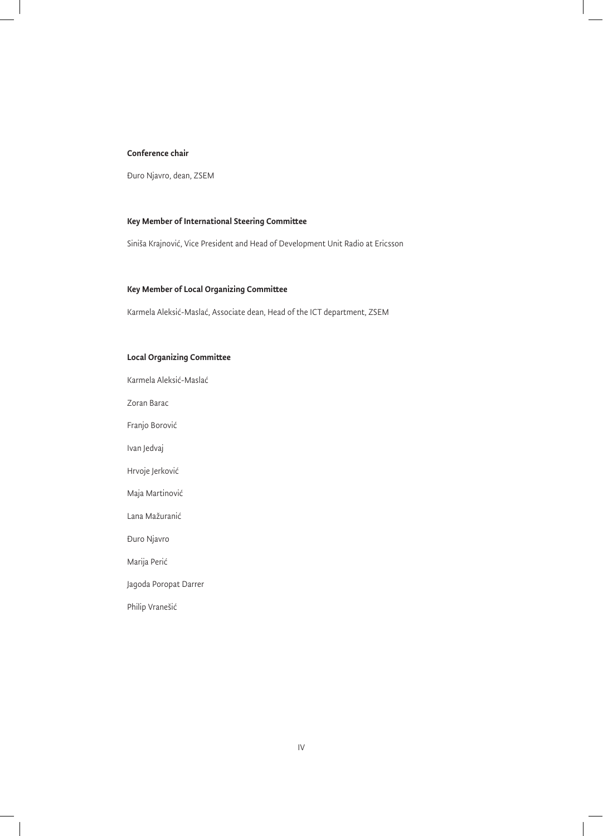#### Conference chair

Đuro Njavro, dean, ZSEM

#### Key Member of International Steering Committee

Siniša Krajnović, Vice President and Head of Development Unit Radio at Ericsson

#### Key Member of Local Organizing Committee

Karmela Aleksić-Maslać, Associate dean, Head of the ICT department, ZSEM

#### Local Organizing Committee

Karmela Aleksić-Maslać

Zoran Barac

Franjo Borović

Ivan Jedvaj

Hrvoje Jerković

Maja Martinović

Lana Mažuranić

Đuro Njavro

Marija Perić

Jagoda Poropat Darrer

Philip Vranešić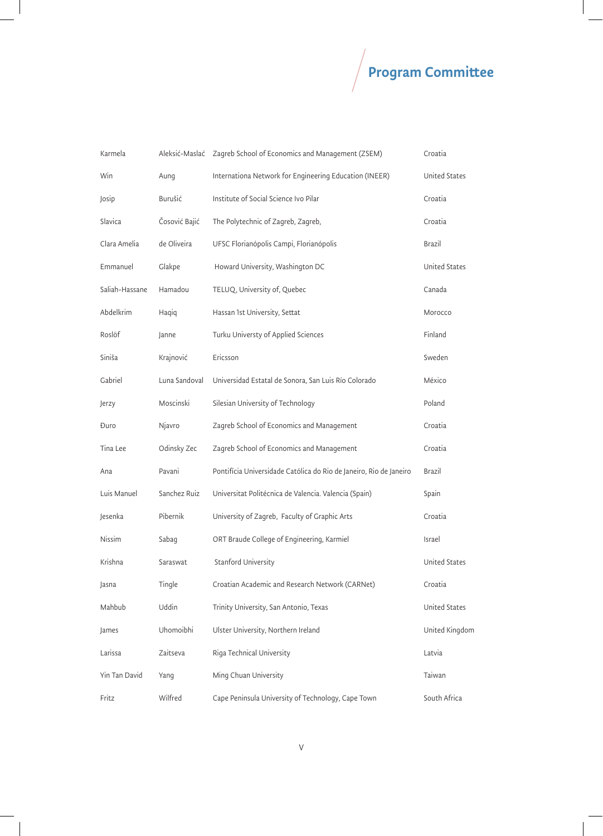# $\sqrt{\phantom{a}}$ Program Committee

| Karmela        | Aleksić-Maslać | Zagreb School of Economics and Management (ZSEM)                   | Croatia              |
|----------------|----------------|--------------------------------------------------------------------|----------------------|
| Win            | Aung           | Internationa Network for Engineering Education (INEER)             | <b>United States</b> |
| Josip          | Burušić        | Institute of Social Science Ivo Pilar                              | Croatia              |
| Slavica        | Čosović Bajić  | The Polytechnic of Zagreb, Zagreb,                                 | Croatia              |
| Clara Amelia   | de Oliveira    | UFSC Florianópolis Campi, Florianópolis                            | Brazil               |
| Emmanuel       | Glakpe         | Howard University, Washington DC                                   | <b>United States</b> |
| Saliah-Hassane | Hamadou        | TELUQ, University of, Quebec                                       | Canada               |
| Abdelkrim      | Haqiq          | Hassan 1st University, Settat                                      | Morocco              |
| Roslöf         | Janne          | Turku Universty of Applied Sciences                                | Finland              |
| Siniša         | Krajnović      | Ericsson                                                           | Sweden               |
| Gabriel        | Luna Sandoval  | Universidad Estatal de Sonora, San Luis Río Colorado               | México               |
| Jerzy          | Moscinski      | Silesian University of Technology                                  | Poland               |
| Đuro           | Njavro         | Zagreb School of Economics and Management                          | Croatia              |
| Tina Lee       | Odinsky Zec    | Zagreb School of Economics and Management                          | Croatia              |
| Ana            | Pavani         | Pontifícia Universidade Católica do Rio de Janeiro, Rio de Janeiro | Brazil               |
| Luis Manuel    | Sanchez Ruiz   | Universitat Politécnica de Valencia. Valencia (Spain)              | Spain                |
| Jesenka        | Pibernik       | University of Zagreb, Faculty of Graphic Arts                      | Croatia              |
| Nissim         | Sabag          | ORT Braude College of Engineering, Karmiel                         | Israel               |
| Krishna        | Saraswat       | Stanford University                                                | United States        |
| Jasna          | Tingle         | Croatian Academic and Research Network (CARNet)                    | Croatia              |
| Mahbub         | Uddin          | Trinity University, San Antonio, Texas                             | <b>United States</b> |
| James          | Uhomoibhi      | Ulster University, Northern Ireland                                | United Kingdom       |
| Larissa        | Zaitseva       | Riga Technical University                                          | Latvia               |
| Yin Tan David  | Yang           | Ming Chuan University                                              | Taiwan               |
| Fritz          | Wilfred        | Cape Peninsula University of Technology, Cape Town                 | South Africa         |

 $\sim$  1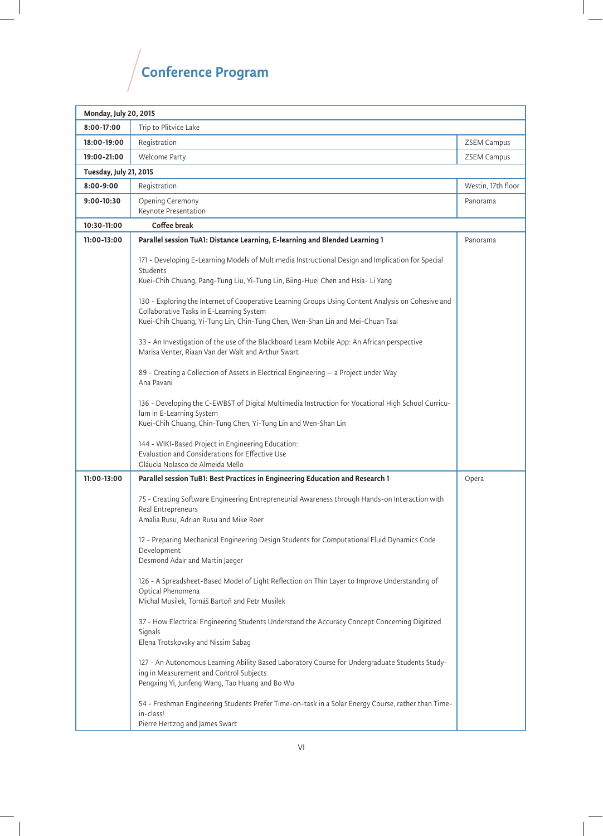# $\sqrt{\rm$ Conference Program

| <b>Monday, July 20, 2015</b>  |                                                                                                                                                                                                                                                                                                               |                    |
|-------------------------------|---------------------------------------------------------------------------------------------------------------------------------------------------------------------------------------------------------------------------------------------------------------------------------------------------------------|--------------------|
| $8:00-17:00$                  | Trip to Plitvice Lake                                                                                                                                                                                                                                                                                         |                    |
| 18:00-19:00                   | Registration                                                                                                                                                                                                                                                                                                  | <b>ZSEM Campus</b> |
| 19:00-21:00                   | Welcome Party                                                                                                                                                                                                                                                                                                 | <b>ZSEM Campus</b> |
| <b>Tuesday, July 21, 2015</b> |                                                                                                                                                                                                                                                                                                               |                    |
| $8:00 - 9:00$                 | Registration                                                                                                                                                                                                                                                                                                  | Westin, 17th floor |
| 9:00-10:30                    | Opening Ceremony<br>Keynote Presentation                                                                                                                                                                                                                                                                      | Panorama           |
| 10:30-11:00                   | Coffee break                                                                                                                                                                                                                                                                                                  |                    |
| 11:00-13:00                   | Parallel session TuA1: Distance Learning, E-learning and Blended Learning 1                                                                                                                                                                                                                                   | Panorama           |
|                               | 171 - Developing E-Learning Models of Multimedia Instructional Design and Implication for Special<br><b>Students</b><br>Kuei-Chih Chuang, Pang-Tung Liu, Yi-Tung Lin, Biing-Huei Chen and Hsia- Li Yang<br>130 - Exploring the Internet of Cooperative Learning Groups Using Content Analysis on Cohesive and |                    |
|                               | Collaborative Tasks in E-Learning System<br>Kuei-Chih Chuang, Yi-Tung Lin, Chin-Tung Chen, Wen-Shan Lin and Mei-Chuan Tsai                                                                                                                                                                                    |                    |
|                               | 33 - An Investigation of the use of the Blackboard Learn Mobile App: An African perspective<br>Marisa Venter, Riaan Van der Walt and Arthur Swart                                                                                                                                                             |                    |
|                               | 89 - Creating a Collection of Assets in Electrical Engineering - a Project under Way<br>Ana Pavani                                                                                                                                                                                                            |                    |
|                               | 136 - Developing the C-EWBST of Digital Multimedia Instruction for Vocational High School Curricu-<br>lum in E-Learning System<br>Kuei-Chih Chuang, Chin-Tung Chen, Yi-Tung Lin and Wen-Shan Lin                                                                                                              |                    |
|                               | 144 - WIKI-Based Project in Engineering Education:<br>Evaluation and Considerations for Effective Use<br>Gláucia Nolasco de Almeida Mello                                                                                                                                                                     |                    |
| 11:00-13:00                   | Parallel session TuB1: Best Practices in Engineering Education and Research 1                                                                                                                                                                                                                                 | Opera              |
|                               | 75 - Creating Software Engineering Entrepreneurial Awareness through Hands-on Interaction with<br>Real Entrepreneurs<br>Amalia Rusu, Adrian Rusu and Mike Roer                                                                                                                                                |                    |
|                               | 12 - Preparing Mechanical Engineering Design Students for Computational Fluid Dynamics Code<br>Development<br>Desmond Adair and Martin Jaeger                                                                                                                                                                 |                    |
|                               | 126 - A Spreadsheet-Based Model of Light Reflection on Thin Layer to Improve Understanding of<br>Optical Phenomena<br>Michal Musilek, Tomáš Bartoň and Petr Musilek                                                                                                                                           |                    |
|                               | 37 - How Electrical Engineering Students Understand the Accuracy Concept Concerning Digitized<br>Signals<br>Elena Trotskovsky and Nissim Sabag                                                                                                                                                                |                    |
|                               | 127 - An Autonomous Learning Ability Based Laboratory Course for Undergraduate Students Study-<br>ing in Measurement and Control Subjects<br>Pengxing Yi, Junfeng Wang, Tao Huang and Bo Wu                                                                                                                   |                    |
|                               | 54 - Freshman Engineering Students Prefer Time-on-task in a Solar Energy Course, rather than Time-<br>in-class!<br>Pierre Hertzog and James Swart                                                                                                                                                             |                    |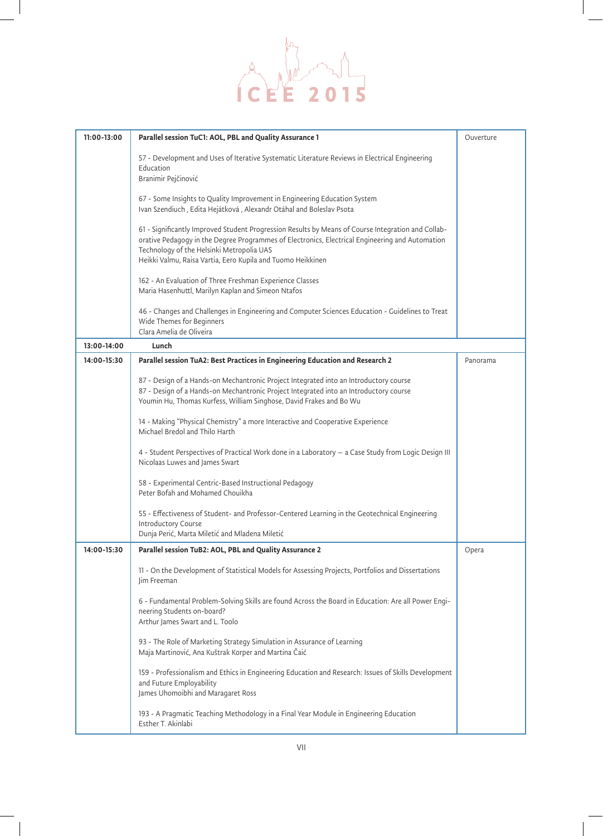

| 11:00-13:00 | Parallel session TuC1: AOL, PBL and Quality Assurance 1                                                                                                                                                                                                                                                           | Ouverture |
|-------------|-------------------------------------------------------------------------------------------------------------------------------------------------------------------------------------------------------------------------------------------------------------------------------------------------------------------|-----------|
|             | 57 - Development and Uses of Iterative Systematic Literature Reviews in Electrical Engineering<br>Education<br>Branimir Pejčinović                                                                                                                                                                                |           |
|             | 67 - Some Insights to Quality Improvement in Engineering Education System<br>Ivan Szendiuch, Edita Hejátková, Alexandr Otáhal and Boleslav Psota                                                                                                                                                                  |           |
|             | 61 - Significantly Improved Student Progression Results by Means of Course Integration and Collab-<br>orative Pedagogy in the Degree Programmes of Electronics, Electrical Engineering and Automation<br>Technology of the Helsinki Metropolia UAS<br>Heikki Valmu, Raisa Vartia, Eero Kupila and Tuomo Heikkinen |           |
|             | 162 - An Evaluation of Three Freshman Experience Classes<br>Maria Hasenhuttl, Marilyn Kaplan and Simeon Ntafos                                                                                                                                                                                                    |           |
|             | 46 - Changes and Challenges in Engineering and Computer Sciences Education - Guidelines to Treat<br>Wide Themes for Beginners<br>Clara Amelia de Oliveira                                                                                                                                                         |           |
| 13:00-14:00 | Lunch                                                                                                                                                                                                                                                                                                             |           |
| 14:00-15:30 | Parallel session TuA2: Best Practices in Engineering Education and Research 2                                                                                                                                                                                                                                     | Panorama  |
|             | 87 - Design of a Hands-on Mechantronic Project Integrated into an Introductory course<br>87 - Design of a Hands-on Mechantronic Project Integrated into an Introductory course<br>Youmin Hu, Thomas Kurfess, William Singhose, David Frakes and Bo Wu                                                             |           |
|             | 14 - Making "Physical Chemistry" a more Interactive and Cooperative Experience<br>Michael Bredol and Thilo Harth                                                                                                                                                                                                  |           |
|             | 4 - Student Perspectives of Practical Work done in a Laboratory - a Case Study from Logic Design III<br>Nicolaas Luwes and James Swart                                                                                                                                                                            |           |
|             | 58 - Experimental Centric-Based Instructional Pedagogy<br>Peter Bofah and Mohamed Chouikha                                                                                                                                                                                                                        |           |
|             | 55 - Effectiveness of Student- and Professor-Centered Learning in the Geotechnical Engineering<br>Introductory Course<br>Dunja Perić, Marta Miletić and Mladena Miletić                                                                                                                                           |           |
| 14:00-15:30 | Parallel session TuB2: AOL, PBL and Quality Assurance 2                                                                                                                                                                                                                                                           | Opera     |
|             | 11 - On the Development of Statistical Models for Assessing Projects, Portfolios and Dissertations<br>Jim Freeman                                                                                                                                                                                                 |           |
|             | 6 - Fundamental Problem-Solving Skills are found Across the Board in Education: Are all Power Engi-<br>neering Students on-board?<br>Arthur James Swart and L. Toolo                                                                                                                                              |           |
|             | 93 - The Role of Marketing Strategy Simulation in Assurance of Learning<br>Maja Martinović, Ana Kuštrak Korper and Martina Čaić                                                                                                                                                                                   |           |
|             | 159 - Professionalism and Ethics in Engineering Education and Research: Issues of Skills Development<br>and Future Employability<br>James Uhomoibhi and Maragaret Ross                                                                                                                                            |           |
|             | 193 - A Pragmatic Teaching Methodology in a Final Year Module in Engineering Education<br>Esther T. Akinlabi                                                                                                                                                                                                      |           |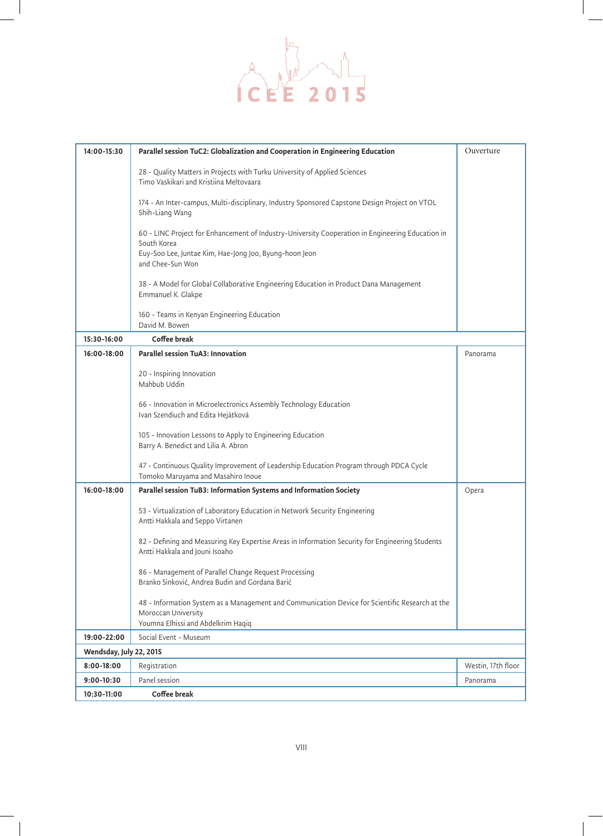

| 14:00-15:30             | Parallel session TuC2: Globalization and Cooperation in Engineering Education                                                                                | Ouverture          |
|-------------------------|--------------------------------------------------------------------------------------------------------------------------------------------------------------|--------------------|
|                         | 28 - Quality Matters in Projects with Turku University of Applied Sciences<br>Timo Vaskikari and Kristiina Meltovaara                                        |                    |
|                         | 174 - An Inter-campus, Multi-disciplinary, Industry Sponsored Capstone Design Project on VTOL<br>Shih-Liang Wang                                             |                    |
|                         | 60 - LINC Project for Enhancement of Industry-University Cooperation in Engineering Education in<br>South Korea                                              |                    |
|                         | Euy-Soo Lee, Juntae Kim, Hae-Jong Joo, Byung-hoon Jeon<br>and Chee-Sun Won                                                                                   |                    |
|                         | 38 - A Model for Global Collaborative Engineering Education in Product Dana Management<br>Emmanuel K. Glakpe                                                 |                    |
|                         | 160 - Teams in Kenyan Engineering Education<br>David M. Bowen                                                                                                |                    |
| $15:30-16:00$           | Coffee break                                                                                                                                                 |                    |
| 16:00-18:00             | Parallel session TuA3: Innovation                                                                                                                            | Panorama           |
|                         | 20 - Inspiring Innovation                                                                                                                                    |                    |
|                         | Mahbub Uddin                                                                                                                                                 |                    |
|                         |                                                                                                                                                              |                    |
|                         | 66 - Innovation in Microelectronics Assembly Technology Education<br>Ivan Szendiuch and Edita Hejátková                                                      |                    |
|                         | 105 - Innovation Lessons to Apply to Engineering Education<br>Barry A. Benedict and Lilia A. Abron                                                           |                    |
|                         | 47 - Continuous Quality Improvement of Leadership Education Program through PDCA Cycle<br>Tomoko Maruyama and Masahiro Inoue                                 |                    |
| 16:00-18:00             | Parallel session TuB3: Information Systems and Information Society                                                                                           | Opera              |
|                         | 53 - Virtualization of Laboratory Education in Network Security Engineering<br>Antti Hakkala and Seppo Virtanen                                              |                    |
|                         | 82 - Defining and Measuring Key Expertise Areas in Information Security for Engineering Students<br>Antti Hakkala and Jouni Isoaho                           |                    |
|                         | 86 - Management of Parallel Change Request Processing<br>Branko Sinković, Andrea Budin and Gordana Barić                                                     |                    |
|                         | 48 - Information System as a Management and Communication Device for Scientific Research at the<br>Moroccan University<br>Youmna Elhissi and Abdelkrim Haqiq |                    |
| 19:00-22:00             | Social Event - Museum                                                                                                                                        |                    |
| Wendsday, July 22, 2015 |                                                                                                                                                              |                    |
| 8:00-18:00              | Registration                                                                                                                                                 | Westin, 17th floor |
| 9:00-10:30              | Panel session                                                                                                                                                | Panorama           |
| 10:30-11:00             | Coffee break                                                                                                                                                 |                    |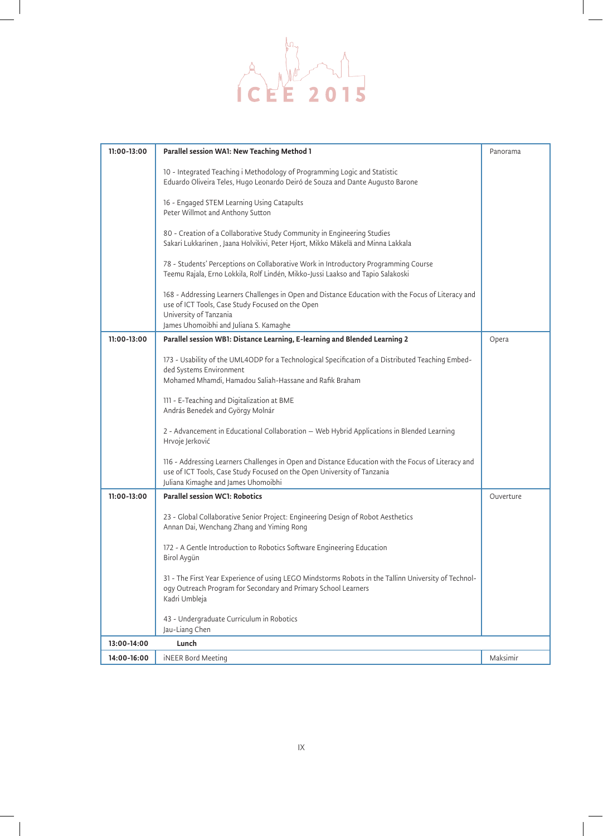

| 11:00-13:00 | Parallel session WA1: New Teaching Method 1                                                                                                                                                                          | Panorama  |
|-------------|----------------------------------------------------------------------------------------------------------------------------------------------------------------------------------------------------------------------|-----------|
|             | 10 - Integrated Teaching i Methodology of Programming Logic and Statistic<br>Eduardo Oliveira Teles, Hugo Leonardo Deiró de Souza and Dante Augusto Barone                                                           |           |
|             | 16 - Engaged STEM Learning Using Catapults<br>Peter Willmot and Anthony Sutton                                                                                                                                       |           |
|             | 80 - Creation of a Collaborative Study Community in Engineering Studies<br>Sakari Lukkarinen, Jaana Holvikivi, Peter Hjort, Mikko Mäkelä and Minna Lakkala                                                           |           |
|             | 78 - Students' Perceptions on Collaborative Work in Introductory Programming Course<br>Teemu Rajala, Erno Lokkila, Rolf Lindén, Mikko-Jussi Laakso and Tapio Salakoski                                               |           |
|             | 168 - Addressing Learners Challenges in Open and Distance Education with the Focus of Literacy and<br>use of ICT Tools, Case Study Focused on the Open<br>University of Tanzania                                     |           |
|             | James Uhomoibhi and Juliana S. Kamaghe                                                                                                                                                                               |           |
| 11:00-13:00 | Parallel session WB1: Distance Learning, E-learning and Blended Learning 2                                                                                                                                           | Opera     |
|             | 173 - Usability of the UML4ODP for a Technological Specification of a Distributed Teaching Embed-<br>ded Systems Environment<br>Mohamed Mhamdi, Hamadou Saliah-Hassane and Rafik Braham                              |           |
|             | 111 - E-Teaching and Digitalization at BME<br>András Benedek and György Molnár                                                                                                                                       |           |
|             | 2 - Advancement in Educational Collaboration - Web Hybrid Applications in Blended Learning<br>Hrvoje Jerković                                                                                                        |           |
|             | 116 - Addressing Learners Challenges in Open and Distance Education with the Focus of Literacy and<br>use of ICT Tools, Case Study Focused on the Open University of Tanzania<br>Juliana Kimaghe and James Uhomoibhi |           |
| 11:00-13:00 | Parallel session WC1: Robotics                                                                                                                                                                                       | Ouverture |
|             | 23 - Global Collaborative Senior Project: Engineering Design of Robot Aesthetics<br>Annan Dai, Wenchang Zhang and Yiming Rong                                                                                        |           |
|             | 172 - A Gentle Introduction to Robotics Software Engineering Education<br>Birol Aygün                                                                                                                                |           |
|             | 31 - The First Year Experience of using LEGO Mindstorms Robots in the Tallinn University of Technol-<br>ogy Outreach Program for Secondary and Primary School Learners<br>Kadri Umbleja                              |           |
|             | 43 - Undergraduate Curriculum in Robotics<br>Jau-Liang Chen                                                                                                                                                          |           |
| 13:00-14:00 | Lunch                                                                                                                                                                                                                |           |
| 14:00-16:00 | <b>iNEER Bord Meeting</b>                                                                                                                                                                                            | Maksimir  |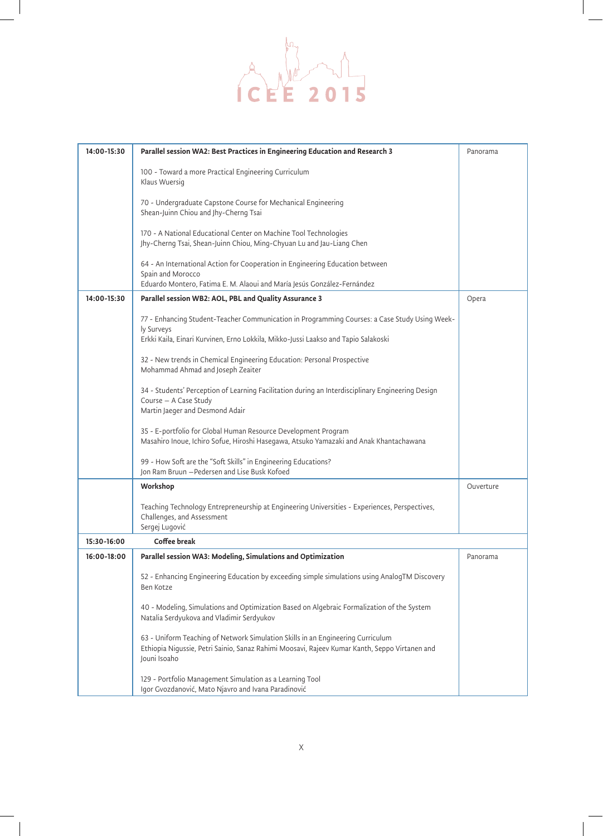

| 14:00-15:30 | Parallel session WA2: Best Practices in Engineering Education and Research 3                                                                                                                      | Panorama  |
|-------------|---------------------------------------------------------------------------------------------------------------------------------------------------------------------------------------------------|-----------|
|             | 100 - Toward a more Practical Engineering Curriculum<br>Klaus Wuersig                                                                                                                             |           |
|             | 70 - Undergraduate Capstone Course for Mechanical Engineering<br>Shean-Juinn Chiou and Jhy-Cherng Tsai                                                                                            |           |
|             | 170 - A National Educational Center on Machine Tool Technologies<br>Jhy-Cherng Tsai, Shean-Juinn Chiou, Ming-Chyuan Lu and Jau-Liang Chen                                                         |           |
|             | 64 - An International Action for Cooperation in Engineering Education between<br>Spain and Morocco<br>Eduardo Montero, Fatima E. M. Alaoui and María Jesús González-Fernández                     |           |
| 14:00-15:30 | Parallel session WB2: AOL, PBL and Quality Assurance 3                                                                                                                                            | Opera     |
|             | 77 - Enhancing Student-Teacher Communication in Programming Courses: a Case Study Using Week-<br>ly Surveys<br>Erkki Kaila, Einari Kurvinen, Erno Lokkila, Mikko-Jussi Laakso and Tapio Salakoski |           |
|             | 32 - New trends in Chemical Engineering Education: Personal Prospective<br>Mohammad Ahmad and Joseph Zeaiter                                                                                      |           |
|             | 34 - Students' Perception of Learning Facilitation during an Interdisciplinary Engineering Design<br>Course - A Case Study<br>Martin Jaeger and Desmond Adair                                     |           |
|             | 35 - E-portfolio for Global Human Resource Development Program<br>Masahiro Inoue, Ichiro Sofue, Hiroshi Hasegawa, Atsuko Yamazaki and Anak Khantachawana                                          |           |
|             | 99 - How Soft are the "Soft Skills" in Engineering Educations?<br>Jon Ram Bruun - Pedersen and Lise Busk Kofoed                                                                                   |           |
|             | Workshop                                                                                                                                                                                          | Ouverture |
|             | Teaching Technology Entrepreneurship at Engineering Universities - Experiences, Perspectives,<br>Challenges, and Assessment<br>Sergej Lugović                                                     |           |
| 15:30-16:00 | Coffee break                                                                                                                                                                                      |           |
| 16:00-18:00 | Parallel session WA3: Modeling, Simulations and Optimization                                                                                                                                      | Panorama  |
|             | 52 - Enhancing Engineering Education by exceeding simple simulations using AnalogTM Discovery<br>Ben Kotze                                                                                        |           |
|             | 40 - Modeling, Simulations and Optimization Based on Algebraic Formalization of the System<br>Natalia Serdyukova and Vladimir Serdyukov                                                           |           |
|             | 63 - Uniform Teaching of Network Simulation Skills in an Engineering Curriculum<br>Ethiopia Nigussie, Petri Sainio, Sanaz Rahimi Moosavi, Rajeev Kumar Kanth, Seppo Virtanen and<br>Jouni Isoaho  |           |
|             | 129 - Portfolio Management Simulation as a Learning Tool<br>Igor Gvozdanović, Mato Njavro and Ivana Paradinović                                                                                   |           |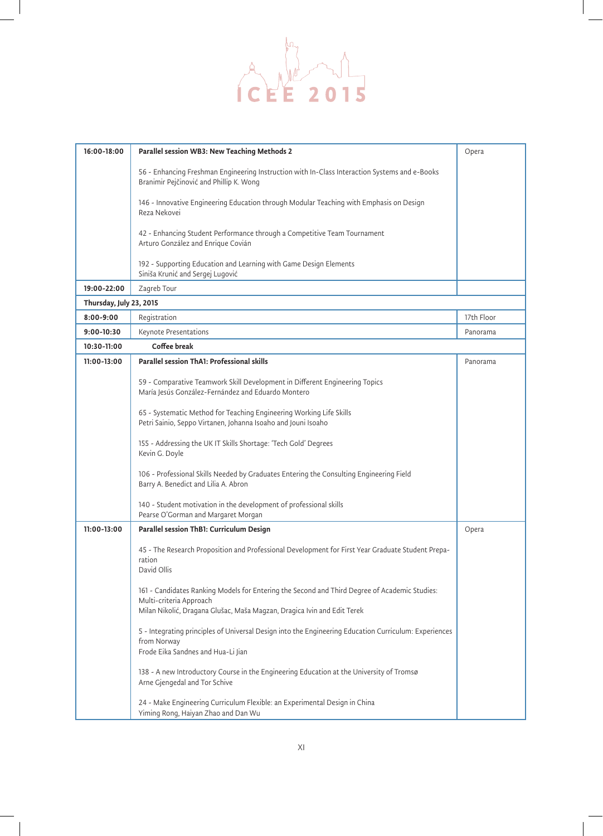

| 16:00-18:00             | Parallel session WB3: New Teaching Methods 2                                                                                                                                                        | Opera      |
|-------------------------|-----------------------------------------------------------------------------------------------------------------------------------------------------------------------------------------------------|------------|
|                         | 56 - Enhancing Freshman Engineering Instruction with In-Class Interaction Systems and e-Books<br>Branimir Pejčinović and Phillip K. Wong                                                            |            |
|                         | 146 - Innovative Engineering Education through Modular Teaching with Emphasis on Design<br>Reza Nekovei                                                                                             |            |
|                         | 42 - Enhancing Student Performance through a Competitive Team Tournament<br>Arturo González and Enrique Covián                                                                                      |            |
|                         | 192 - Supporting Education and Learning with Game Design Elements<br>Siniša Krunić and Sergej Lugović                                                                                               |            |
| 19:00-22:00             | Zagreb Tour                                                                                                                                                                                         |            |
| Thursday, July 23, 2015 |                                                                                                                                                                                                     |            |
| $8:00 - 9:00$           | Registration                                                                                                                                                                                        | 17th Floor |
| 9:00-10:30              | Keynote Presentations                                                                                                                                                                               | Panorama   |
| 10:30-11:00             | Coffee break                                                                                                                                                                                        |            |
| 11:00-13:00             | Parallel session ThA1: Professional skills                                                                                                                                                          | Panorama   |
|                         | 59 - Comparative Teamwork Skill Development in Different Engineering Topics<br>María Jesús González-Fernández and Eduardo Montero                                                                   |            |
|                         | 65 - Systematic Method for Teaching Engineering Working Life Skills<br>Petri Sainio, Seppo Virtanen, Johanna Isoaho and Jouni Isoaho                                                                |            |
|                         | 155 - Addressing the UK IT Skills Shortage: 'Tech Gold' Degrees<br>Kevin G. Doyle                                                                                                                   |            |
|                         | 106 - Professional Skills Needed by Graduates Entering the Consulting Engineering Field<br>Barry A. Benedict and Lilia A. Abron                                                                     |            |
|                         | 140 - Student motivation in the development of professional skills<br>Pearse O'Gorman and Margaret Morgan                                                                                           |            |
| 11:00-13:00             | Parallel session ThB1: Curriculum Design                                                                                                                                                            | Opera      |
|                         | 45 - The Research Proposition and Professional Development for First Year Graduate Student Prepa-<br>ration<br>David Ollis                                                                          |            |
|                         | 161 - Candidates Ranking Models for Entering the Second and Third Degree of Academic Studies:<br>Multi-criteria Approach<br>Milan Nikolić, Dragana Glušac, Maša Magzan, Dragica Ivin and Edit Terek |            |
|                         | 5 - Integrating principles of Universal Design into the Engineering Education Curriculum: Experiences<br>from Norway<br>Frode Eika Sandnes and Hua-Li Jian                                          |            |
|                         | 138 - A new Introductory Course in the Engineering Education at the University of Tromsø<br>Arne Gjengedal and Tor Schive                                                                           |            |
|                         | 24 - Make Engineering Curriculum Flexible: an Experimental Design in China<br>Yiming Rong, Haiyan Zhao and Dan Wu                                                                                   |            |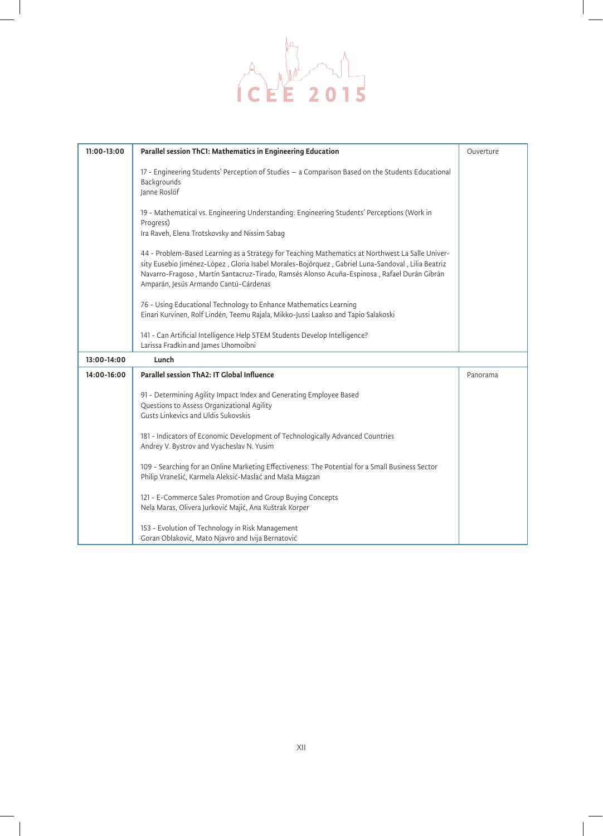

| 11:00-13:00 | Parallel session ThC1: Mathematics in Engineering Education                                                                                                                                                                                                                                                                                   | Ouverture |
|-------------|-----------------------------------------------------------------------------------------------------------------------------------------------------------------------------------------------------------------------------------------------------------------------------------------------------------------------------------------------|-----------|
|             | 17 - Engineering Students' Perception of Studies - a Comparison Based on the Students Educational<br>Backgrounds<br>Janne Roslöf                                                                                                                                                                                                              |           |
|             | 19 - Mathematical vs. Engineering Understanding: Engineering Students' Perceptions (Work in<br>Progress)<br>Ira Raveh, Elena Trotskovsky and Nissim Sabag                                                                                                                                                                                     |           |
|             | 44 - Problem-Based Learning as a Strategy for Teaching Mathematics at Northwest La Salle Univer-<br>sity Eusebio Jiménez-López, Gloria Isabel Morales-Bojórquez, Gabriel Luna-Sandoval, Lilia Beatriz<br>Navarro-Fragoso, Martín Santacruz-Tirado, Ramsés Alonso Acuña-Espinosa, Rafael Durán Gibrán<br>Amparán, Jesús Armando Cantú-Cárdenas |           |
|             | 76 - Using Educational Technology to Enhance Mathematics Learning<br>Einari Kurvinen, Rolf Lindén, Teemu Rajala, Mikko-Jussi Laakso and Tapio Salakoski                                                                                                                                                                                       |           |
|             | 141 - Can Artificial Intelligence Help STEM Students Develop Intelligence?<br>Larissa Fradkin and James Uhomoibni                                                                                                                                                                                                                             |           |
| 13:00-14:00 | Lunch                                                                                                                                                                                                                                                                                                                                         |           |
| 14:00-16:00 | Parallel session ThA2: IT Global Influence                                                                                                                                                                                                                                                                                                    | Panorama  |
|             | 91 - Determining Agility Impact Index and Generating Employee Based<br>Questions to Assess Organizational Agility<br>Gusts Linkevics and Uldis Sukovskis                                                                                                                                                                                      |           |
|             | 181 - Indicators of Economic Development of Technologically Advanced Countries<br>Andrey V. Bystrov and Vyacheslav N. Yusim                                                                                                                                                                                                                   |           |
|             | 109 - Searching for an Online Marketing Effectiveness: The Potential for a Small Business Sector<br>Philip Vranešić, Karmela Aleksić-Maslać and Maša Magzan                                                                                                                                                                                   |           |
|             | 121 - E-Commerce Sales Promotion and Group Buying Concepts<br>Nela Maras, Olivera Jurković Majić, Ana Kuštrak Korper                                                                                                                                                                                                                          |           |
|             | 153 - Evolution of Technology in Risk Management<br>Goran Oblaković, Mato Njavro and Ivija Bernatović                                                                                                                                                                                                                                         |           |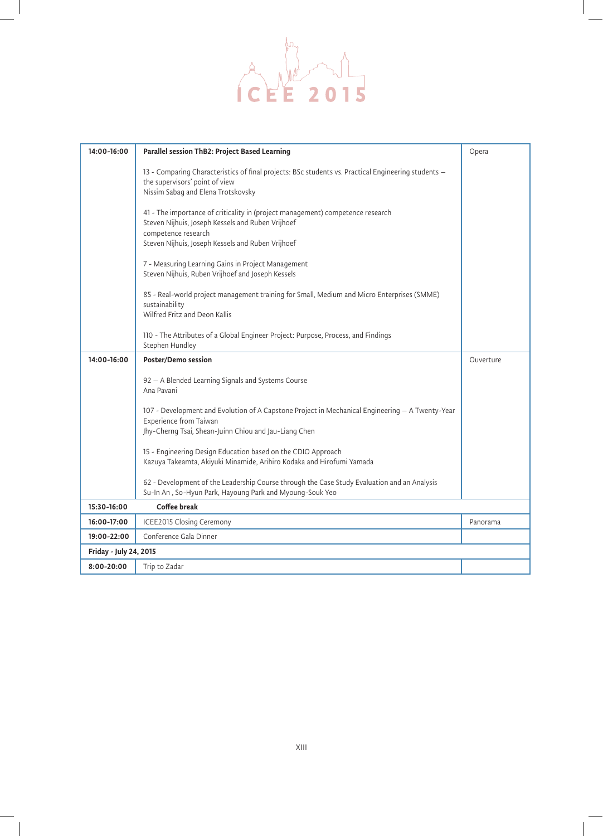

| 14:00-16:00            | Parallel session ThB2: Project Based Learning                                                                                                                                                                   | Opera     |
|------------------------|-----------------------------------------------------------------------------------------------------------------------------------------------------------------------------------------------------------------|-----------|
|                        | 13 - Comparing Characteristics of final projects: BSc students vs. Practical Engineering students -<br>the supervisors' point of view<br>Nissim Sabag and Elena Trotskovsky                                     |           |
|                        | 41 - The importance of criticality in (project management) competence research<br>Steven Nijhuis, Joseph Kessels and Ruben Vrijhoef<br>competence research<br>Steven Nijhuis, Joseph Kessels and Ruben Vrijhoef |           |
|                        | 7 - Measuring Learning Gains in Project Management<br>Steven Nijhuis, Ruben Vrijhoef and Joseph Kessels                                                                                                         |           |
|                        | 85 - Real-world project management training for Small, Medium and Micro Enterprises (SMME)<br>sustainability<br>Wilfred Fritz and Deon Kallis                                                                   |           |
|                        | 110 - The Attributes of a Global Engineer Project: Purpose, Process, and Findings<br>Stephen Hundley                                                                                                            |           |
| 14:00-16:00            | Poster/Demo session                                                                                                                                                                                             | Ouverture |
|                        | 92 - A Blended Learning Signals and Systems Course<br>Ana Pavani                                                                                                                                                |           |
|                        | 107 - Development and Evolution of A Capstone Project in Mechanical Engineering - A Twenty-Year                                                                                                                 |           |
|                        | Experience from Taiwan<br>Jhy-Cherng Tsai, Shean-Juinn Chiou and Jau-Liang Chen                                                                                                                                 |           |
|                        | 15 - Engineering Design Education based on the CDIO Approach<br>Kazuya Takeamta, Akiyuki Minamide, Arihiro Kodaka and Hirofumi Yamada                                                                           |           |
|                        | 62 - Development of the Leadership Course through the Case Study Evaluation and an Analysis<br>Su-In An, So-Hyun Park, Hayoung Park and Myoung-Souk Yeo                                                         |           |
| 15:30-16:00            | Coffee break                                                                                                                                                                                                    |           |
| 16:00-17:00            | <b>ICEE2015 Closing Ceremony</b>                                                                                                                                                                                | Panorama  |
| 19:00-22:00            | Conference Gala Dinner                                                                                                                                                                                          |           |
| Friday - July 24, 2015 |                                                                                                                                                                                                                 |           |
| 8:00-20:00             | Trip to Zadar                                                                                                                                                                                                   |           |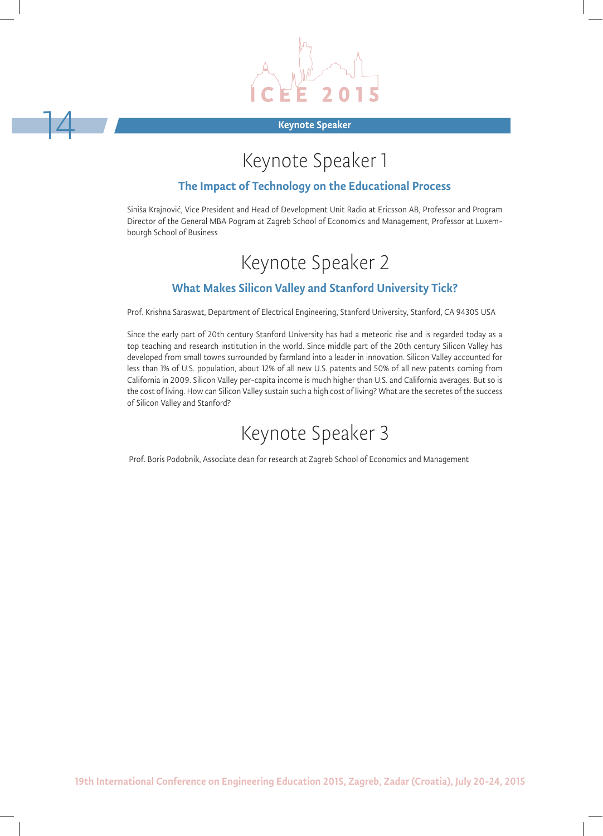

#### Keynote Speaker

14

# Keynote Speaker 1

#### The Impact of Technology on the Educational Process

Siniša Krajnović, Vice President and Head of Development Unit Radio at Ericsson AB, Professor and Program Director of the General MBA Pogram at Zagreb School of Economics and Management, Professor at Luxembourgh School of Business

# Keynote Speaker 2

### What Makes Silicon Valley and Stanford University Tick?

Prof. Krishna Saraswat, Department of Electrical Engineering, Stanford University, Stanford, CA 94305 USA

Since the early part of 20th century Stanford University has had a meteoric rise and is regarded today as a top teaching and research institution in the world. Since middle part of the 20th century Silicon Valley has developed from small towns surrounded by farmland into a leader in innovation. Silicon Valley accounted for less than 1% of U.S. population, about 12% of all new U.S. patents and 50% of all new patents coming from California in 2009. Silicon Valley per-capita income is much higher than U.S. and California averages. But so is the cost of living. How can Silicon Valley sustain such a high cost of living? What are the secretes of the success of Silicon Valley and Stanford?

## Keynote Speaker 3

Prof. Boris Podobnik, Associate dean for research at Zagreb School of Economics and Management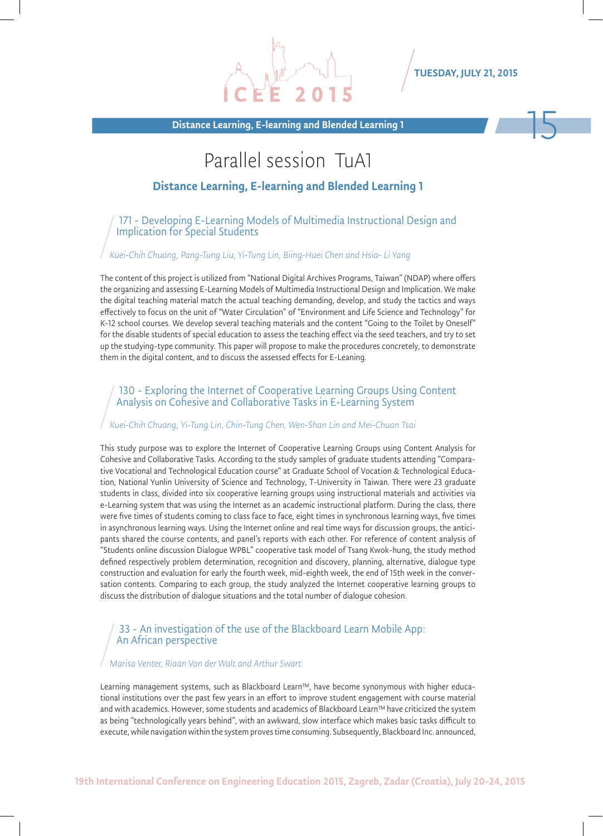Distance Learning, E-learning and Blended Learning 1

## Parallel session TuA1

#### Distance Learning, E-learning and Blended Learning 1

171 - Developing E-Learning Models of Multimedia Instructional Design and Implication for Special Students

#### *Kuei-Chih Chuang, Pang-Tung Liu, Yi-Tung Lin, Biing-Huei Chen and Hsia- Li Yang*

The content of this project is utilized from "National Digital Archives Programs, Taiwan" (NDAP) where offers the organizing and assessing E-Learning Models of Multimedia Instructional Design and Implication. We make the digital teaching material match the actual teaching demanding, develop, and study the tactics and ways effectively to focus on the unit of "Water Circulation" of "Environment and Life Science and Technology" for K-12 school courses. We develop several teaching materials and the content "Going to the Toilet by Oneself" for the disable students of special education to assess the teaching effect via the seed teachers, and try to set up the studying-type community. This paper will propose to make the procedures concretely, to demonstrate them in the digital content, and to discuss the assessed effects for E-Leaning.

#### 130 - Exploring the Internet of Cooperative Learning Groups Using Content Analysis on Cohesive and Collaborative Tasks in E-Learning System

#### *Kuei-Chih Chuang, Yi-Tung Lin, Chin-Tung Chen, Wen-Shan Lin and Mei-Chuan Tsai*

This study purpose was to explore the Internet of Cooperative Learning Groups using Content Analysis for Cohesive and Collaborative Tasks. According to the study samples of graduate students attending "Comparative Vocational and Technological Education course" at Graduate School of Vocation & Technological Education, National Yunlin University of Science and Technology, T-University in Taiwan. There were 23 graduate students in class, divided into six cooperative learning groups using instructional materials and activities via e-Learning system that was using the Internet as an academic instructional platform. During the class, there were five times of students coming to class face to face, eight times in synchronous learning ways, five times in asynchronous learning ways. Using the Internet online and real time ways for discussion groups, the anticipants shared the course contents, and panel's reports with each other. For reference of content analysis of "Students online discussion Dialogue WPBL" cooperative task model of Tsang Kwok-hung, the study method defined respectively problem determination, recognition and discovery, planning, alternative, dialogue type construction and evaluation for early the fourth week, mid-eighth week, the end of 15th week in the conversation contents. Comparing to each group, the study analyzed the Internet cooperative learning groups to discuss the distribution of dialogue situations and the total number of dialogue cohesion.

#### 33 - An investigation of the use of the Blackboard Learn Mobile App: An African perspective

#### *Marisa Venter, Riaan Van der Walt and Arthur Swart*

Learning management systems, such as Blackboard Learn™, have become synonymous with higher educational institutions over the past few years in an effort to improve student engagement with course material and with academics. However, some students and academics of Blackboard Learn™ have criticized the system as being "technologically years behind", with an awkward, slow interface which makes basic tasks difficult to execute, while navigation within the system proves time consuming. Subsequently, Blackboard Inc. announced,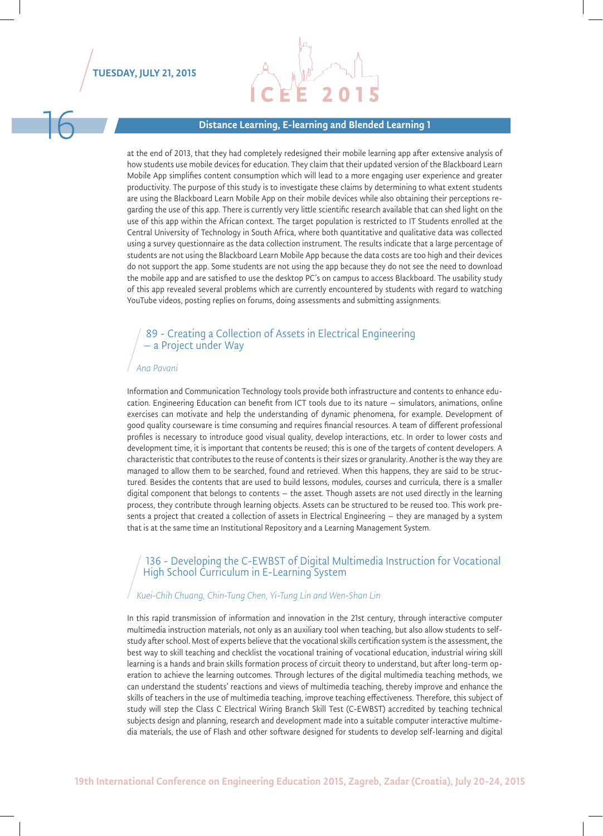

#### Distance Learning, E-learning and Blended Learning 1

at the end of 2013, that they had completely redesigned their mobile learning app after extensive analysis of how students use mobile devices for education. They claim that their updated version of the Blackboard Learn Mobile App simplifies content consumption which will lead to a more engaging user experience and greater productivity. The purpose of this study is to investigate these claims by determining to what extent students are using the Blackboard Learn Mobile App on their mobile devices while also obtaining their perceptions regarding the use of this app. There is currently very little scientific research available that can shed light on the use of this app within the African context. The target population is restricted to IT Students enrolled at the Central University of Technology in South Africa, where both quantitative and qualitative data was collected using a survey questionnaire as the data collection instrument. The results indicate that a large percentage of students are not using the Blackboard Learn Mobile App because the data costs are too high and their devices do not support the app. Some students are not using the app because they do not see the need to download the mobile app and are satisfied to use the desktop PC's on campus to access Blackboard. The usability study of this app revealed several problems which are currently encountered by students with regard to watching YouTube videos, posting replies on forums, doing assessments and submitting assignments.

#### 89 - Creating a Collection of Assets in Electrical Engineering – a Project under Way

#### *Ana Pavani*

Information and Communication Technology tools provide both infrastructure and contents to enhance education. Engineering Education can benefit from ICT tools due to its nature – simulators, animations, online exercises can motivate and help the understanding of dynamic phenomena, for example. Development of good quality courseware is time consuming and requires financial resources. A team of different professional profiles is necessary to introduce good visual quality, develop interactions, etc. In order to lower costs and development time, it is important that contents be reused; this is one of the targets of content developers. A characteristic that contributes to the reuse of contents is their sizes or granularity. Another is the way they are managed to allow them to be searched, found and retrieved. When this happens, they are said to be structured. Besides the contents that are used to build lessons, modules, courses and curricula, there is a smaller digital component that belongs to contents – the asset. Though assets are not used directly in the learning process, they contribute through learning objects. Assets can be structured to be reused too. This work presents a project that created a collection of assets in Electrical Engineering – they are managed by a system that is at the same time an Institutional Repository and a Learning Management System.

#### 136 - Developing the C-EWBST of Digital Multimedia Instruction for Vocational High School Curriculum in E-Learning System

#### *Kuei-Chih Chuang, Chin-Tung Chen, Yi-Tung Lin and Wen-Shan Lin*

In this rapid transmission of information and innovation in the 21st century, through interactive computer multimedia instruction materials, not only as an auxiliary tool when teaching, but also allow students to selfstudy after school. Most of experts believe that the vocational skills certification system is the assessment, the best way to skill teaching and checklist the vocational training of vocational education, industrial wiring skill learning is a hands and brain skills formation process of circuit theory to understand, but after long-term operation to achieve the learning outcomes. Through lectures of the digital multimedia teaching methods, we can understand the students' reactions and views of multimedia teaching, thereby improve and enhance the skills of teachers in the use of multimedia teaching, improve teaching effectiveness. Therefore, this subject of study will step the Class C Electrical Wiring Branch Skill Test (C-EWBST) accredited by teaching technical subjects design and planning, research and development made into a suitable computer interactive multimedia materials, the use of Flash and other software designed for students to develop self-learning and digital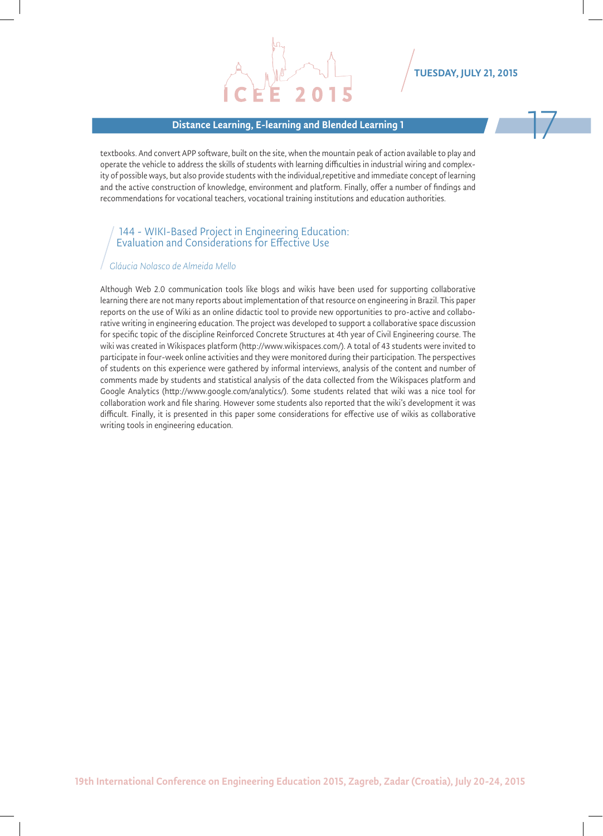#### Distance Learning, E-learning and Blended Learning 1

TUESDAY, JULY 21, 2015

textbooks. And convert APP software, built on the site, when the mountain peak of action available to play and operate the vehicle to address the skills of students with learning difficulties in industrial wiring and complexity of possible ways, but also provide students with the individual,repetitive and immediate concept of learning and the active construction of knowledge, environment and platform. Finally, offer a number of findings and recommendations for vocational teachers, vocational training institutions and education authorities.

#### 144 - WIKI-Based Project in Engineering Education: Evaluation and Considerations for Effective Use

#### *Gláucia Nolasco de Almeida Mello*

Although Web 2.0 communication tools like blogs and wikis have been used for supporting collaborative learning there are not many reports about implementation of that resource on engineering in Brazil. This paper reports on the use of Wiki as an online didactic tool to provide new opportunities to pro-active and collaborative writing in engineering education. The project was developed to support a collaborative space discussion for specific topic of the discipline Reinforced Concrete Structures at 4th year of Civil Engineering course. The wiki was created in Wikispaces platform (http://www.wikispaces.com/). A total of 43 students were invited to participate in four-week online activities and they were monitored during their participation. The perspectives of students on this experience were gathered by informal interviews, analysis of the content and number of comments made by students and statistical analysis of the data collected from the Wikispaces platform and Google Analytics (http://www.google.com/analytics/). Some students related that wiki was a nice tool for collaboration work and file sharing. However some students also reported that the wiki's development it was difficult. Finally, it is presented in this paper some considerations for effective use of wikis as collaborative writing tools in engineering education.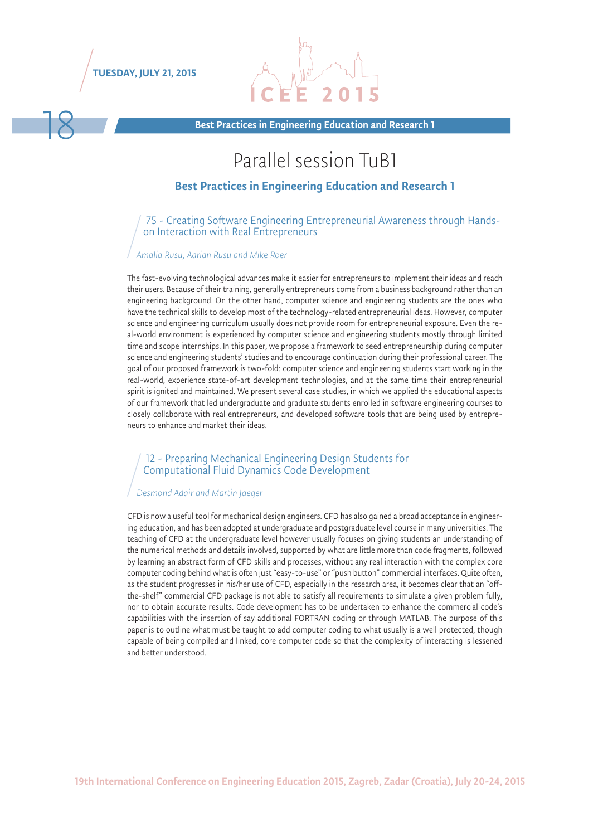



Best Practices in Engineering Education and Research 1

## Parallel session TuB1

#### Best Practices in Engineering Education and Research 1

75 - Creating Software Engineering Entrepreneurial Awareness through Handson Interaction with Real Entrepreneurs

#### *Amalia Rusu, Adrian Rusu and Mike Roer*

The fast-evolving technological advances make it easier for entrepreneurs to implement their ideas and reach their users. Because of their training, generally entrepreneurs come from a business background rather than an engineering background. On the other hand, computer science and engineering students are the ones who have the technical skills to develop most of the technology-related entrepreneurial ideas. However, computer science and engineering curriculum usually does not provide room for entrepreneurial exposure. Even the real-world environment is experienced by computer science and engineering students mostly through limited time and scope internships. In this paper, we propose a framework to seed entrepreneurship during computer science and engineering students' studies and to encourage continuation during their professional career. The goal of our proposed framework is two-fold: computer science and engineering students start working in the real-world, experience state-of-art development technologies, and at the same time their entrepreneurial spirit is ignited and maintained. We present several case studies, in which we applied the educational aspects of our framework that led undergraduate and graduate students enrolled in software engineering courses to closely collaborate with real entrepreneurs, and developed software tools that are being used by entrepreneurs to enhance and market their ideas.

#### 12 - Preparing Mechanical Engineering Design Students for Computational Fluid Dynamics Code Development

#### *Desmond Adair and Martin Jaeger*

CFD is now a useful tool for mechanical design engineers. CFD has also gained a broad acceptance in engineering education, and has been adopted at undergraduate and postgraduate level course in many universities. The teaching of CFD at the undergraduate level however usually focuses on giving students an understanding of the numerical methods and details involved, supported by what are little more than code fragments, followed by learning an abstract form of CFD skills and processes, without any real interaction with the complex core computer coding behind what is often just "easy-to-use" or "push button" commercial interfaces. Quite often, as the student progresses in his/her use of CFD, especially in the research area, it becomes clear that an "offthe-shelf" commercial CFD package is not able to satisfy all requirements to simulate a given problem fully, nor to obtain accurate results. Code development has to be undertaken to enhance the commercial code's capabilities with the insertion of say additional FORTRAN coding or through MATLAB. The purpose of this paper is to outline what must be taught to add computer coding to what usually is a well protected, though capable of being compiled and linked, core computer code so that the complexity of interacting is lessened and better understood.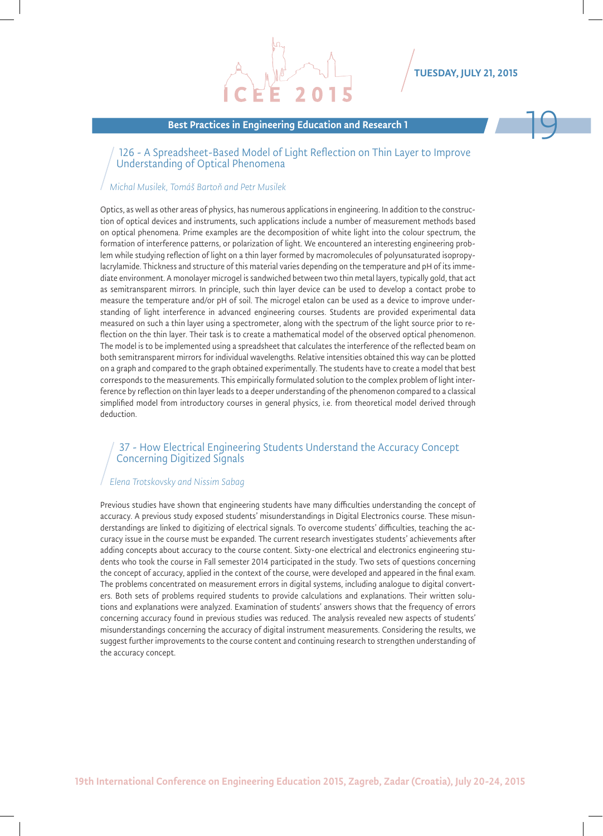

#### Best Practices in Engineering Education and Research 1

#### 126 - A Spreadsheet-Based Model of Light Reflection on Thin Layer to Improve Understanding of Optical Phenomena

#### *Michal Musilek, Tomáš Bartoň and Petr Musilek*

Optics, as well as other areas of physics, has numerous applications in engineering. In addition to the construction of optical devices and instruments, such applications include a number of measurement methods based on optical phenomena. Prime examples are the decomposition of white light into the colour spectrum, the formation of interference patterns, or polarization of light. We encountered an interesting engineering problem while studying reflection of light on a thin layer formed by macromolecules of polyunsaturated isopropylacrylamide. Thickness and structure of this material varies depending on the temperature and pH of its immediate environment. A monolayer microgel is sandwiched between two thin metal layers, typically gold, that act as semitransparent mirrors. In principle, such thin layer device can be used to develop a contact probe to measure the temperature and/or pH of soil. The microgel etalon can be used as a device to improve understanding of light interference in advanced engineering courses. Students are provided experimental data measured on such a thin layer using a spectrometer, along with the spectrum of the light source prior to reflection on the thin layer. Their task is to create a mathematical model of the observed optical phenomenon. The model is to be implemented using a spreadsheet that calculates the interference of the reflected beam on both semitransparent mirrors for individual wavelengths. Relative intensities obtained this way can be plotted on a graph and compared to the graph obtained experimentally. The students have to create a model that best corresponds to the measurements. This empirically formulated solution to the complex problem of light interference by reflection on thin layer leads to a deeper understanding of the phenomenon compared to a classical simplified model from introductory courses in general physics, i.e. from theoretical model derived through deduction.

#### 37 - How Electrical Engineering Students Understand the Accuracy Concept Concerning Digitized Signals

#### *Elena Trotskovsky and Nissim Sabag*

Previous studies have shown that engineering students have many difficulties understanding the concept of accuracy. A previous study exposed students' misunderstandings in Digital Electronics course. These misunderstandings are linked to digitizing of electrical signals. To overcome students' difficulties, teaching the accuracy issue in the course must be expanded. The current research investigates students' achievements after adding concepts about accuracy to the course content. Sixty-one electrical and electronics engineering students who took the course in Fall semester 2014 participated in the study. Two sets of questions concerning the concept of accuracy, applied in the context of the course, were developed and appeared in the final exam. The problems concentrated on measurement errors in digital systems, including analogue to digital converters. Both sets of problems required students to provide calculations and explanations. Their written solutions and explanations were analyzed. Examination of students' answers shows that the frequency of errors concerning accuracy found in previous studies was reduced. The analysis revealed new aspects of students' misunderstandings concerning the accuracy of digital instrument measurements. Considering the results, we suggest further improvements to the course content and continuing research to strengthen understanding of the accuracy concept.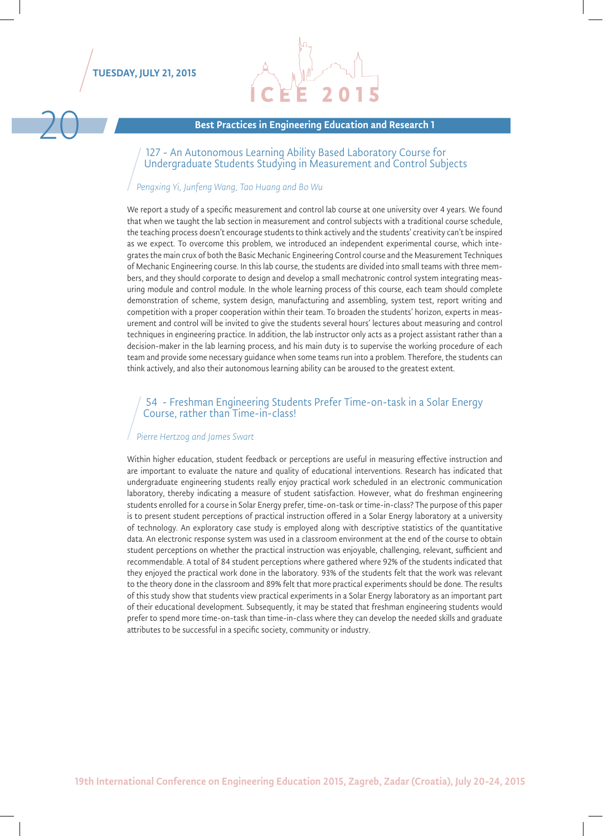

Best Practices in Engineering Education and Research 1

127 - An Autonomous Learning Ability Based Laboratory Course for Undergraduate Students Studying in Measurement and Control Subjects

#### *Pengxing Yi, Junfeng Wang, Tao Huang and Bo Wu*

We report a study of a specific measurement and control lab course at one university over 4 years. We found that when we taught the lab section in measurement and control subjects with a traditional course schedule, the teaching process doesn't encourage students to think actively and the students' creativity can't be inspired as we expect. To overcome this problem, we introduced an independent experimental course, which integrates the main crux of both the Basic Mechanic Engineering Control course and the Measurement Techniques of Mechanic Engineering course. In this lab course, the students are divided into small teams with three members, and they should corporate to design and develop a small mechatronic control system integrating measuring module and control module. In the whole learning process of this course, each team should complete demonstration of scheme, system design, manufacturing and assembling, system test, report writing and competition with a proper cooperation within their team. To broaden the students' horizon, experts in measurement and control will be invited to give the students several hours' lectures about measuring and control techniques in engineering practice. In addition, the lab instructor only acts as a project assistant rather than a decision-maker in the lab learning process, and his main duty is to supervise the working procedure of each team and provide some necessary guidance when some teams run into a problem. Therefore, the students can think actively, and also their autonomous learning ability can be aroused to the greatest extent.

# 54 - Freshman Engineering Students Prefer Time-on-task in a Solar Energy Course, rather than Time-in-class!

#### *Pierre Hertzog and James Swart*

Within higher education, student feedback or perceptions are useful in measuring effective instruction and are important to evaluate the nature and quality of educational interventions. Research has indicated that undergraduate engineering students really enjoy practical work scheduled in an electronic communication laboratory, thereby indicating a measure of student satisfaction. However, what do freshman engineering students enrolled for a course in Solar Energy prefer, time-on-task or time-in-class? The purpose of this paper is to present student perceptions of practical instruction offered in a Solar Energy laboratory at a university of technology. An exploratory case study is employed along with descriptive statistics of the quantitative data. An electronic response system was used in a classroom environment at the end of the course to obtain student perceptions on whether the practical instruction was enjoyable, challenging, relevant, sufficient and recommendable. A total of 84 student perceptions where gathered where 92% of the students indicated that they enjoyed the practical work done in the laboratory. 93% of the students felt that the work was relevant to the theory done in the classroom and 89% felt that more practical experiments should be done. The results of this study show that students view practical experiments in a Solar Energy laboratory as an important part of their educational development. Subsequently, it may be stated that freshman engineering students would prefer to spend more time-on-task than time-in-class where they can develop the needed skills and graduate attributes to be successful in a specific society, community or industry.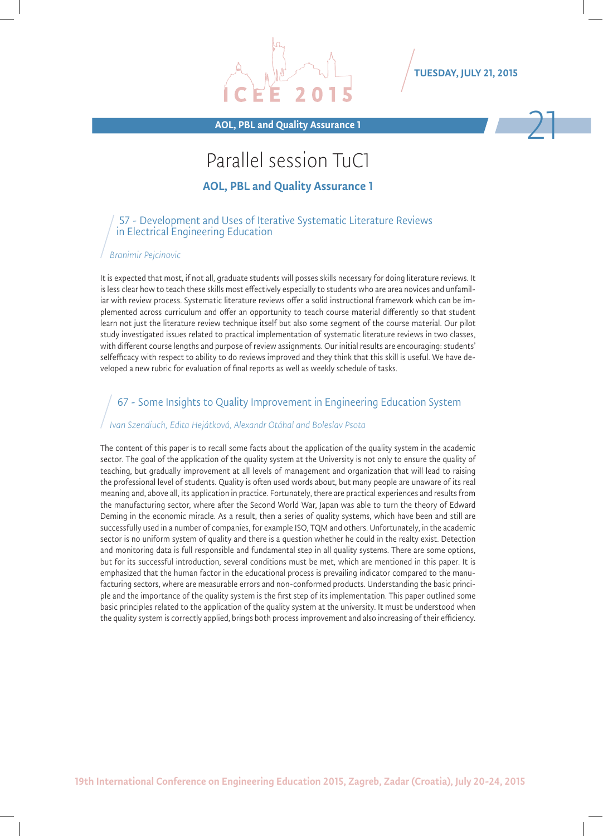

AOL, PBL and Quality Assurance 1 21

# Parallel session TuC1

AOL, PBL and Quality Assurance 1

#### 57 - Development and Uses of Iterative Systematic Literature Reviews in Electrical Engineering Education

#### *Branimir Pejcinovic*

It is expected that most, if not all, graduate students will posses skills necessary for doing literature reviews. It is less clear how to teach these skills most effectively especially to students who are area novices and unfamiliar with review process. Systematic literature reviews offer a solid instructional framework which can be implemented across curriculum and offer an opportunity to teach course material differently so that student learn not just the literature review technique itself but also some segment of the course material. Our pilot study investigated issues related to practical implementation of systematic literature reviews in two classes, with different course lengths and purpose of review assignments. Our initial results are encouraging: students' selfefficacy with respect to ability to do reviews improved and they think that this skill is useful. We have developed a new rubric for evaluation of final reports as well as weekly schedule of tasks.

#### 67 - Some Insights to Quality Improvement in Engineering Education System

#### *Ivan Szendiuch, Edita Hejátková, Alexandr Otáhal and Boleslav Psota*

The content of this paper is to recall some facts about the application of the quality system in the academic sector. The goal of the application of the quality system at the University is not only to ensure the quality of teaching, but gradually improvement at all levels of management and organization that will lead to raising the professional level of students. Quality is often used words about, but many people are unaware of its real meaning and, above all, its application in practice. Fortunately, there are practical experiences and results from the manufacturing sector, where after the Second World War, Japan was able to turn the theory of Edward Deming in the economic miracle. As a result, then a series of quality systems, which have been and still are successfully used in a number of companies, for example ISO, TQM and others. Unfortunately, in the academic sector is no uniform system of quality and there is a question whether he could in the realty exist. Detection and monitoring data is full responsible and fundamental step in all quality systems. There are some options, but for its successful introduction, several conditions must be met, which are mentioned in this paper. It is emphasized that the human factor in the educational process is prevailing indicator compared to the manufacturing sectors, where are measurable errors and non-conformed products. Understanding the basic principle and the importance of the quality system is the first step of its implementation. This paper outlined some basic principles related to the application of the quality system at the university. It must be understood when the quality system is correctly applied, brings both process improvement and also increasing of their efficiency.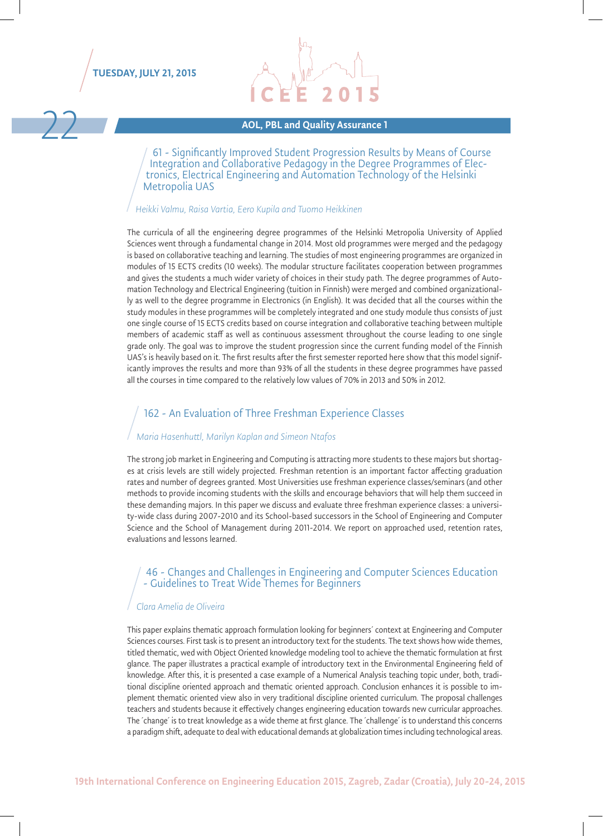



# AOL, PBL and Quality Assurance 1

61 - Significantly Improved Student Progression Results by Means of Course tronics, Electrical Engineering and Automation Technology of the Helsinki Metropolia UAS

#### *Heikki Valmu, Raisa Vartia, Eero Kupila and Tuomo Heikkinen*

The curricula of all the engineering degree programmes of the Helsinki Metropolia University of Applied Sciences went through a fundamental change in 2014. Most old programmes were merged and the pedagogy is based on collaborative teaching and learning. The studies of most engineering programmes are organized in modules of 15 ECTS credits (10 weeks). The modular structure facilitates cooperation between programmes and gives the students a much wider variety of choices in their study path. The degree programmes of Automation Technology and Electrical Engineering (tuition in Finnish) were merged and combined organizationally as well to the degree programme in Electronics (in English). It was decided that all the courses within the study modules in these programmes will be completely integrated and one study module thus consists of just one single course of 15 ECTS credits based on course integration and collaborative teaching between multiple members of academic staff as well as continuous assessment throughout the course leading to one single grade only. The goal was to improve the student progression since the current funding model of the Finnish UAS's is heavily based on it. The first results after the first semester reported here show that this model significantly improves the results and more than 93% of all the students in these degree programmes have passed all the courses in time compared to the relatively low values of 70% in 2013 and 50% in 2012.

#### 162 - An Evaluation of Three Freshman Experience Classes

#### *Maria Hasenhuttl, Marilyn Kaplan and Simeon Ntafos*

The strong job market in Engineering and Computing is attracting more students to these majors but shortages at crisis levels are still widely projected. Freshman retention is an important factor affecting graduation rates and number of degrees granted. Most Universities use freshman experience classes/seminars (and other methods to provide incoming students with the skills and encourage behaviors that will help them succeed in these demanding majors. In this paper we discuss and evaluate three freshman experience classes: a university-wide class during 2007-2010 and its School-based successors in the School of Engineering and Computer Science and the School of Management during 2011-2014. We report on approached used, retention rates, evaluations and lessons learned.

#### 46 - Changes and Challenges in Engineering and Computer Sciences Education - Guidelines to Treat Wide Themes for Beginners

#### *Clara Amelia de Oliveira*

This paper explains thematic approach formulation looking for beginners´ context at Engineering and Computer Sciences courses. First task is to present an introductory text for the students. The text shows how wide themes, titled thematic, wed with Object Oriented knowledge modeling tool to achieve the thematic formulation at first glance. The paper illustrates a practical example of introductory text in the Environmental Engineering field of knowledge. After this, it is presented a case example of a Numerical Analysis teaching topic under, both, traditional discipline oriented approach and thematic oriented approach. Conclusion enhances it is possible to implement thematic oriented view also in very traditional discipline oriented curriculum. The proposal challenges teachers and students because it effectively changes engineering education towards new curricular approaches. The ´change´ is to treat knowledge as a wide theme at first glance. The ´challenge´ is to understand this concerns a paradigm shift, adequate to deal with educational demands at globalization times including technological areas.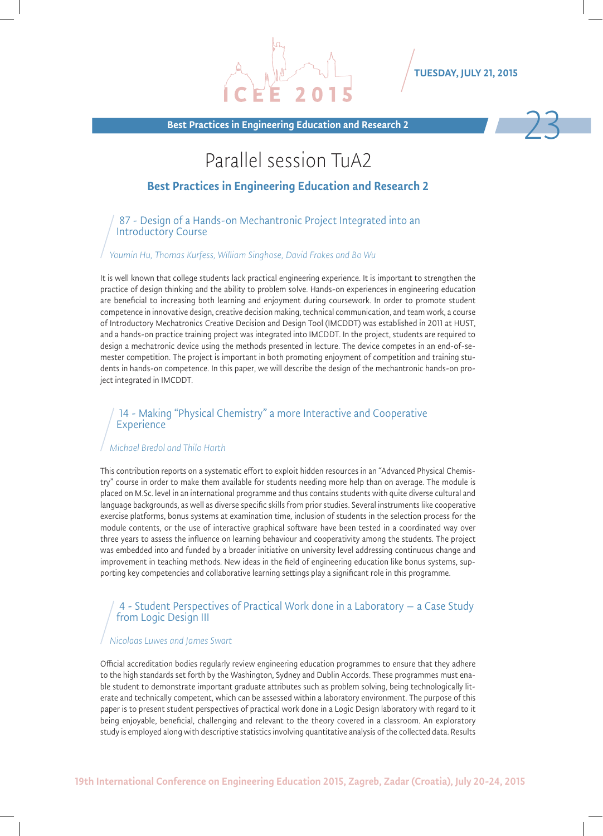Best Practices in Engineering Education and Research 2



## Parallel session TuA2

#### Best Practices in Engineering Education and Research 2

87 - Design of a Hands-on Mechantronic Project Integrated into an Introductory Course

#### *Youmin Hu, Thomas Kurfess, William Singhose, David Frakes and Bo Wu*

It is well known that college students lack practical engineering experience. It is important to strengthen the practice of design thinking and the ability to problem solve. Hands-on experiences in engineering education are beneficial to increasing both learning and enjoyment during coursework. In order to promote student competence in innovative design, creative decision making, technical communication, and team work, a course of Introductory Mechatronics Creative Decision and Design Tool (IMCDDT) was established in 2011 at HUST, and a hands-on practice training project was integrated into IMCDDT. In the project, students are required to design a mechatronic device using the methods presented in lecture. The device competes in an end-of-semester competition. The project is important in both promoting enjoyment of competition and training students in hands-on competence. In this paper, we will describe the design of the mechantronic hands-on project integrated in IMCDDT.

#### 14 - Making "Physical Chemistry" a more Interactive and Cooperative **Experience**

#### *Michael Bredol and Thilo Harth*

This contribution reports on a systematic effort to exploit hidden resources in an "Advanced Physical Chemistry" course in order to make them available for students needing more help than on average. The module is placed on M.Sc. level in an international programme and thus contains students with quite diverse cultural and language backgrounds, as well as diverse specific skills from prior studies. Several instruments like cooperative exercise platforms, bonus systems at examination time, inclusion of students in the selection process for the module contents, or the use of interactive graphical software have been tested in a coordinated way over three years to assess the influence on learning behaviour and cooperativity among the students. The project was embedded into and funded by a broader initiative on university level addressing continuous change and improvement in teaching methods. New ideas in the field of engineering education like bonus systems, supporting key competencies and collaborative learning settings play a significant role in this programme.

#### 4 - Student Perspectives of Practical Work done in a Laboratory – a Case Study from Logic Design III

#### *Nicolaas Luwes and James Swart*

Official accreditation bodies regularly review engineering education programmes to ensure that they adhere to the high standards set forth by the Washington, Sydney and Dublin Accords. These programmes must enable student to demonstrate important graduate attributes such as problem solving, being technologically literate and technically competent, which can be assessed within a laboratory environment. The purpose of this paper is to present student perspectives of practical work done in a Logic Design laboratory with regard to it being enjoyable, beneficial, challenging and relevant to the theory covered in a classroom. An exploratory study is employed along with descriptive statistics involving quantitative analysis of the collected data. Results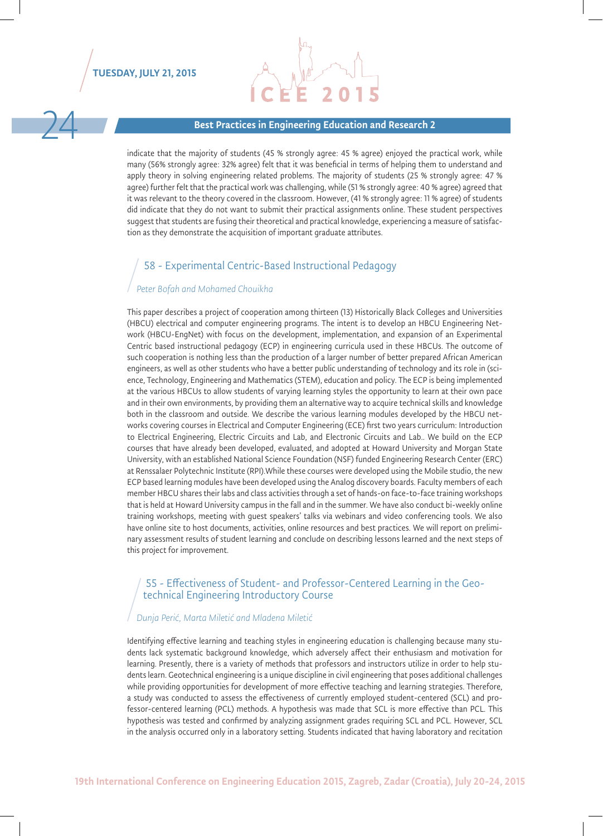

#### Best Practices in Engineering Education and Research 2

indicate that the majority of students (45 % strongly agree: 45 % agree) enjoyed the practical work, while many (56% strongly agree: 32% agree) felt that it was beneficial in terms of helping them to understand and apply theory in solving engineering related problems. The majority of students (25 % strongly agree: 47 % agree) further felt that the practical work was challenging, while (51 % strongly agree: 40 % agree) agreed that it was relevant to the theory covered in the classroom. However, (41 % strongly agree: 11 % agree) of students did indicate that they do not want to submit their practical assignments online. These student perspectives suggest that students are fusing their theoretical and practical knowledge, experiencing a measure of satisfaction as they demonstrate the acquisition of important graduate attributes.

#### 58 - Experimental Centric-Based Instructional Pedagogy

#### *Peter Bofah and Mohamed Chouikha*

This paper describes a project of cooperation among thirteen (13) Historically Black Colleges and Universities (HBCU) electrical and computer engineering programs. The intent is to develop an HBCU Engineering Network (HBCU-EngNet) with focus on the development, implementation, and expansion of an Experimental Centric based instructional pedagogy (ECP) in engineering curricula used in these HBCUs. The outcome of such cooperation is nothing less than the production of a larger number of better prepared African American engineers, as well as other students who have a better public understanding of technology and its role in (science, Technology, Engineering and Mathematics (STEM), education and policy. The ECP is being implemented at the various HBCUs to allow students of varying learning styles the opportunity to learn at their own pace and in their own environments, by providing them an alternative way to acquire technical skills and knowledge both in the classroom and outside. We describe the various learning modules developed by the HBCU networks covering courses in Electrical and Computer Engineering (ECE) first two years curriculum: Introduction to Electrical Engineering, Electric Circuits and Lab, and Electronic Circuits and Lab.. We build on the ECP courses that have already been developed, evaluated, and adopted at Howard University and Morgan State University, with an established National Science Foundation (NSF) funded Engineering Research Center (ERC) at Renssalaer Polytechnic Institute (RPI).While these courses were developed using the Mobile studio, the new ECP based learning modules have been developed using the Analog discovery boards. Faculty members of each member HBCU shares their labs and class activities through a set of hands-on face-to-face training workshops that is held at Howard University campus in the fall and in the summer. We have also conduct bi-weekly online training workshops, meeting with guest speakers' talks via webinars and video conferencing tools. We also have online site to host documents, activities, online resources and best practices. We will report on preliminary assessment results of student learning and conclude on describing lessons learned and the next steps of this project for improvement.

# 55 - Effectiveness of Student- and Professor-Centered Learning in the Geo- technical Engineering Introductory Course

#### *Dunja Perić, Marta Miletić and Mladena Miletić*

Identifying effective learning and teaching styles in engineering education is challenging because many students lack systematic background knowledge, which adversely affect their enthusiasm and motivation for learning. Presently, there is a variety of methods that professors and instructors utilize in order to help students learn. Geotechnical engineering is a unique discipline in civil engineering that poses additional challenges while providing opportunities for development of more effective teaching and learning strategies. Therefore, a study was conducted to assess the effectiveness of currently employed student-centered (SCL) and professor-centered learning (PCL) methods. A hypothesis was made that SCL is more effective than PCL. This hypothesis was tested and confirmed by analyzing assignment grades requiring SCL and PCL. However, SCL in the analysis occurred only in a laboratory setting. Students indicated that having laboratory and recitation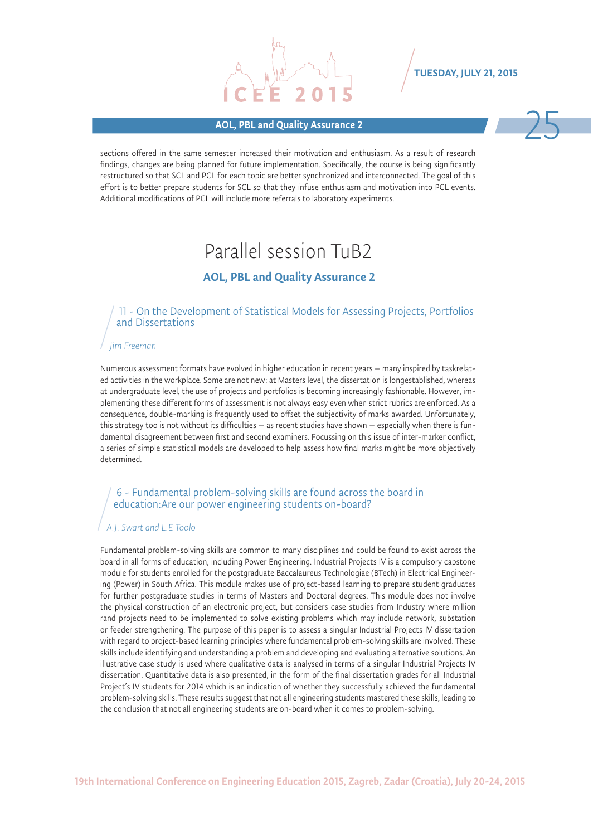# AOL, PBL and Quality Assurance 2 25

TUESDAY, JULY 21, 2015



# Parallel session TuB2

### AOL, PBL and Quality Assurance 2

#### 11 - On the Development of Statistical Models for Assessing Projects, Portfolios and Dissertations

#### *Jim Freeman*

Numerous assessment formats have evolved in higher education in recent years – many inspired by taskrelated activities in the workplace. Some are not new: at Masters level, the dissertation is longestablished, whereas at undergraduate level, the use of projects and portfolios is becoming increasingly fashionable. However, implementing these different forms of assessment is not always easy even when strict rubrics are enforced. As a consequence, double-marking is frequently used to offset the subjectivity of marks awarded. Unfortunately, this strategy too is not without its difficulties – as recent studies have shown – especially when there is fundamental disagreement between first and second examiners. Focussing on this issue of inter-marker conflict, a series of simple statistical models are developed to help assess how final marks might be more objectively determined.

#### 6 - Fundamental problem-solving skills are found across the board in education:Are our power engineering students on-board?

#### *A.J. Swart and L.E Toolo*

Fundamental problem-solving skills are common to many disciplines and could be found to exist across the board in all forms of education, including Power Engineering. Industrial Projects IV is a compulsory capstone module for students enrolled for the postgraduate Baccalaureus Technologiae (BTech) in Electrical Engineering (Power) in South Africa. This module makes use of project-based learning to prepare student graduates for further postgraduate studies in terms of Masters and Doctoral degrees. This module does not involve the physical construction of an electronic project, but considers case studies from Industry where million rand projects need to be implemented to solve existing problems which may include network, substation or feeder strengthening. The purpose of this paper is to assess a singular Industrial Projects IV dissertation with regard to project-based learning principles where fundamental problem-solving skills are involved. These skills include identifying and understanding a problem and developing and evaluating alternative solutions. An illustrative case study is used where qualitative data is analysed in terms of a singular Industrial Projects IV dissertation. Quantitative data is also presented, in the form of the final dissertation grades for all Industrial Project's IV students for 2014 which is an indication of whether they successfully achieved the fundamental problem-solving skills. These results suggest that not all engineering students mastered these skills, leading to the conclusion that not all engineering students are on-board when it comes to problem-solving.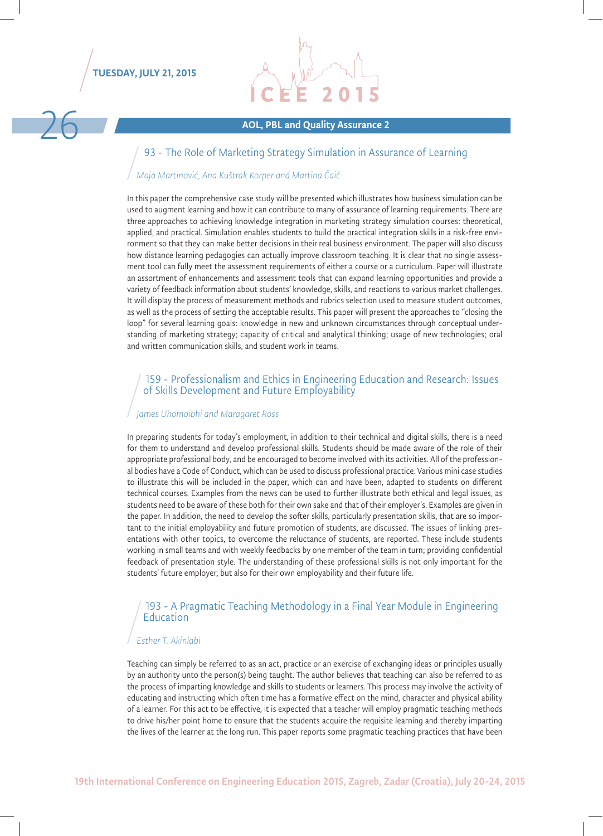

# AOL, PBL and Quality Assurance 2

#### 93 - The Role of Marketing Strategy Simulation in Assurance of Learning

#### *Maja Martinović, Ana Kuštrak Korper and Martina Čaić*

In this paper the comprehensive case study will be presented which illustrates how business simulation can be used to augment learning and how it can contribute to many of assurance of learning requirements. There are three approaches to achieving knowledge integration in marketing strategy simulation courses: theoretical, applied, and practical. Simulation enables students to build the practical integration skills in a risk-free environment so that they can make better decisions in their real business environment. The paper will also discuss how distance learning pedagogies can actually improve classroom teaching. It is clear that no single assessment tool can fully meet the assessment requirements of either a course or a curriculum. Paper will illustrate an assortment of enhancements and assessment tools that can expand learning opportunities and provide a variety of feedback information about students' knowledge, skills, and reactions to various market challenges. It will display the process of measurement methods and rubrics selection used to measure student outcomes, as well as the process of setting the acceptable results. This paper will present the approaches to "closing the loop" for several learning goals: knowledge in new and unknown circumstances through conceptual understanding of marketing strategy; capacity of critical and analytical thinking; usage of new technologies; oral and written communication skills, and student work in teams.

#### 159 - Professionalism and Ethics in Engineering Education and Research: Issues of Skills Development and Future Employability

#### *James Uhomoibhi and Maragaret Ross*

In preparing students for today's employment, in addition to their technical and digital skills, there is a need for them to understand and develop professional skills. Students should be made aware of the role of their appropriate professional body, and be encouraged to become involved with its activities. All of the professional bodies have a Code of Conduct, which can be used to discuss professional practice. Various mini case studies to illustrate this will be included in the paper, which can and have been, adapted to students on different technical courses. Examples from the news can be used to further illustrate both ethical and legal issues, as students need to be aware of these both for their own sake and that of their employer's. Examples are given in the paper. In addition, the need to develop the softer skills, particularly presentation skills, that are so important to the initial employability and future promotion of students, are discussed. The issues of linking presentations with other topics, to overcome the reluctance of students, are reported. These include students working in small teams and with weekly feedbacks by one member of the team in turn; providing confidential feedback of presentation style. The understanding of these professional skills is not only important for the students' future employer, but also for their own employability and their future life.

#### 193 - A Pragmatic Teaching Methodology in a Final Year Module in Engineering Education

#### *Esther T. Akinlabi*

Teaching can simply be referred to as an act, practice or an exercise of exchanging ideas or principles usually by an authority unto the person(s) being taught. The author believes that teaching can also be referred to as the process of imparting knowledge and skills to students or learners. This process may involve the activity of educating and instructing which often time has a formative effect on the mind, character and physical ability of a learner. For this act to be effective, it is expected that a teacher will employ pragmatic teaching methods to drive his/her point home to ensure that the students acquire the requisite learning and thereby imparting the lives of the learner at the long run. This paper reports some pragmatic teaching practices that have been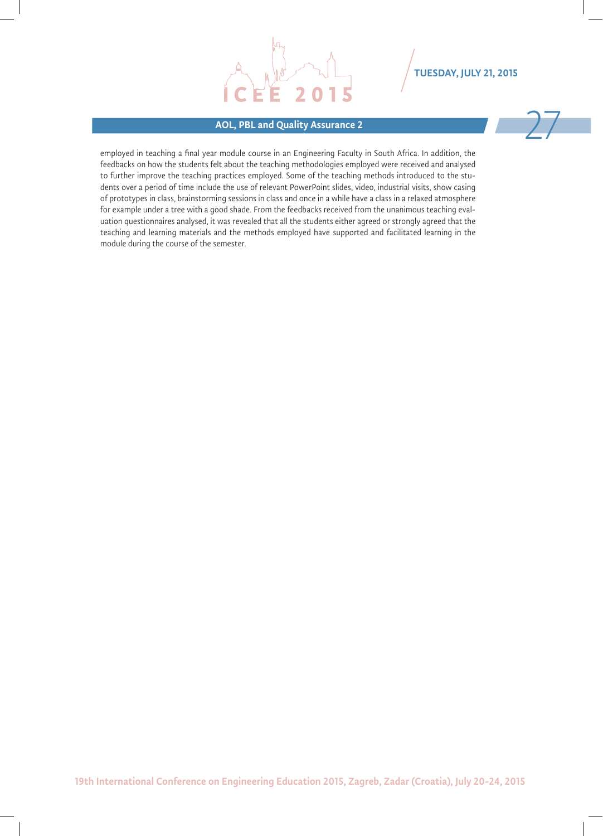#### AOL, PBL and Quality Assurance 2

TUESDAY, JULY 21, 2015

employed in teaching a final year module course in an Engineering Faculty in South Africa. In addition, the feedbacks on how the students felt about the teaching methodologies employed were received and analysed to further improve the teaching practices employed. Some of the teaching methods introduced to the students over a period of time include the use of relevant PowerPoint slides, video, industrial visits, show casing of prototypes in class, brainstorming sessions in class and once in a while have a class in a relaxed atmosphere for example under a tree with a good shade. From the feedbacks received from the unanimous teaching evaluation questionnaires analysed, it was revealed that all the students either agreed or strongly agreed that the teaching and learning materials and the methods employed have supported and facilitated learning in the module during the course of the semester.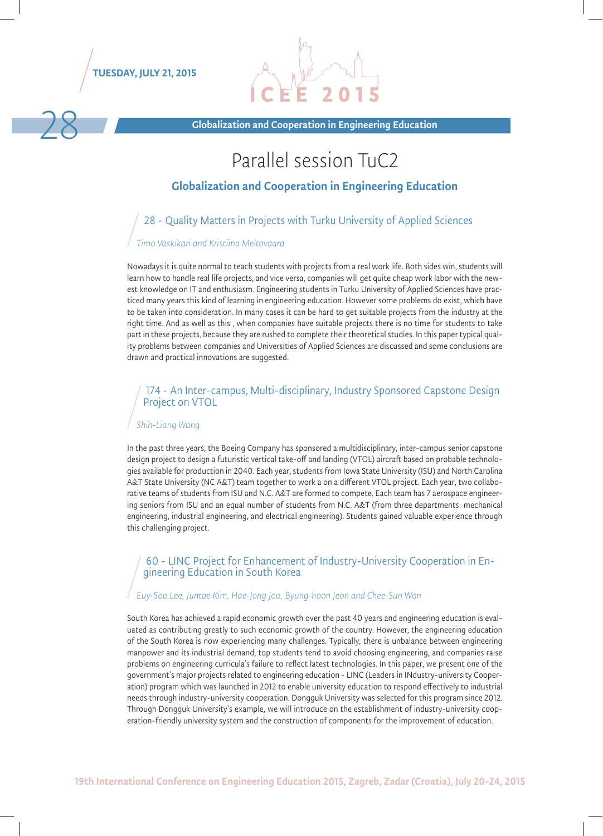

Globalization and Cooperation in Engineering Education

# Parallel session TuC2

#### Globalization and Cooperation in Engineering Education

### 28 - Quality Matters in Projects with Turku University of Applied Sciences

#### *Timo Vaskikari and Kristiina Meltovaara*

Nowadays it is quite normal to teach students with projects from a real work life. Both sides win, students will learn how to handle real life projects, and vice versa, companies will get quite cheap work labor with the newest knowledge on IT and enthusiasm. Engineering students in Turku University of Applied Sciences have practiced many years this kind of learning in engineering education. However some problems do exist, which have to be taken into consideration. In many cases it can be hard to get suitable projects from the industry at the right time. And as well as this , when companies have suitable projects there is no time for students to take part in these projects, because they are rushed to complete their theoretical studies. In this paper typical quality problems between companies and Universities of Applied Sciences are discussed and some conclusions are drawn and practical innovations are suggested.

#### 174 - An Inter-campus, Multi-disciplinary, Industry Sponsored Capstone Design Project on VTOL

#### *Shih-Liang Wang*

In the past three years, the Boeing Company has sponsored a multidisciplinary, inter-campus senior capstone design project to design a futuristic vertical take-off and landing (VTOL) aircraft based on probable technologies available for production in 2040. Each year, students from Iowa State University (ISU) and North Carolina A&T State University (NC A&T) team together to work a on a different VTOL project. Each year, two collaborative teams of students from ISU and N.C. A&T are formed to compete. Each team has 7 aerospace engineering seniors from ISU and an equal number of students from N.C. A&T (from three departments: mechanical engineering, industrial engineering, and electrical engineering). Students gained valuable experience through this challenging project.

# 60 - LINC Project for Enhancement of Industry-University Cooperation in En- gineering Education in South Korea

#### *Euy-Soo Lee, Juntae Kim, Hae-Jong Joo, Byung-hoon Jeon and Chee-Sun Won*

South Korea has achieved a rapid economic growth over the past 40 years and engineering education is evaluated as contributing greatly to such economic growth of the country. However, the engineering education of the South Korea is now experiencing many challenges. Typically, there is unbalance between engineering manpower and its industrial demand, top students tend to avoid choosing engineering, and companies raise problems on engineering curricula's failure to reflect latest technologies. In this paper, we present one of the government's major projects related to engineering education - LINC (Leaders in INdustry-university Cooperation) program which was launched in 2012 to enable university education to respond effectively to industrial needs through industry-university cooperation. Dongguk University was selected for this program since 2012. Through Dongguk University's example, we will introduce on the establishment of industry-university cooperation-friendly university system and the construction of components for the improvement of education.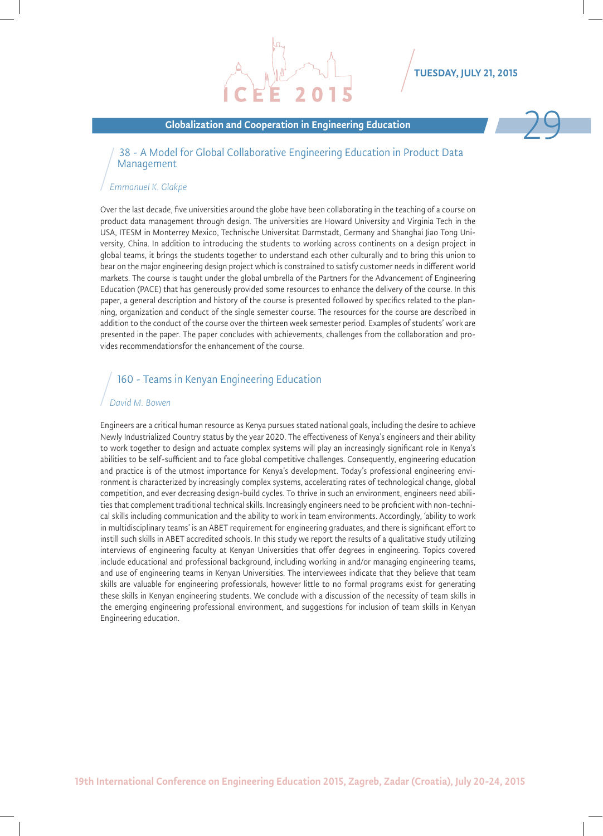#### Globalization and Cooperation in Engineering Education



#### 38 - A Model for Global Collaborative Engineering Education in Product Data Management

#### *Emmanuel K. Glakpe*

Over the last decade, five universities around the globe have been collaborating in the teaching of a course on product data management through design. The universities are Howard University and Virginia Tech in the USA, ITESM in Monterrey Mexico, Technische Universitat Darmstadt, Germany and Shanghai Jiao Tong University, China. In addition to introducing the students to working across continents on a design project in global teams, it brings the students together to understand each other culturally and to bring this union to bear on the major engineering design project which is constrained to satisfy customer needs in different world markets. The course is taught under the global umbrella of the Partners for the Advancement of Engineering Education (PACE) that has generously provided some resources to enhance the delivery of the course. In this paper, a general description and history of the course is presented followed by specifics related to the planning, organization and conduct of the single semester course. The resources for the course are described in addition to the conduct of the course over the thirteen week semester period. Examples of students' work are presented in the paper. The paper concludes with achievements, challenges from the collaboration and provides recommendationsfor the enhancement of the course.

#### 160 - Teams in Kenyan Engineering Education

#### *David M. Bowen*

Engineers are a critical human resource as Kenya pursues stated national goals, including the desire to achieve Newly Industrialized Country status by the year 2020. The effectiveness of Kenya's engineers and their ability to work together to design and actuate complex systems will play an increasingly significant role in Kenya's abilities to be self-sufficient and to face global competitive challenges. Consequently, engineering education and practice is of the utmost importance for Kenya's development. Today's professional engineering environment is characterized by increasingly complex systems, accelerating rates of technological change, global competition, and ever decreasing design-build cycles. To thrive in such an environment, engineers need abilities that complement traditional technical skills. Increasingly engineers need to be proficient with non-technical skills including communication and the ability to work in team environments. Accordingly, 'ability to work in multidisciplinary teams' is an ABET requirement for engineering graduates, and there is significant effort to instill such skills in ABET accredited schools. In this study we report the results of a qualitative study utilizing interviews of engineering faculty at Kenyan Universities that offer degrees in engineering. Topics covered include educational and professional background, including working in and/or managing engineering teams, and use of engineering teams in Kenyan Universities. The interviewees indicate that they believe that team skills are valuable for engineering professionals, however little to no formal programs exist for generating these skills in Kenyan engineering students. We conclude with a discussion of the necessity of team skills in the emerging engineering professional environment, and suggestions for inclusion of team skills in Kenyan Engineering education.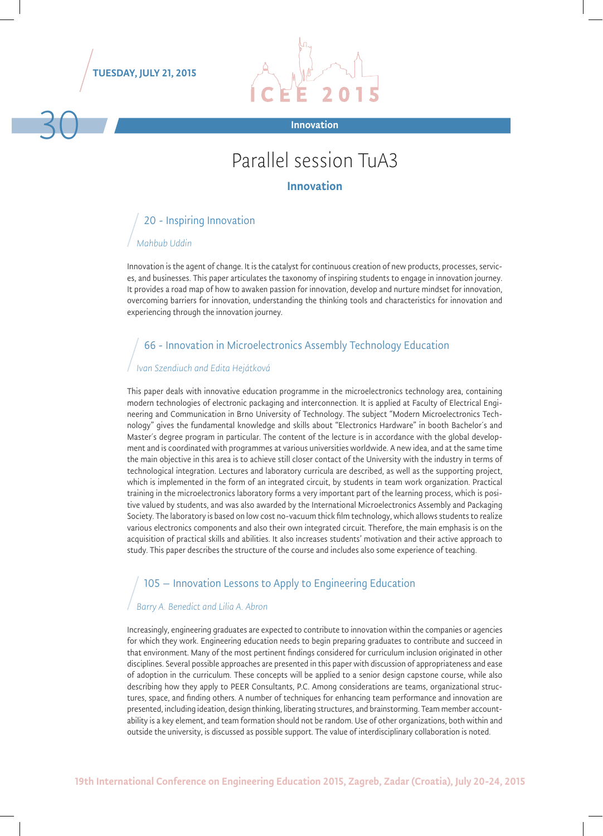

# Parallel session TuA3

#### Innovation

### 20 - Inspiring Innovation *Mahbub Uddin*

Innovation is the agent of change. It is the catalyst for continuous creation of new products, processes, services, and businesses. This paper articulates the taxonomy of inspiring students to engage in innovation journey. It provides a road map of how to awaken passion for innovation, develop and nurture mindset for innovation, overcoming barriers for innovation, understanding the thinking tools and characteristics for innovation and experiencing through the innovation journey.

#### 66 - Innovation in Microelectronics Assembly Technology Education

#### *Ivan Szendiuch and Edita Hejátková*

This paper deals with innovative education programme in the microelectronics technology area, containing modern technologies of electronic packaging and interconnection. It is applied at Faculty of Electrical Engineering and Communication in Brno University of Technology. The subject "Modern Microelectronics Technology" gives the fundamental knowledge and skills about "Electronics Hardware" in booth Bachelor´s and Master´s degree program in particular. The content of the lecture is in accordance with the global development and is coordinated with programmes at various universities worldwide. A new idea, and at the same time the main objective in this area is to achieve still closer contact of the University with the industry in terms of technological integration. Lectures and laboratory curricula are described, as well as the supporting project, which is implemented in the form of an integrated circuit, by students in team work organization. Practical training in the microelectronics laboratory forms a very important part of the learning process, which is positive valued by students, and was also awarded by the International Microelectronics Assembly and Packaging Society. The laboratory is based on low cost no-vacuum thick film technology, which allows students to realize various electronics components and also their own integrated circuit. Therefore, the main emphasis is on the acquisition of practical skills and abilities. It also increases students' motivation and their active approach to study. This paper describes the structure of the course and includes also some experience of teaching.

#### 105 – Innovation Lessons to Apply to Engineering Education

#### *Barry A. Benedict and Lilia A. Abron*

Increasingly, engineering graduates are expected to contribute to innovation within the companies or agencies for which they work. Engineering education needs to begin preparing graduates to contribute and succeed in that environment. Many of the most pertinent findings considered for curriculum inclusion originated in other disciplines. Several possible approaches are presented in this paper with discussion of appropriateness and ease of adoption in the curriculum. These concepts will be applied to a senior design capstone course, while also describing how they apply to PEER Consultants, P.C. Among considerations are teams, organizational structures, space, and finding others. A number of techniques for enhancing team performance and innovation are presented, including ideation, design thinking, liberating structures, and brainstorming. Team member accountability is a key element, and team formation should not be random. Use of other organizations, both within and outside the university, is discussed as possible support. The value of interdisciplinary collaboration is noted.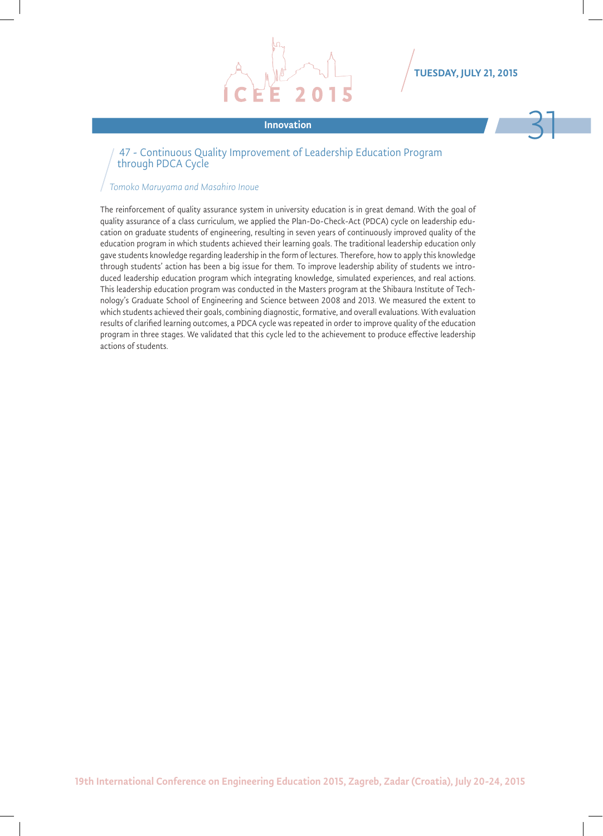

# Innovation 31

#### 47 - Continuous Quality Improvement of Leadership Education Program through PDCA Cycle

#### *Tomoko Maruyama and Masahiro Inoue*

The reinforcement of quality assurance system in university education is in great demand. With the goal of quality assurance of a class curriculum, we applied the Plan-Do-Check-Act (PDCA) cycle on leadership education on graduate students of engineering, resulting in seven years of continuously improved quality of the education program in which students achieved their learning goals. The traditional leadership education only gave students knowledge regarding leadership in the form of lectures. Therefore, how to apply this knowledge through students' action has been a big issue for them. To improve leadership ability of students we introduced leadership education program which integrating knowledge, simulated experiences, and real actions. This leadership education program was conducted in the Masters program at the Shibaura Institute of Technology's Graduate School of Engineering and Science between 2008 and 2013. We measured the extent to which students achieved their goals, combining diagnostic, formative, and overall evaluations. With evaluation results of clarified learning outcomes, a PDCA cycle was repeated in order to improve quality of the education program in three stages. We validated that this cycle led to the achievement to produce effective leadership actions of students.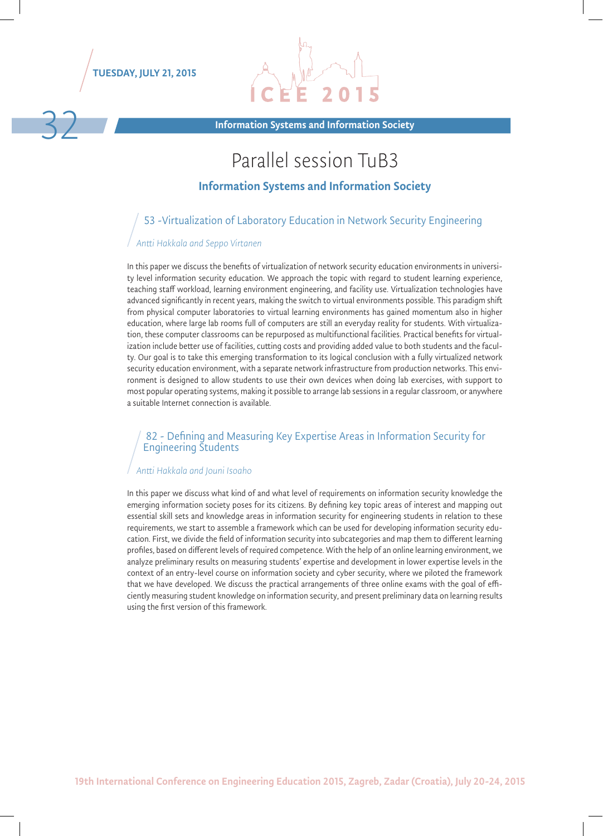



Information Systems and Information Society 32

# Parallel session TuB3

#### Information Systems and Information Society

#### 53 -Virtualization of Laboratory Education in Network Security Engineering

#### *Antti Hakkala and Seppo Virtanen*

In this paper we discuss the benefits of virtualization of network security education environments in university level information security education. We approach the topic with regard to student learning experience, teaching staff workload, learning environment engineering, and facility use. Virtualization technologies have advanced significantly in recent years, making the switch to virtual environments possible. This paradigm shift from physical computer laboratories to virtual learning environments has gained momentum also in higher education, where large lab rooms full of computers are still an everyday reality for students. With virtualization, these computer classrooms can be repurposed as multifunctional facilities. Practical benefits for virtualization include better use of facilities, cutting costs and providing added value to both students and the faculty. Our goal is to take this emerging transformation to its logical conclusion with a fully virtualized network security education environment, with a separate network infrastructure from production networks. This environment is designed to allow students to use their own devices when doing lab exercises, with support to most popular operating systems, making it possible to arrange lab sessions in a regular classroom, or anywhere a suitable Internet connection is available.

#### 82 - Defining and Measuring Key Expertise Areas in Information Security for Engineering Students

#### *Antti Hakkala and Jouni Isoaho*

In this paper we discuss what kind of and what level of requirements on information security knowledge the emerging information society poses for its citizens. By defining key topic areas of interest and mapping out essential skill sets and knowledge areas in information security for engineering students in relation to these requirements, we start to assemble a framework which can be used for developing information security education. First, we divide the field of information security into subcategories and map them to different learning profiles, based on different levels of required competence. With the help of an online learning environment, we analyze preliminary results on measuring students' expertise and development in lower expertise levels in the context of an entry-level course on information society and cyber security, where we piloted the framework that we have developed. We discuss the practical arrangements of three online exams with the goal of efficiently measuring student knowledge on information security, and present preliminary data on learning results using the first version of this framework.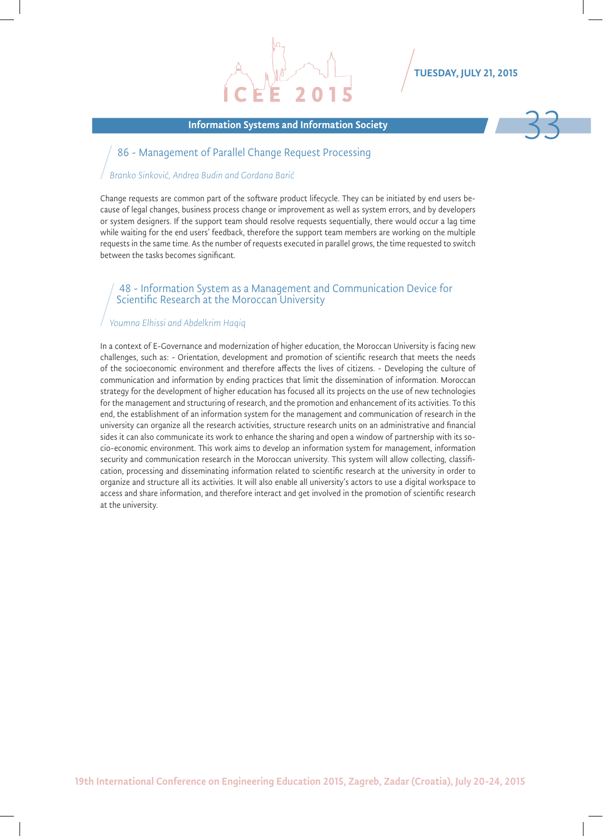#### Information Systems and Information Society 33



#### 86 - Management of Parallel Change Request Processing

#### *Branko Sinković, Andrea Budin and Gordana Barić*

Change requests are common part of the software product lifecycle. They can be initiated by end users because of legal changes, business process change or improvement as well as system errors, and by developers or system designers. If the support team should resolve requests sequentially, there would occur a lag time while waiting for the end users' feedback, therefore the support team members are working on the multiple requests in the same time. As the number of requests executed in parallel grows, the time requested to switch between the tasks becomes significant.

#### 48 - Information System as a Management and Communication Device for Scientific Research at the Moroccan University

#### *Youmna Elhissi and Abdelkrim Haqiq*

In a context of E-Governance and modernization of higher education, the Moroccan University is facing new challenges, such as: - Orientation, development and promotion of scientific research that meets the needs of the socioeconomic environment and therefore affects the lives of citizens. - Developing the culture of communication and information by ending practices that limit the dissemination of information. Moroccan strategy for the development of higher education has focused all its projects on the use of new technologies for the management and structuring of research, and the promotion and enhancement of its activities. To this end, the establishment of an information system for the management and communication of research in the university can organize all the research activities, structure research units on an administrative and financial sides it can also communicate its work to enhance the sharing and open a window of partnership with its socio-economic environment. This work aims to develop an information system for management, information security and communication research in the Moroccan university. This system will allow collecting, classification, processing and disseminating information related to scientific research at the university in order to organize and structure all its activities. It will also enable all university's actors to use a digital workspace to access and share information, and therefore interact and get involved in the promotion of scientific research at the university.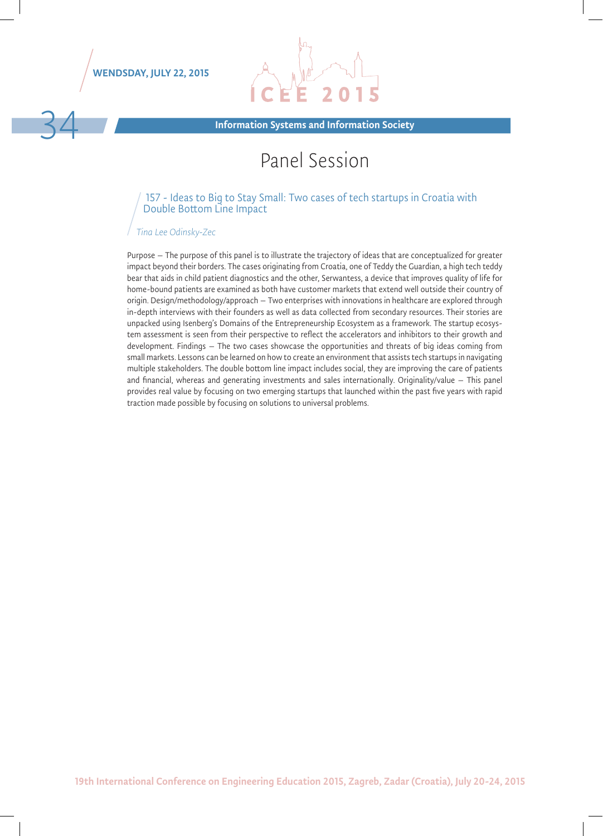WENDSDAY, JULY 22, 2015



Information Systems and Information Society

# Panel Session

#### 157 - Ideas to Big to Stay Small: Two cases of tech startups in Croatia with Double Bottom Line Impact

#### *Tina Lee Odinsky-Zec*

Purpose – The purpose of this panel is to illustrate the trajectory of ideas that are conceptualized for greater impact beyond their borders. The cases originating from Croatia, one of Teddy the Guardian, a high tech teddy bear that aids in child patient diagnostics and the other, Serwantess, a device that improves quality of life for home-bound patients are examined as both have customer markets that extend well outside their country of origin. Design/methodology/approach – Two enterprises with innovations in healthcare are explored through in-depth interviews with their founders as well as data collected from secondary resources. Their stories are unpacked using Isenberg's Domains of the Entrepreneurship Ecosystem as a framework. The startup ecosystem assessment is seen from their perspective to reflect the accelerators and inhibitors to their growth and development. Findings – The two cases showcase the opportunities and threats of big ideas coming from small markets. Lessons can be learned on how to create an environment that assists tech startups in navigating multiple stakeholders. The double bottom line impact includes social, they are improving the care of patients and financial, whereas and generating investments and sales internationally. Originality/value – This panel provides real value by focusing on two emerging startups that launched within the past five years with rapid traction made possible by focusing on solutions to universal problems.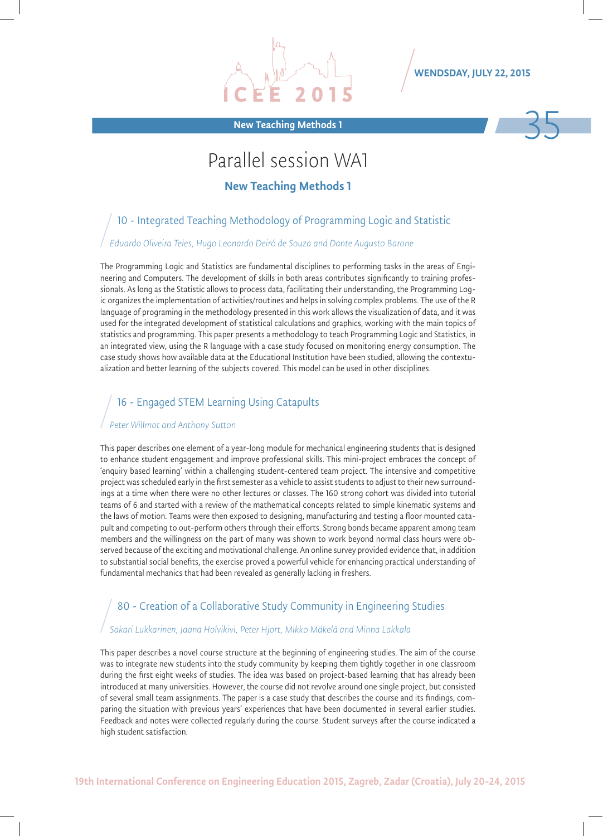

WENDSDAY, JULY 22, 2015



## Parallel session WA1

New Teaching Methods 1

#### 10 - Integrated Teaching Methodology of Programming Logic and Statistic

#### *Eduardo Oliveira Teles, Hugo Leonardo Deiró de Souza and Dante Augusto Barone*

The Programming Logic and Statistics are fundamental disciplines to performing tasks in the areas of Engineering and Computers. The development of skills in both areas contributes significantly to training professionals. As long as the Statistic allows to process data, facilitating their understanding, the Programming Logic organizes the implementation of activities/routines and helps in solving complex problems. The use of the R language of programing in the methodology presented in this work allows the visualization of data, and it was used for the integrated development of statistical calculations and graphics, working with the main topics of statistics and programming. This paper presents a methodology to teach Programming Logic and Statistics, in an integrated view, using the R language with a case study focused on monitoring energy consumption. The case study shows how available data at the Educational Institution have been studied, allowing the contextualization and better learning of the subjects covered. This model can be used in other disciplines.

#### 16 - Engaged STEM Learning Using Catapults

#### *Peter Willmot and Anthony Sutton*

This paper describes one element of a year-long module for mechanical engineering students that is designed to enhance student engagement and improve professional skills. This mini-project embraces the concept of 'enquiry based learning' within a challenging student-centered team project. The intensive and competitive project was scheduled early in the first semester as a vehicle to assist students to adjust to their new surroundings at a time when there were no other lectures or classes. The 160 strong cohort was divided into tutorial teams of 6 and started with a review of the mathematical concepts related to simple kinematic systems and the laws of motion. Teams were then exposed to designing, manufacturing and testing a floor mounted catapult and competing to out-perform others through their efforts. Strong bonds became apparent among team members and the willingness on the part of many was shown to work beyond normal class hours were observed because of the exciting and motivational challenge. An online survey provided evidence that, in addition to substantial social benefits, the exercise proved a powerful vehicle for enhancing practical understanding of fundamental mechanics that had been revealed as generally lacking in freshers.

#### 80 - Creation of a Collaborative Study Community in Engineering Studies

#### *Sakari Lukkarinen, Jaana Holvikivi, Peter Hjort, Mikko Mäkelä and Minna Lakkala*

This paper describes a novel course structure at the beginning of engineering studies. The aim of the course was to integrate new students into the study community by keeping them tightly together in one classroom during the first eight weeks of studies. The idea was based on project-based learning that has already been introduced at many universities. However, the course did not revolve around one single project, but consisted of several small team assignments. The paper is a case study that describes the course and its findings, comparing the situation with previous years' experiences that have been documented in several earlier studies. Feedback and notes were collected regularly during the course. Student surveys after the course indicated a high student satisfaction.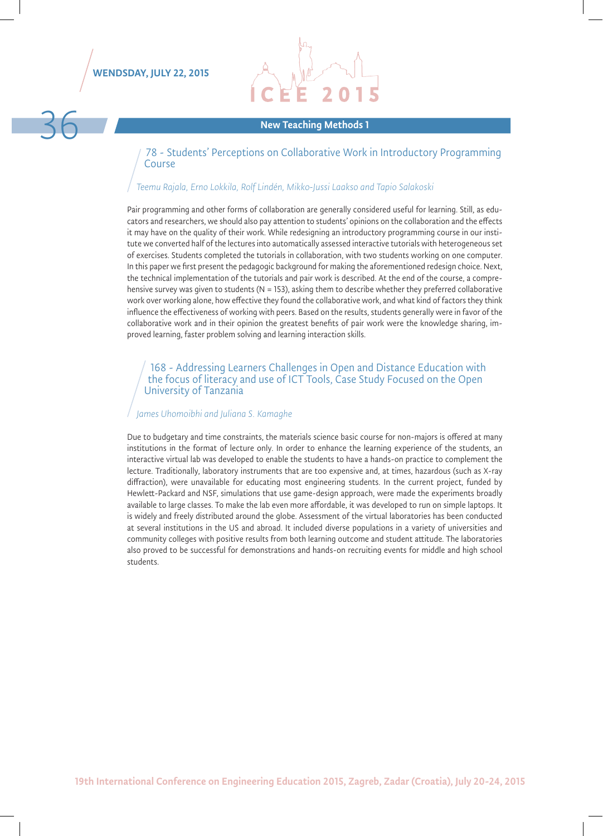

# Rew Teaching Methods 1

78 - Students' Perceptions on Collaborative Work in Introductory Programming Course

#### *Teemu Rajala, Erno Lokkila, Rolf Lindén, Mikko-Jussi Laakso and Tapio Salakoski*

Pair programming and other forms of collaboration are generally considered useful for learning. Still, as educators and researchers, we should also pay attention to students' opinions on the collaboration and the effects it may have on the quality of their work. While redesigning an introductory programming course in our institute we converted half of the lectures into automatically assessed interactive tutorials with heterogeneous set of exercises. Students completed the tutorials in collaboration, with two students working on one computer. In this paper we first present the pedagogic background for making the aforementioned redesign choice. Next, the technical implementation of the tutorials and pair work is described. At the end of the course, a comprehensive survey was given to students (N = 153), asking them to describe whether they preferred collaborative work over working alone, how effective they found the collaborative work, and what kind of factors they think influence the effectiveness of working with peers. Based on the results, students generally were in favor of the collaborative work and in their opinion the greatest benefits of pair work were the knowledge sharing, improved learning, faster problem solving and learning interaction skills.

#### 168 - Addressing Learners Challenges in Open and Distance Education with the focus of literacy and use of ICT Tools, Case Study Focused on the Open University of Tanzania

#### *James Uhomoibhi and Juliana S. Kamaghe*

Due to budgetary and time constraints, the materials science basic course for non-majors is offered at many institutions in the format of lecture only. In order to enhance the learning experience of the students, an interactive virtual lab was developed to enable the students to have a hands-on practice to complement the lecture. Traditionally, laboratory instruments that are too expensive and, at times, hazardous (such as X-ray diffraction), were unavailable for educating most engineering students. In the current project, funded by Hewlett-Packard and NSF, simulations that use game-design approach, were made the experiments broadly available to large classes. To make the lab even more affordable, it was developed to run on simple laptops. It is widely and freely distributed around the globe. Assessment of the virtual laboratories has been conducted at several institutions in the US and abroad. It included diverse populations in a variety of universities and community colleges with positive results from both learning outcome and student attitude. The laboratories also proved to be successful for demonstrations and hands-on recruiting events for middle and high school students.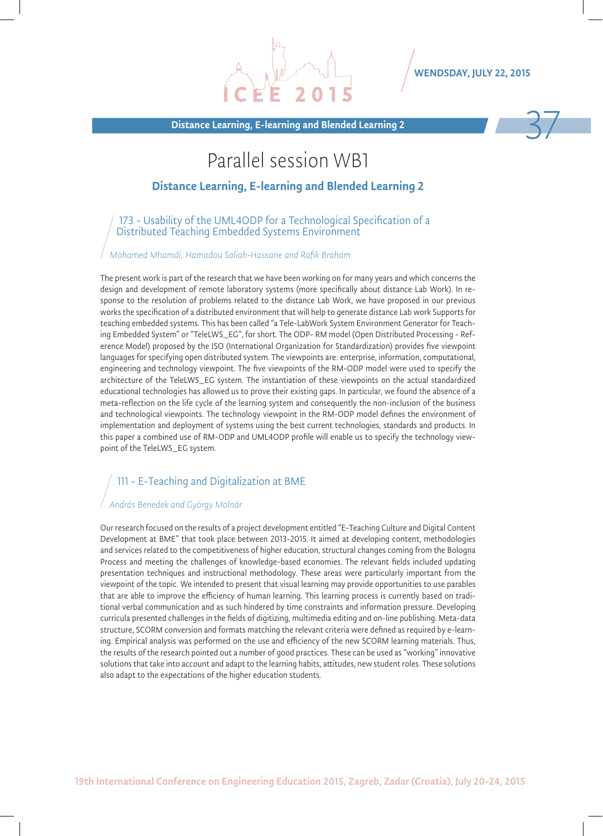WENDSDAY, JULY 22, 2015

Distance Learning, E-learning and Blended Learning 2

### Parallel session WB1

#### Distance Learning, E-learning and Blended Learning 2

173 - Usability of the UML4ODP for a Technological Specification of a Distributed Teaching Embedded Systems Environment

*Mohamed Mhamdi, Hamadou Saliah-Hassane and Rafik Braham*

The present work is part of the research that we have been working on for many years and which concerns the design and development of remote laboratory systems (more specifically about distance Lab Work). In response to the resolution of problems related to the distance Lab Work, we have proposed in our previous works the specification of a distributed environment that will help to generate distance Lab work Supports for teaching embedded systems. This has been called "a Tele-LabWork System Environment Generator for Teaching Embedded System" or "TeleLWS\_EG", for short. The ODP- RM model (Open Distributed Processing - Reference Model) proposed by the ISO (International Organization for Standardization) provides five viewpoint languages for specifying open distributed system. The viewpoints are: enterprise, information, computational, engineering and technology viewpoint. The five viewpoints of the RM-ODP model were used to specify the architecture of the TeleLWS\_EG system. The instantiation of these viewpoints on the actual standardized educational technologies has allowed us to prove their existing gaps. In particular, we found the absence of a meta-reflection on the life cycle of the learning system and consequently the non-inclusion of the business and technological viewpoints. The technology viewpoint in the RM-ODP model defines the environment of implementation and deployment of systems using the best current technologies, standards and products. In this paper a combined use of RM-ODP and UML4ODP profile will enable us to specify the technology viewpoint of the TeleLWS\_EG system.

#### 111 - E-Teaching and Digitalization at BME

#### *András Benedek and György Molnár*

Our research focused on the results of a project development entitled "E-Teaching Culture and Digital Content Development at BME" that took place between 2013-2015. It aimed at developing content, methodologies and services related to the competitiveness of higher education, structural changes coming from the Bologna Process and meeting the challenges of knowledge-based economies. The relevant fields included updating presentation techniques and instructional methodology. These areas were particularly important from the viewpoint of the topic. We intended to present that visual learning may provide opportunities to use parables that are able to improve the efficiency of human learning. This learning process is currently based on traditional verbal communication and as such hindered by time constraints and information pressure. Developing curricula presented challenges in the fields of digitizing, multimedia editing and on-line publishing. Meta-data structure, SCORM conversion and formats matching the relevant criteria were defined as required by e-learning. Empirical analysis was performed on the use and efficiency of the new SCORM learning materials. Thus, the results of the research pointed out a number of good practices. These can be used as "working" innovative solutions that take into account and adapt to the learning habits, attitudes, new student roles. These solutions also adapt to the expectations of the higher education students.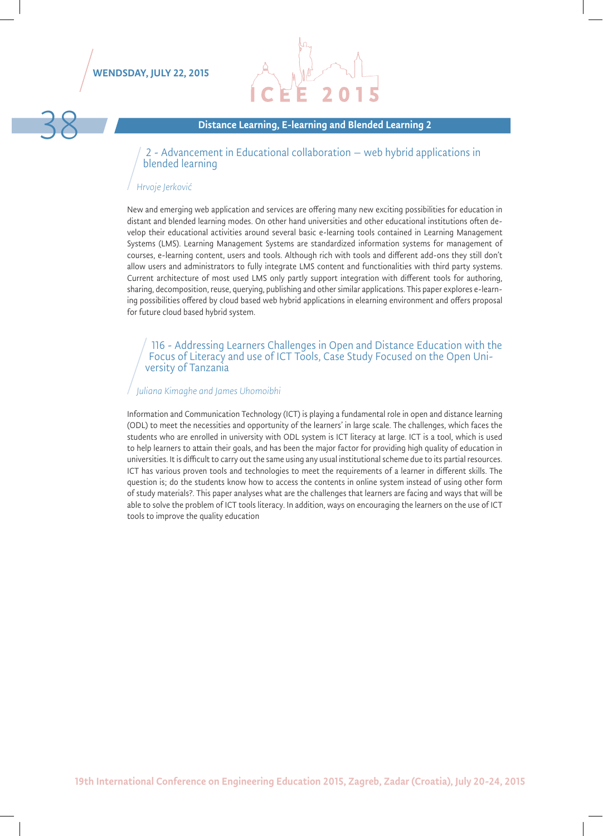#### WENDSDAY, JULY 22, 2015



#### Distance Learning, E-learning and Blended Learning 2

2 - Advancement in Educational collaboration – web hybrid applications in blended learning

#### *Hrvoje Jerković*

New and emerging web application and services are offering many new exciting possibilities for education in distant and blended learning modes. On other hand universities and other educational institutions often develop their educational activities around several basic e-learning tools contained in Learning Management Systems (LMS). Learning Management Systems are standardized information systems for management of courses, e-learning content, users and tools. Although rich with tools and different add-ons they still don't allow users and administrators to fully integrate LMS content and functionalities with third party systems. Current architecture of most used LMS only partly support integration with different tools for authoring, sharing, decomposition, reuse, querying, publishing and other similar applications. This paper explores e-learning possibilities offered by cloud based web hybrid applications in elearning environment and offers proposal for future cloud based hybrid system.

116 - Addressing Learners Challenges in Open and Distance Education with the Focus of Literacy and use of ICT Tools, Case Study Focused on the Open Uni- versity of Tanzania

#### *Juliana Kimaghe and James Uhomoibhi*

Information and Communication Technology (ICT) is playing a fundamental role in open and distance learning (ODL) to meet the necessities and opportunity of the learners' in large scale. The challenges, which faces the students who are enrolled in university with ODL system is ICT literacy at large. ICT is a tool, which is used to help learners to attain their goals, and has been the major factor for providing high quality of education in universities. It is difficult to carry out the same using any usual institutional scheme due to its partial resources. ICT has various proven tools and technologies to meet the requirements of a learner in different skills. The question is; do the students know how to access the contents in online system instead of using other form of study materials?. This paper analyses what are the challenges that learners are facing and ways that will be able to solve the problem of ICT tools literacy. In addition, ways on encouraging the learners on the use of ICT tools to improve the quality education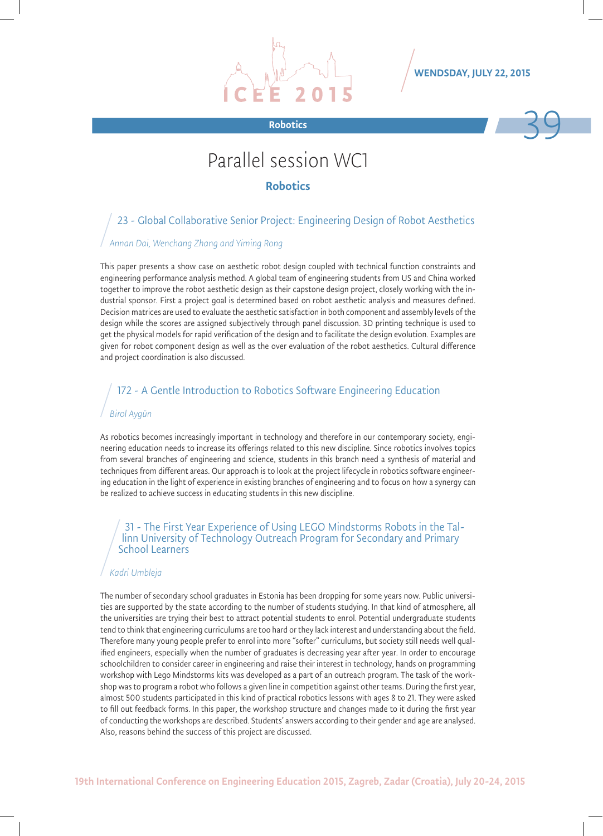



# Parallel session WC1

#### Robotics

### 23 - Global Collaborative Senior Project: Engineering Design of Robot Aesthetics

#### *Annan Dai, Wenchang Zhang and Yiming Rong*

This paper presents a show case on aesthetic robot design coupled with technical function constraints and engineering performance analysis method. A global team of engineering students from US and China worked together to improve the robot aesthetic design as their capstone design project, closely working with the industrial sponsor. First a project goal is determined based on robot aesthetic analysis and measures defined. Decision matrices are used to evaluate the aesthetic satisfaction in both component and assembly levels of the design while the scores are assigned subjectively through panel discussion. 3D printing technique is used to get the physical models for rapid verification of the design and to facilitate the design evolution. Examples are given for robot component design as well as the over evaluation of the robot aesthetics. Cultural difference and project coordination is also discussed.

#### 172 - A Gentle Introduction to Robotics Software Engineering Education

#### *Birol Aygün*

As robotics becomes increasingly important in technology and therefore in our contemporary society, engineering education needs to increase its offerings related to this new discipline. Since robotics involves topics from several branches of engineering and science, students in this branch need a synthesis of material and techniques from different areas. Our approach is to look at the project lifecycle in robotics software engineering education in the light of experience in existing branches of engineering and to focus on how a synergy can be realized to achieve success in educating students in this new discipline.

### 31 - The First Year Experience of Using LEGO Mindstorms Robots in the Tal- linn University of Technology Outreach Program for Secondary and Primary School Learners

#### *Kadri Umbleja*

The number of secondary school graduates in Estonia has been dropping for some years now. Public universities are supported by the state according to the number of students studying. In that kind of atmosphere, all the universities are trying their best to attract potential students to enrol. Potential undergraduate students tend to think that engineering curriculums are too hard or they lack interest and understanding about the field. Therefore many young people prefer to enrol into more "softer" curriculums, but society still needs well qualified engineers, especially when the number of graduates is decreasing year after year. In order to encourage schoolchildren to consider career in engineering and raise their interest in technology, hands on programming workshop with Lego Mindstorms kits was developed as a part of an outreach program. The task of the workshop was to program a robot who follows a given line in competition against other teams. During the first year, almost 500 students participated in this kind of practical robotics lessons with ages 8 to 21. They were asked to fill out feedback forms. In this paper, the workshop structure and changes made to it during the first year of conducting the workshops are described. Students' answers according to their gender and age are analysed. Also, reasons behind the success of this project are discussed.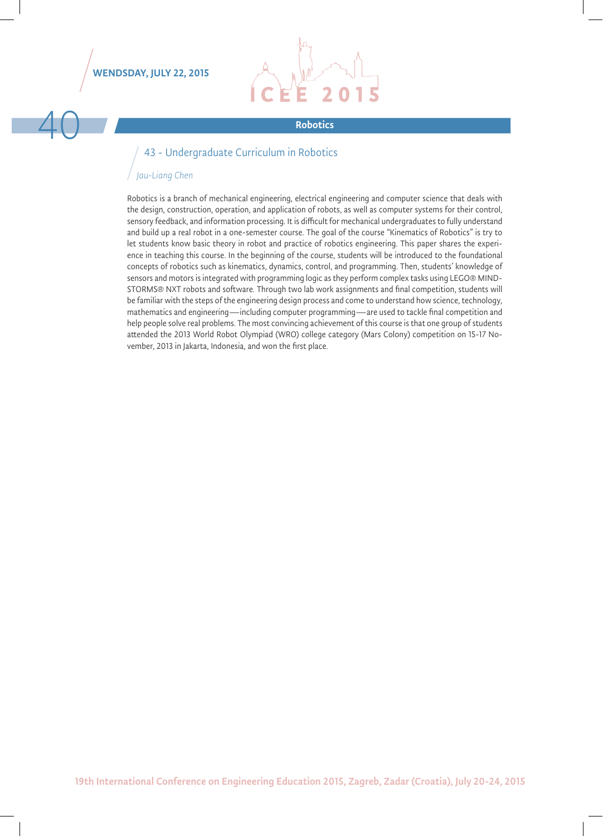#### WENDSDAY, JULY 22, 2015



#### 43 - Undergraduate Curriculum in Robotics

#### *Jau-Liang Chen*

Robotics is a branch of mechanical engineering, electrical engineering and computer science that deals with the design, construction, operation, and application of robots, as well as computer systems for their control, sensory feedback, and information processing. It is difficult for mechanical undergraduates to fully understand and build up a real robot in a one-semester course. The goal of the course "Kinematics of Robotics" is try to let students know basic theory in robot and practice of robotics engineering. This paper shares the experience in teaching this course. In the beginning of the course, students will be introduced to the foundational concepts of robotics such as kinematics, dynamics, control, and programming. Then, students' knowledge of sensors and motors is integrated with programming logic as they perform complex tasks using LEGO® MIND-STORMS® NXT robots and software. Through two lab work assignments and final competition, students will be familiar with the steps of the engineering design process and come to understand how science, technology, mathematics and engineering—including computer programming—are used to tackle final competition and help people solve real problems. The most convincing achievement of this course is that one group of students attended the 2013 World Robot Olympiad (WRO) college category (Mars Colony) competition on 15-17 November, 2013 in Jakarta, Indonesia, and won the first place.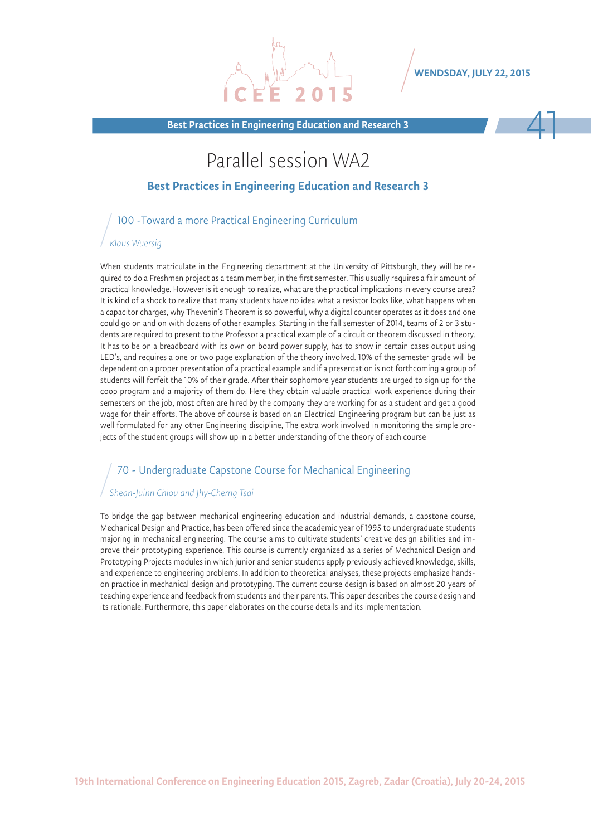WENDSDAY, JULY 22, 2015

Best Practices in Engineering Education and Research 3

## Parallel session WA2

#### Best Practices in Engineering Education and Research 3

100 -Toward a more Practical Engineering Curriculum

#### *Klaus Wuersig*

When students matriculate in the Engineering department at the University of Pittsburgh, they will be required to do a Freshmen project as a team member, in the first semester. This usually requires a fair amount of practical knowledge. However is it enough to realize, what are the practical implications in every course area? It is kind of a shock to realize that many students have no idea what a resistor looks like, what happens when a capacitor charges, why Thevenin's Theorem is so powerful, why a digital counter operates as it does and one could go on and on with dozens of other examples. Starting in the fall semester of 2014, teams of 2 or 3 students are required to present to the Professor a practical example of a circuit or theorem discussed in theory. It has to be on a breadboard with its own on board power supply, has to show in certain cases output using LED's, and requires a one or two page explanation of the theory involved. 10% of the semester grade will be dependent on a proper presentation of a practical example and if a presentation is not forthcoming a group of students will forfeit the 10% of their grade. After their sophomore year students are urged to sign up for the coop program and a majority of them do. Here they obtain valuable practical work experience during their semesters on the job, most often are hired by the company they are working for as a student and get a good wage for their efforts. The above of course is based on an Electrical Engineering program but can be just as well formulated for any other Engineering discipline, The extra work involved in monitoring the simple projects of the student groups will show up in a better understanding of the theory of each course

#### 70 - Undergraduate Capstone Course for Mechanical Engineering

#### *Shean-Juinn Chiou and Jhy-Cherng Tsai*

To bridge the gap between mechanical engineering education and industrial demands, a capstone course, Mechanical Design and Practice, has been offered since the academic year of 1995 to undergraduate students majoring in mechanical engineering. The course aims to cultivate students' creative design abilities and improve their prototyping experience. This course is currently organized as a series of Mechanical Design and Prototyping Projects modules in which junior and senior students apply previously achieved knowledge, skills, and experience to engineering problems. In addition to theoretical analyses, these projects emphasize handson practice in mechanical design and prototyping. The current course design is based on almost 20 years of teaching experience and feedback from students and their parents. This paper describes the course design and its rationale. Furthermore, this paper elaborates on the course details and its implementation.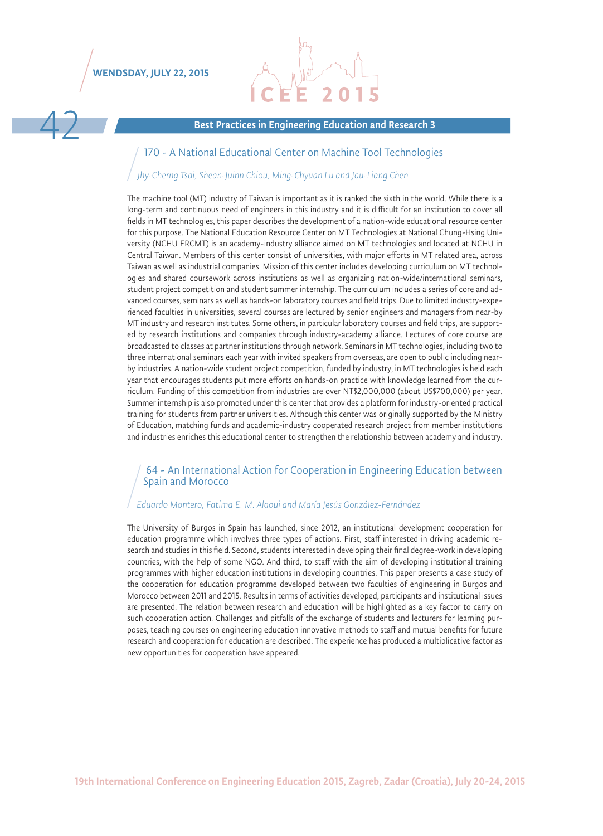

Best Practices in Engineering Education and Research 3

#### 170 - A National Educational Center on Machine Tool Technologies

#### *Jhy-Cherng Tsai, Shean-Juinn Chiou, Ming-Chyuan Lu and Jau-Liang Chen*

The machine tool (MT) industry of Taiwan is important as it is ranked the sixth in the world. While there is a long-term and continuous need of engineers in this industry and it is difficult for an institution to cover all fields in MT technologies, this paper describes the development of a nation-wide educational resource center for this purpose. The National Education Resource Center on MT Technologies at National Chung-Hsing University (NCHU ERCMT) is an academy-industry alliance aimed on MT technologies and located at NCHU in Central Taiwan. Members of this center consist of universities, with major efforts in MT related area, across Taiwan as well as industrial companies. Mission of this center includes developing curriculum on MT technologies and shared coursework across institutions as well as organizing nation-wide/international seminars, student project competition and student summer internship. The curriculum includes a series of core and advanced courses, seminars as well as hands-on laboratory courses and field trips. Due to limited industry-experienced faculties in universities, several courses are lectured by senior engineers and managers from near-by MT industry and research institutes. Some others, in particular laboratory courses and field trips, are supported by research institutions and companies through industry-academy alliance. Lectures of core course are broadcasted to classes at partner institutions through network. Seminars in MT technologies, including two to three international seminars each year with invited speakers from overseas, are open to public including nearby industries. A nation-wide student project competition, funded by industry, in MT technologies is held each year that encourages students put more efforts on hands-on practice with knowledge learned from the curriculum. Funding of this competition from industries are over NT\$2,000,000 (about US\$700,000) per year. Summer internship is also promoted under this center that provides a platform for industry-oriented practical training for students from partner universities. Although this center was originally supported by the Ministry of Education, matching funds and academic-industry cooperated research project from member institutions and industries enriches this educational center to strengthen the relationship between academy and industry.

#### 64 - An International Action for Cooperation in Engineering Education between Spain and Morocco

#### *Eduardo Montero, Fatima E. M. Alaoui and María Jesús González-Fernández*

The University of Burgos in Spain has launched, since 2012, an institutional development cooperation for education programme which involves three types of actions. First, staff interested in driving academic research and studies in this field. Second, students interested in developing their final degree-work in developing countries, with the help of some NGO. And third, to staff with the aim of developing institutional training programmes with higher education institutions in developing countries. This paper presents a case study of the cooperation for education programme developed between two faculties of engineering in Burgos and Morocco between 2011 and 2015. Results in terms of activities developed, participants and institutional issues are presented. The relation between research and education will be highlighted as a key factor to carry on such cooperation action. Challenges and pitfalls of the exchange of students and lecturers for learning purposes, teaching courses on engineering education innovative methods to staff and mutual benefits for future research and cooperation for education are described. The experience has produced a multiplicative factor as new opportunities for cooperation have appeared.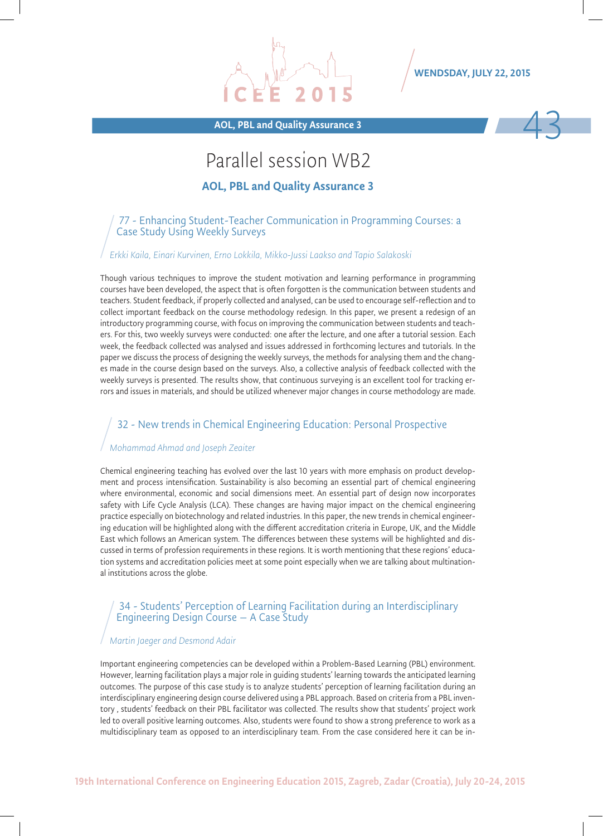

#### WENDSDAY, JULY 22, 2015



## Parallel session WB2

AOL, PBL and Quality Assurance 3

#### 77 - Enhancing Student-Teacher Communication in Programming Courses: a Case Study Using Weekly Surveys

#### *Erkki Kaila, Einari Kurvinen, Erno Lokkila, Mikko-Jussi Laakso and Tapio Salakoski*

Though various techniques to improve the student motivation and learning performance in programming courses have been developed, the aspect that is often forgotten is the communication between students and teachers. Student feedback, if properly collected and analysed, can be used to encourage self-reflection and to collect important feedback on the course methodology redesign. In this paper, we present a redesign of an introductory programming course, with focus on improving the communication between students and teachers. For this, two weekly surveys were conducted: one after the lecture, and one after a tutorial session. Each week, the feedback collected was analysed and issues addressed in forthcoming lectures and tutorials. In the paper we discuss the process of designing the weekly surveys, the methods for analysing them and the changes made in the course design based on the surveys. Also, a collective analysis of feedback collected with the weekly surveys is presented. The results show, that continuous surveying is an excellent tool for tracking errors and issues in materials, and should be utilized whenever major changes in course methodology are made.

#### 32 - New trends in Chemical Engineering Education: Personal Prospective

#### *Mohammad Ahmad and Joseph Zeaiter*

Chemical engineering teaching has evolved over the last 10 years with more emphasis on product development and process intensification. Sustainability is also becoming an essential part of chemical engineering where environmental, economic and social dimensions meet. An essential part of design now incorporates safety with Life Cycle Analysis (LCA). These changes are having major impact on the chemical engineering practice especially on biotechnology and related industries. In this paper, the new trends in chemical engineering education will be highlighted along with the different accreditation criteria in Europe, UK, and the Middle East which follows an American system. The differences between these systems will be highlighted and discussed in terms of profession requirements in these regions. It is worth mentioning that these regions' education systems and accreditation policies meet at some point especially when we are talking about multinational institutions across the globe.

#### 34 - Students' Perception of Learning Facilitation during an Interdisciplinary Engineering Design Course – A Case Study

#### *Martin Jaeger and Desmond Adair*

Important engineering competencies can be developed within a Problem-Based Learning (PBL) environment. However, learning facilitation plays a major role in guiding students' learning towards the anticipated learning outcomes. The purpose of this case study is to analyze students' perception of learning facilitation during an interdisciplinary engineering design course delivered using a PBL approach. Based on criteria from a PBL inventory , students' feedback on their PBL facilitator was collected. The results show that students' project work led to overall positive learning outcomes. Also, students were found to show a strong preference to work as a multidisciplinary team as opposed to an interdisciplinary team. From the case considered here it can be in-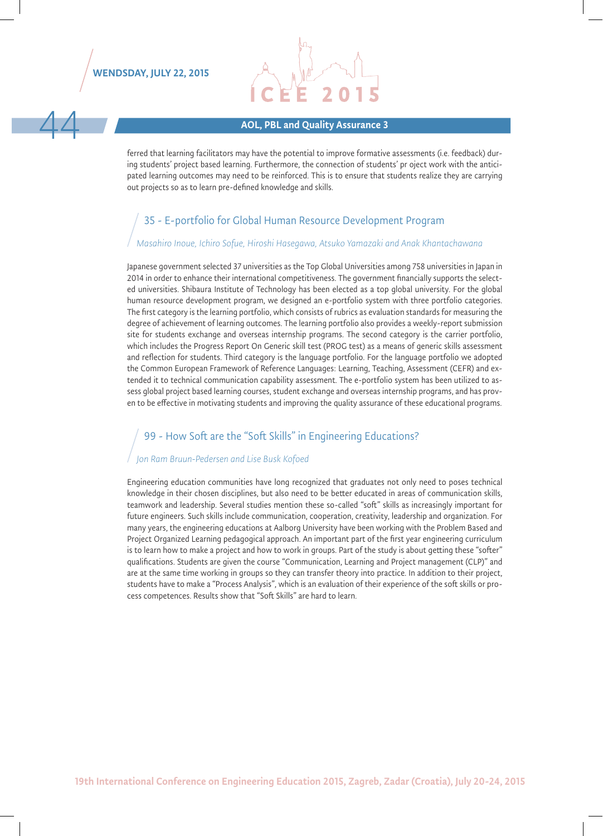

# extending the Matter of the Matter of AOL, PBL and Quality Assurance 3

ferred that learning facilitators may have the potential to improve formative assessments (i.e. feedback) during students' project based learning. Furthermore, the connection of students' pr oject work with the anticipated learning outcomes may need to be reinforced. This is to ensure that students realize they are carrying out projects so as to learn pre-defined knowledge and skills.

#### 35 - E-portfolio for Global Human Resource Development Program

#### *Masahiro Inoue, Ichiro Sofue, Hiroshi Hasegawa, Atsuko Yamazaki and Anak Khantachawana*

Japanese government selected 37 universities as the Top Global Universities among 758 universities in Japan in 2014 in order to enhance their international competitiveness. The government financially supports the selected universities. Shibaura Institute of Technology has been elected as a top global university. For the global human resource development program, we designed an e-portfolio system with three portfolio categories. The first category is the learning portfolio, which consists of rubrics as evaluation standards for measuring the degree of achievement of learning outcomes. The learning portfolio also provides a weekly-report submission site for students exchange and overseas internship programs. The second category is the carrier portfolio, which includes the Progress Report On Generic skill test (PROG test) as a means of generic skills assessment and reflection for students. Third category is the language portfolio. For the language portfolio we adopted the Common European Framework of Reference Languages: Learning, Teaching, Assessment (CEFR) and extended it to technical communication capability assessment. The e-portfolio system has been utilized to assess global project based learning courses, student exchange and overseas internship programs, and has proven to be effective in motivating students and improving the quality assurance of these educational programs.

#### 99 - How Soft are the "Soft Skills" in Engineering Educations?

#### *Jon Ram Bruun-Pedersen and Lise Busk Kofoed*

Engineering education communities have long recognized that graduates not only need to poses technical knowledge in their chosen disciplines, but also need to be better educated in areas of communication skills, teamwork and leadership. Several studies mention these so-called "soft" skills as increasingly important for future engineers. Such skills include communication, cooperation, creativity, leadership and organization. For many years, the engineering educations at Aalborg University have been working with the Problem Based and Project Organized Learning pedagogical approach. An important part of the first year engineering curriculum is to learn how to make a project and how to work in groups. Part of the study is about getting these "softer" qualifications. Students are given the course "Communication, Learning and Project management (CLP)" and are at the same time working in groups so they can transfer theory into practice. In addition to their project, students have to make a "Process Analysis", which is an evaluation of their experience of the soft skills or process competences. Results show that "Soft Skills" are hard to learn.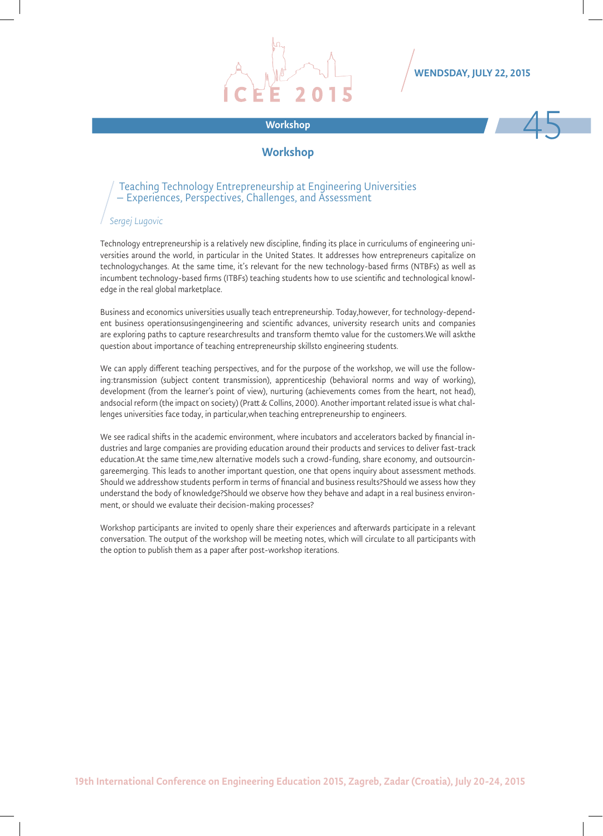

#### WENDSDAY, JULY 22, 2015



#### **Workshop**

#### Teaching Technology Entrepreneurship at Engineering Universities – Experiences, Perspectives, Challenges, and Assessment

#### *Sergej Lugovic*

Technology entrepreneurship is a relatively new discipline, finding its place in curriculums of engineering universities around the world, in particular in the United States. It addresses how entrepreneurs capitalize on technologychanges. At the same time, it's relevant for the new technology-based firms (NTBFs) as well as incumbent technology-based firms (ITBFs) teaching students how to use scientific and technological knowledge in the real global marketplace.

Business and economics universities usually teach entrepreneurship. Today,however, for technology-dependent business operationsusingengineering and scientific advances, university research units and companies are exploring paths to capture researchresults and transform themto value for the customers.We will askthe question about importance of teaching entrepreneurship skillsto engineering students.

We can apply different teaching perspectives, and for the purpose of the workshop, we will use the following:transmission (subject content transmission), apprenticeship (behavioral norms and way of working), development (from the learner's point of view), nurturing (achievements comes from the heart, not head), andsocial reform (the impact on society) (Pratt & Collins, 2000). Another important related issue is what challenges universities face today, in particular,when teaching entrepreneurship to engineers.

We see radical shifts in the academic environment, where incubators and accelerators backed by financial industries and large companies are providing education around their products and services to deliver fast-track education.At the same time,new alternative models such a crowd-funding, share economy, and outsourcingareemerging. This leads to another important question, one that opens inquiry about assessment methods. Should we addresshow students perform in terms of financial and business results?Should we assess how they understand the body of knowledge?Should we observe how they behave and adapt in a real business environment, or should we evaluate their decision-making processes?

Workshop participants are invited to openly share their experiences and afterwards participate in a relevant conversation. The output of the workshop will be meeting notes, which will circulate to all participants with the option to publish them as a paper after post-workshop iterations.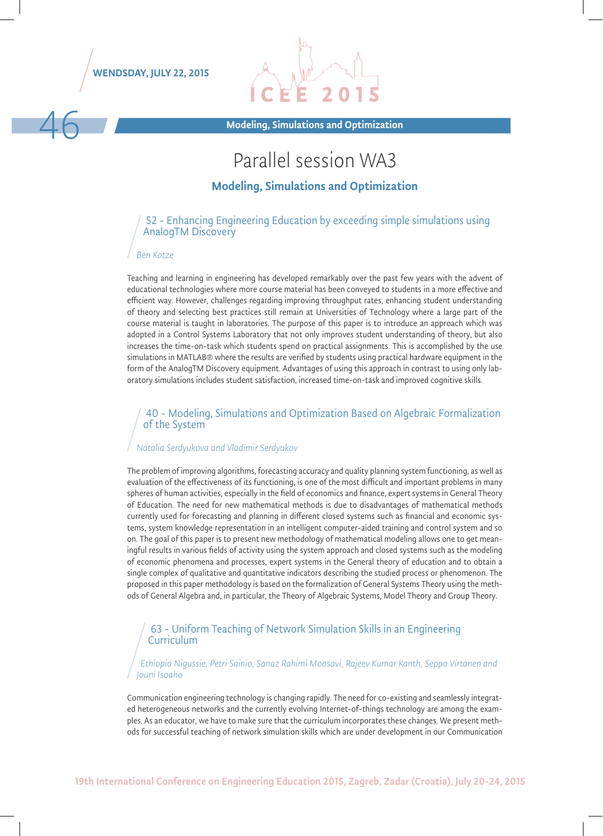



46 Modeling, Simulations and Optimization

# Parallel session WA3

#### Modeling, Simulations and Optimization

#### 52 - Enhancing Engineering Education by exceeding simple simulations using AnalogTM Discovery

#### *Ben Kotze*

Teaching and learning in engineering has developed remarkably over the past few years with the advent of educational technologies where more course material has been conveyed to students in a more effective and efficient way. However, challenges regarding improving throughput rates, enhancing student understanding of theory and selecting best practices still remain at Universities of Technology where a large part of the course material is taught in laboratories. The purpose of this paper is to introduce an approach which was adopted in a Control Systems Laboratory that not only improves student understanding of theory, but also increases the time-on-task which students spend on practical assignments. This is accomplished by the use simulations in MATLAB® where the results are verified by students using practical hardware equipment in the form of the AnalogTM Discovery equipment. Advantages of using this approach in contrast to using only laboratory simulations includes student satisfaction, increased time-on-task and improved cognitive skills.

#### 40 - Modeling, Simulations and Optimization Based on Algebraic Formalization of the System

#### *Natalia Serdyukova and Vladimir Serdyukov*

The problem of improving algorithms, forecasting accuracy and quality planning system functioning, as well as evaluation of the effectiveness of its functioning, is one of the most difficult and important problems in many spheres of human activities, especially in the field of economics and finance, expert systems in General Theory of Education. The need for new mathematical methods is due to disadvantages of mathematical methods currently used for forecasting and planning in different closed systems such as financial and economic systems, system knowledge representation in an intelligent computer-aided training and control system and so on. The goal of this paper is to present new methodology of mathematical modeling allows one to get meaningful results in various fields of activity using the system approach and closed systems such as the modeling of economic phenomena and processes, expert systems in the General theory of education and to obtain a single complex of qualitative and quantitative indicators describing the studied process or phenomenon. The proposed in this paper methodology is based on the formalization of General Systems Theory using the methods of General Algebra and, in particular, the Theory of Algebraic Systems, Model Theory and Group Theory.

#### 63 - Uniform Teaching of Network Simulation Skills in an Engineering **Curriculum**

*Ethiopia Nigussie, Petri Sainio, Sanaz Rahimi Moosavi, Rajeev Kumar Kanth, Seppo Virtanen and Jouni Isoaho*

Communication engineering technology is changing rapidly. The need for co-existing and seamlessly integrated heterogeneous networks and the currently evolving Internet-of-things technology are among the examples. As an educator, we have to make sure that the curriculum incorporates these changes. We present methods for successful teaching of network simulation skills which are under development in our Communication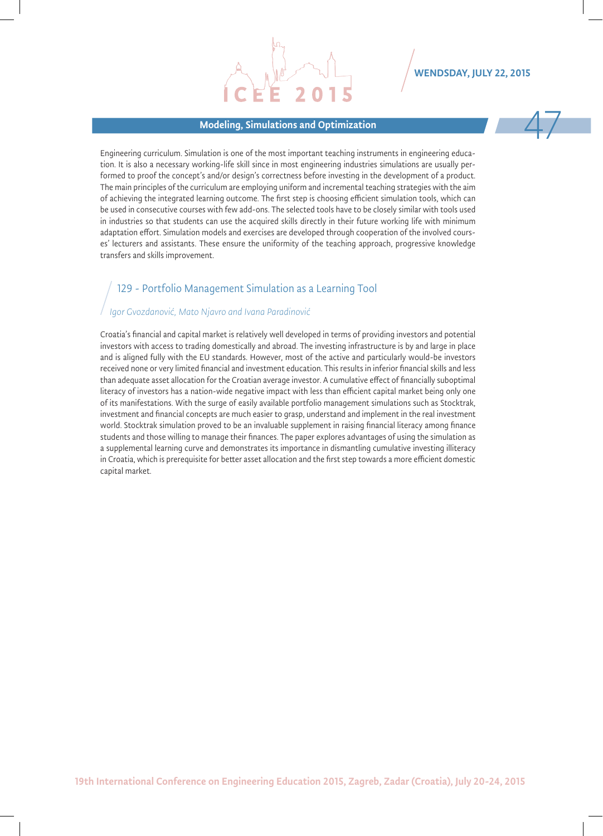#### Modeling, Simulations and Optimization 47

WENDSDAY, JULY 22, 2015

Engineering curriculum. Simulation is one of the most important teaching instruments in engineering education. It is also a necessary working-life skill since in most engineering industries simulations are usually performed to proof the concept's and/or design's correctness before investing in the development of a product. The main principles of the curriculum are employing uniform and incremental teaching strategies with the aim of achieving the integrated learning outcome. The first step is choosing efficient simulation tools, which can be used in consecutive courses with few add-ons. The selected tools have to be closely similar with tools used in industries so that students can use the acquired skills directly in their future working life with minimum adaptation effort. Simulation models and exercises are developed through cooperation of the involved courses' lecturers and assistants. These ensure the uniformity of the teaching approach, progressive knowledge transfers and skills improvement.

### 129 - Portfolio Management Simulation as a Learning Tool

#### *Igor Gvozdanović, Mato Njavro and Ivana Paradinović*

Croatia's financial and capital market is relatively well developed in terms of providing investors and potential investors with access to trading domestically and abroad. The investing infrastructure is by and large in place and is aligned fully with the EU standards. However, most of the active and particularly would-be investors received none or very limited financial and investment education. This results in inferior financial skills and less than adequate asset allocation for the Croatian average investor. A cumulative effect of financially suboptimal literacy of investors has a nation-wide negative impact with less than efficient capital market being only one of its manifestations. With the surge of easily available portfolio management simulations such as Stocktrak, investment and financial concepts are much easier to grasp, understand and implement in the real investment world. Stocktrak simulation proved to be an invaluable supplement in raising financial literacy among finance students and those willing to manage their finances. The paper explores advantages of using the simulation as a supplemental learning curve and demonstrates its importance in dismantling cumulative investing illiteracy in Croatia, which is prerequisite for better asset allocation and the first step towards a more efficient domestic capital market.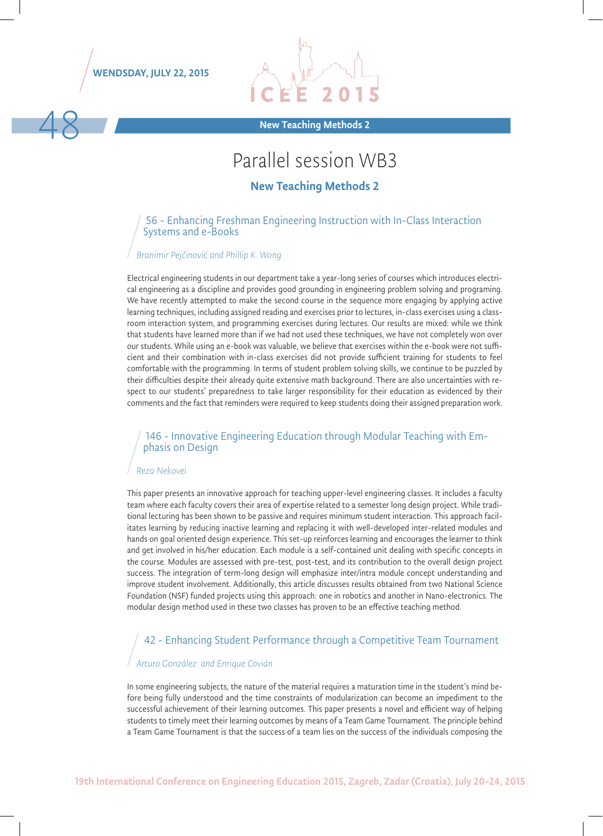WENDSDAY, JULY 22, 2015



A8 New Teaching Methods 2

## Parallel session WB3

#### New Teaching Methods 2

#### 56 - Enhancing Freshman Engineering Instruction with In-Class Interaction Systems and e-Books

#### *Branimir Pejčinović and Phillip K. Wong*

Electrical engineering students in our department take a year-long series of courses which introduces electrical engineering as a discipline and provides good grounding in engineering problem solving and programing. We have recently attempted to make the second course in the sequence more engaging by applying active learning techniques, including assigned reading and exercises prior to lectures, in-class exercises using a classroom interaction system, and programming exercises during lectures. Our results are mixed: while we think that students have learned more than if we had not used these techniques, we have not completely won over our students. While using an e-book was valuable, we believe that exercises within the e-book were not sufficient and their combination with in-class exercises did not provide sufficient training for students to feel comfortable with the programming. In terms of student problem solving skills, we continue to be puzzled by their difficulties despite their already quite extensive math background. There are also uncertainties with respect to our students' preparedness to take larger responsibility for their education as evidenced by their comments and the fact that reminders were required to keep students doing their assigned preparation work.

# 146 - Innovative Engineering Education through Modular Teaching with Em- phasis on Design

#### *Reza Nekovei*

This paper presents an innovative approach for teaching upper-level engineering classes. It includes a faculty team where each faculty covers their area of expertise related to a semester long design project. While traditional lecturing has been shown to be passive and requires minimum student interaction. This approach facilitates learning by reducing inactive learning and replacing it with well-developed inter-related modules and hands on goal oriented design experience. This set-up reinforces learning and encourages the learner to think and get involved in his/her education. Each module is a self-contained unit dealing with specific concepts in the course. Modules are assessed with pre-test, post-test, and its contribution to the overall design project success. The integration of term-long design will emphasize inter/intra module concept understanding and improve student involvement. Additionally, this article discusses results obtained from two National Science Foundation (NSF) funded projects using this approach: one in robotics and another in Nano-electronics. The modular design method used in these two classes has proven to be an effective teaching method.

### 42 - Enhancing Student Performance through a Competitive Team Tournament

#### *Arturo González and Enrique Covián*

In some engineering subjects, the nature of the material requires a maturation time in the student's mind before being fully understood and the time constraints of modularization can become an impediment to the successful achievement of their learning outcomes. This paper presents a novel and efficient way of helping students to timely meet their learning outcomes by means of a Team Game Tournament. The principle behind a Team Game Tournament is that the success of a team lies on the success of the individuals composing the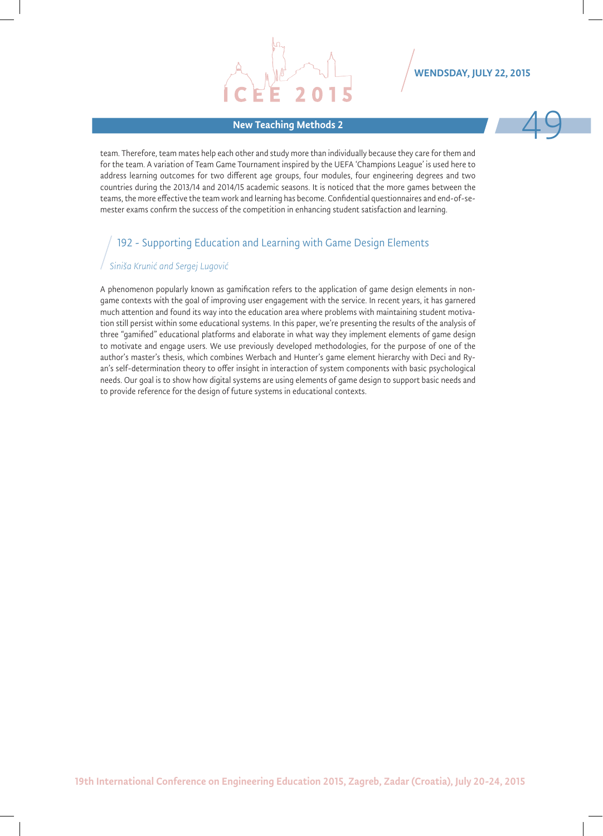# New Teaching Methods 2 49 and 2 49 and 2 49 and 2 49 and 2 49 and 2 49 and 2 49 and 2 49 and 2 49 and 2 49 and 2 49 and 2 49 and 2 49 and 2 49 and 2 49 and 2 49 and 2 49 and 2 49 and 2 49 and 2 49 and 2 49 and 2 49 and 2 4



team. Therefore, team mates help each other and study more than individually because they care for them and for the team. A variation of Team Game Tournament inspired by the UEFA 'Champions League' is used here to address learning outcomes for two different age groups, four modules, four engineering degrees and two countries during the 2013/14 and 2014/15 academic seasons. It is noticed that the more games between the teams, the more effective the team work and learning has become. Confidential questionnaires and end-of-semester exams confirm the success of the competition in enhancing student satisfaction and learning.

### 192 - Supporting Education and Learning with Game Design Elements

#### *Siniša Krunić and Sergej Lugović*

A phenomenon popularly known as gamification refers to the application of game design elements in nongame contexts with the goal of improving user engagement with the service. In recent years, it has garnered much attention and found its way into the education area where problems with maintaining student motivation still persist within some educational systems. In this paper, we're presenting the results of the analysis of three "gamified" educational platforms and elaborate in what way they implement elements of game design to motivate and engage users. We use previously developed methodologies, for the purpose of one of the author's master's thesis, which combines Werbach and Hunter's game element hierarchy with Deci and Ryan's self-determination theory to offer insight in interaction of system components with basic psychological needs. Our goal is to show how digital systems are using elements of game design to support basic needs and to provide reference for the design of future systems in educational contexts.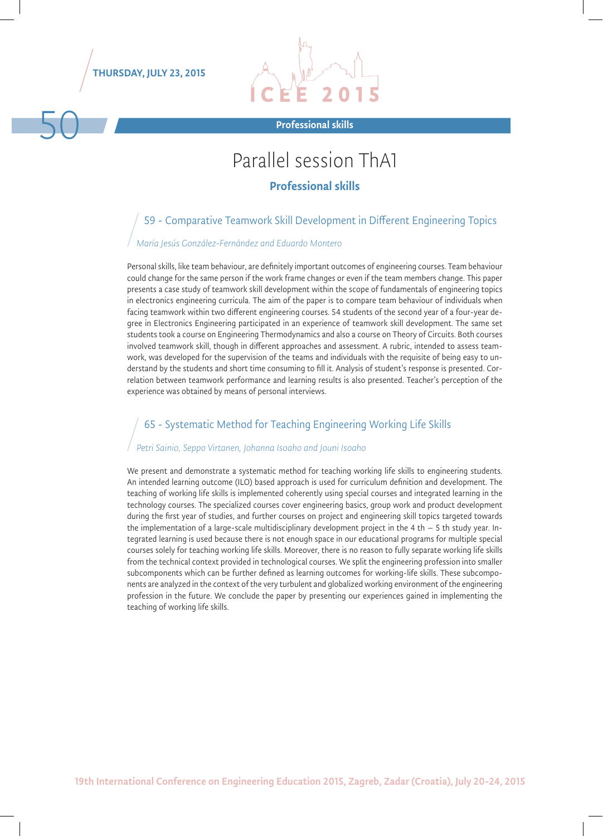THURSDAY, JULY 23, 2015



## Parallel session ThA1

#### Professional skills

### 59 - Comparative Teamwork Skill Development in Different Engineering Topics

#### *María Jesús González-Fernández and Eduardo Montero*

Personal skills, like team behaviour, are definitely important outcomes of engineering courses. Team behaviour could change for the same person if the work frame changes or even if the team members change. This paper presents a case study of teamwork skill development within the scope of fundamentals of engineering topics in electronics engineering curricula. The aim of the paper is to compare team behaviour of individuals when facing teamwork within two different engineering courses. 54 students of the second year of a four-year degree in Electronics Engineering participated in an experience of teamwork skill development. The same set students took a course on Engineering Thermodynamics and also a course on Theory of Circuits. Both courses involved teamwork skill, though in different approaches and assessment. A rubric, intended to assess teamwork, was developed for the supervision of the teams and individuals with the requisite of being easy to understand by the students and short time consuming to fill it. Analysis of student's response is presented. Correlation between teamwork performance and learning results is also presented. Teacher's perception of the experience was obtained by means of personal interviews.

#### 65 - Systematic Method for Teaching Engineering Working Life Skills

#### *Petri Sainio, Seppo Virtanen, Johanna Isoaho and Jouni Isoaho*

We present and demonstrate a systematic method for teaching working life skills to engineering students. An intended learning outcome (ILO) based approach is used for curriculum definition and development. The teaching of working life skills is implemented coherently using special courses and integrated learning in the technology courses. The specialized courses cover engineering basics, group work and product development during the first year of studies, and further courses on project and engineering skill topics targeted towards the implementation of a large-scale multidisciplinary development project in the 4 th  $-$  5 th study year. Integrated learning is used because there is not enough space in our educational programs for multiple special courses solely for teaching working life skills. Moreover, there is no reason to fully separate working life skills from the technical context provided in technological courses. We split the engineering profession into smaller subcomponents which can be further defined as learning outcomes for working-life skills. These subcomponents are analyzed in the context of the very turbulent and globalized working environment of the engineering profession in the future. We conclude the paper by presenting our experiences gained in implementing the teaching of working life skills.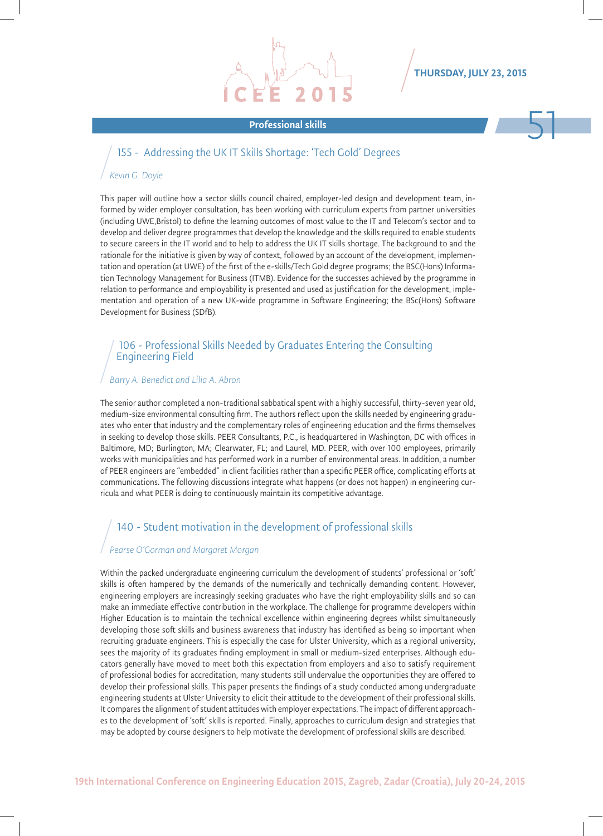#### THURSDAY, JULY 23, 2015

# Professional skills 51

#### 155 - Addressing the UK IT Skills Shortage: 'Tech Gold' Degrees

#### *Kevin G. Doyle*

This paper will outline how a sector skills council chaired, employer-led design and development team, informed by wider employer consultation, has been working with curriculum experts from partner universities (including UWE,Bristol) to define the learning outcomes of most value to the IT and Telecom's sector and to develop and deliver degree programmes that develop the knowledge and the skills required to enable students to secure careers in the IT world and to help to address the UK IT skills shortage. The background to and the rationale for the initiative is given by way of context, followed by an account of the development, implementation and operation (at UWE) of the first of the e-skills/Tech Gold degree programs; the BSC(Hons) Information Technology Management for Business (ITMB). Evidence for the successes achieved by the programme in relation to performance and employability is presented and used as justification for the development, implementation and operation of a new UK-wide programme in Software Engineering; the BSc(Hons) Software Development for Business (SDfB).

#### 106 - Professional Skills Needed by Graduates Entering the Consulting Engineering Field

#### *Barry A. Benedict and Lilia A. Abron*

The senior author completed a non-traditional sabbatical spent with a highly successful, thirty-seven year old, medium-size environmental consulting firm. The authors reflect upon the skills needed by engineering graduates who enter that industry and the complementary roles of engineering education and the firms themselves in seeking to develop those skills. PEER Consultants, P.C., is headquartered in Washington, DC with offices in Baltimore, MD; Burlington, MA; Clearwater, FL; and Laurel, MD. PEER, with over 100 employees, primarily works with municipalities and has performed work in a number of environmental areas. In addition, a number of PEER engineers are "embedded" in client facilities rather than a specific PEER office, complicating efforts at communications. The following discussions integrate what happens (or does not happen) in engineering curricula and what PEER is doing to continuously maintain its competitive advantage.

#### 140 - Student motivation in the development of professional skills

#### *Pearse O'Gorman and Margaret Morgan*

Within the packed undergraduate engineering curriculum the development of students' professional or 'soft' skills is often hampered by the demands of the numerically and technically demanding content. However, engineering employers are increasingly seeking graduates who have the right employability skills and so can make an immediate effective contribution in the workplace. The challenge for programme developers within Higher Education is to maintain the technical excellence within engineering degrees whilst simultaneously developing those soft skills and business awareness that industry has identified as being so important when recruiting graduate engineers. This is especially the case for Ulster University, which as a regional university, sees the majority of its graduates finding employment in small or medium-sized enterprises. Although educators generally have moved to meet both this expectation from employers and also to satisfy requirement of professional bodies for accreditation, many students still undervalue the opportunities they are offered to develop their professional skills. This paper presents the findings of a study conducted among undergraduate engineering students at Ulster University to elicit their attitude to the development of their professional skills. It compares the alignment of student attitudes with employer expectations. The impact of different approaches to the development of 'soft' skills is reported. Finally, approaches to curriculum design and strategies that may be adopted by course designers to help motivate the development of professional skills are described.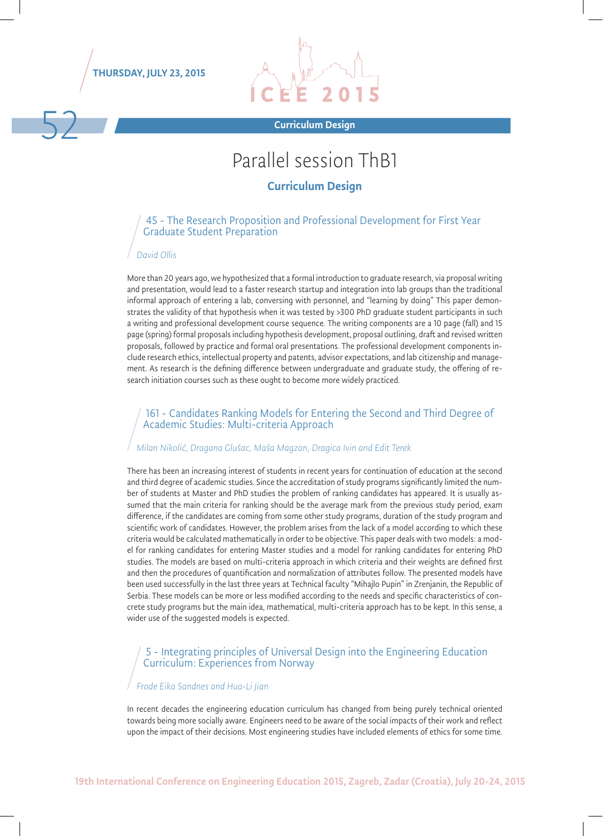



## Parallel session ThB1

#### Curriculum Design

#### 45 - The Research Proposition and Professional Development for First Year Graduate Student Preparation

#### *David Ollis*

More than 20 years ago, we hypothesized that a formal introduction to graduate research, via proposal writing and presentation, would lead to a faster research startup and integration into lab groups than the traditional informal approach of entering a lab, conversing with personnel, and "learning by doing" This paper demonstrates the validity of that hypothesis when it was tested by >300 PhD graduate student participants in such a writing and professional development course sequence. The writing components are a 10 page (fall) and 15 page (spring) formal proposals including hypothesis development, proposal outlining, draft and revised written proposals, followed by practice and formal oral presentations. The professional development components include research ethics, intellectual property and patents, advisor expectations, and lab citizenship and management. As research is the defining difference between undergraduate and graduate study, the offering of research initiation courses such as these ought to become more widely practiced.

#### 161 - Candidates Ranking Models for Entering the Second and Third Degree of Academic Studies: Multi-criteria Approach

#### *Milan Nikolić, Dragana Glušac, Maša Magzan, Dragica Ivin and Edit Terek*

There has been an increasing interest of students in recent years for continuation of education at the second and third degree of academic studies. Since the accreditation of study programs significantly limited the number of students at Master and PhD studies the problem of ranking candidates has appeared. It is usually assumed that the main criteria for ranking should be the average mark from the previous study period, exam difference, if the candidates are coming from some other study programs, duration of the study program and scientific work of candidates. However, the problem arises from the lack of a model according to which these criteria would be calculated mathematically in order to be objective. This paper deals with two models: a model for ranking candidates for entering Master studies and a model for ranking candidates for entering PhD studies. The models are based on multi-criteria approach in which criteria and their weights are defined first and then the procedures of quantification and normalization of attributes follow. The presented models have been used successfully in the last three years at Technical faculty "Mihajlo Pupin" in Zrenjanin, the Republic of Serbia. These models can be more or less modified according to the needs and specific characteristics of concrete study programs but the main idea, mathematical, multi-criteria approach has to be kept. In this sense, a wider use of the suggested models is expected.

#### 5 - Integrating principles of Universal Design into the Engineering Education Curriculum: Experiences from Norway

#### *Frode Eika Sandnes and Hua-Li Jian*

In recent decades the engineering education curriculum has changed from being purely technical oriented towards being more socially aware. Engineers need to be aware of the social impacts of their work and reflect upon the impact of their decisions. Most engineering studies have included elements of ethics for some time.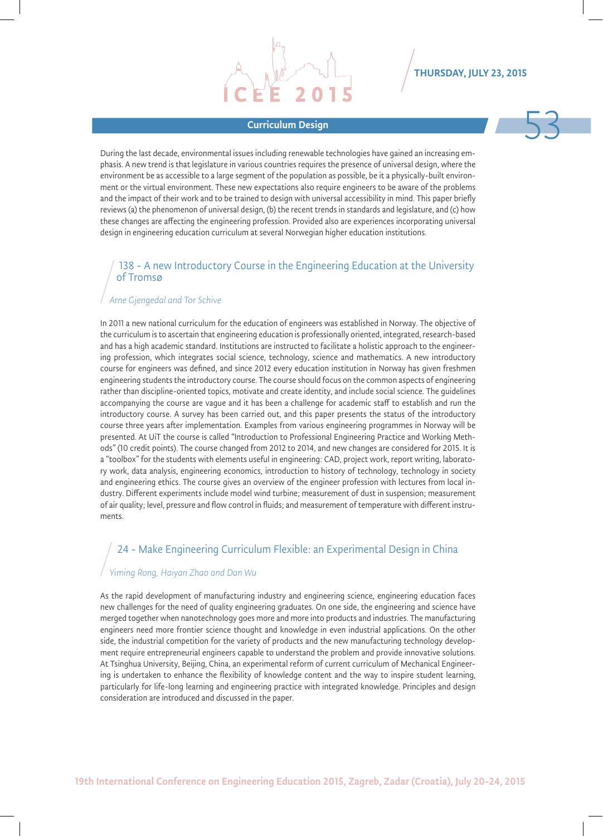# Sam Curriculum Design and the Curriculum Design and the Curriculum Design and the Curriculum Design and the Cu<br>Expansion of the Curriculum Design and the Curriculum Design and the Curriculum Design and the Curriculum Desig

During the last decade, environmental issues including renewable technologies have gained an increasing emphasis. A new trend is that legislature in various countries requires the presence of universal design, where the environment be as accessible to a large segment of the population as possible, be it a physically-built environment or the virtual environment. These new expectations also require engineers to be aware of the problems and the impact of their work and to be trained to design with universal accessibility in mind. This paper briefly reviews (a) the phenomenon of universal design, (b) the recent trends in standards and legislature, and (c) how these changes are affecting the engineering profession. Provided also are experiences incorporating universal design in engineering education curriculum at several Norwegian higher education institutions.

#### 138 - A new Introductory Course in the Engineering Education at the University of Tromsø

#### *Arne Gjengedal and Tor Schive*

In 2011 a new national curriculum for the education of engineers was established in Norway. The objective of the curriculum is to ascertain that engineering education is professionally oriented, integrated, research-based and has a high academic standard. Institutions are instructed to facilitate a holistic approach to the engineering profession, which integrates social science, technology, science and mathematics. A new introductory course for engineers was defined, and since 2012 every education institution in Norway has given freshmen engineering students the introductory course. The course should focus on the common aspects of engineering rather than discipline-oriented topics, motivate and create identity, and include social science. The guidelines accompanying the course are vague and it has been a challenge for academic staff to establish and run the introductory course. A survey has been carried out, and this paper presents the status of the introductory course three years after implementation. Examples from various engineering programmes in Norway will be presented. At UiT the course is called "Introduction to Professional Engineering Practice and Working Methods" (10 credit points). The course changed from 2012 to 2014, and new changes are considered for 2015. It is a "toolbox" for the students with elements useful in engineering: CAD, project work, report writing, laboratory work, data analysis, engineering economics, introduction to history of technology, technology in society and engineering ethics. The course gives an overview of the engineer profession with lectures from local industry. Different experiments include model wind turbine; measurement of dust in suspension; measurement of air quality; level, pressure and flow control in fluids; and measurement of temperature with different instruments.

#### 24 - Make Engineering Curriculum Flexible: an Experimental Design in China

#### *Yiming Rong, Haiyan Zhao and Dan Wu*

As the rapid development of manufacturing industry and engineering science, engineering education faces new challenges for the need of quality engineering graduates. On one side, the engineering and science have merged together when nanotechnology goes more and more into products and industries. The manufacturing engineers need more frontier science thought and knowledge in even industrial applications. On the other side, the industrial competition for the variety of products and the new manufacturing technology development require entrepreneurial engineers capable to understand the problem and provide innovative solutions. At Tsinghua University, Beijing, China, an experimental reform of current curriculum of Mechanical Engineering is undertaken to enhance the flexibility of knowledge content and the way to inspire student learning, particularly for life-long learning and engineering practice with integrated knowledge. Principles and design consideration are introduced and discussed in the paper.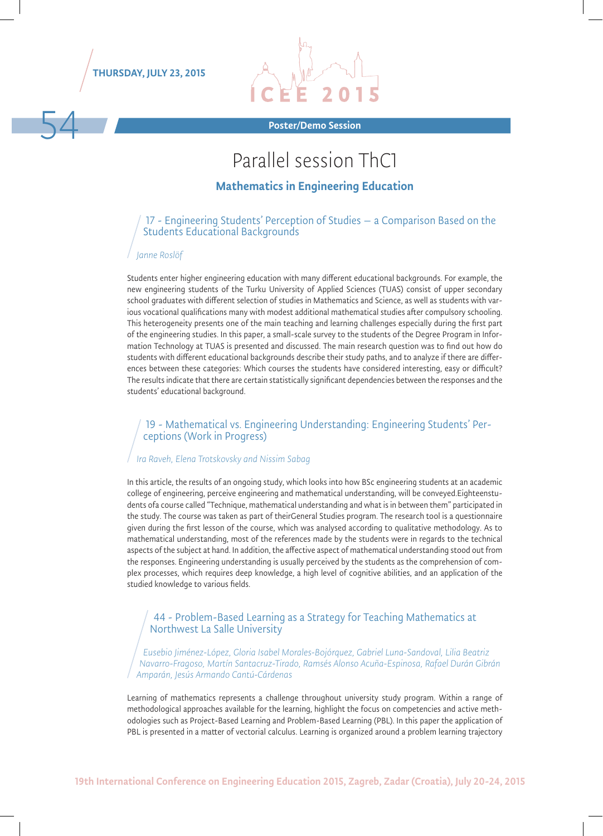

54



Poster/Demo Session

# Parallel session ThC1

#### Mathematics in Engineering Education

#### 17 - Engineering Students' Perception of Studies – a Comparison Based on the Students Educational Backgrounds

#### *Janne Roslöf*

Students enter higher engineering education with many different educational backgrounds. For example, the new engineering students of the Turku University of Applied Sciences (TUAS) consist of upper secondary school graduates with different selection of studies in Mathematics and Science, as well as students with various vocational qualifications many with modest additional mathematical studies after compulsory schooling. This heterogeneity presents one of the main teaching and learning challenges especially during the first part of the engineering studies. In this paper, a small-scale survey to the students of the Degree Program in Information Technology at TUAS is presented and discussed. The main research question was to find out how do students with different educational backgrounds describe their study paths, and to analyze if there are differences between these categories: Which courses the students have considered interesting, easy or difficult? The results indicate that there are certain statistically significant dependencies between the responses and the students' educational background.

# 19 - Mathematical vs. Engineering Understanding: Engineering Students' Per- ceptions (Work in Progress)

#### *Ira Raveh, Elena Trotskovsky and Nissim Sabag*

In this article, the results of an ongoing study, which looks into how BSc engineering students at an academic college of engineering, perceive engineering and mathematical understanding, will be conveyed.Eighteenstudents ofa course called "Technique, mathematical understanding and what is in between them" participated in the study. The course was taken as part of theirGeneral Studies program. The research tool is a questionnaire given during the first lesson of the course, which was analysed according to qualitative methodology. As to mathematical understanding, most of the references made by the students were in regards to the technical aspects of the subject at hand. In addition, the affective aspect of mathematical understanding stood out from the responses. Engineering understanding is usually perceived by the students as the comprehension of complex processes, which requires deep knowledge, a high level of cognitive abilities, and an application of the studied knowledge to various fields.

#### 44 - Problem-Based Learning as a Strategy for Teaching Mathematics at Northwest La Salle University

*Eusebio Jiménez-López, Gloria Isabel Morales-Bojórquez, Gabriel Luna-Sandoval, Lilia Beatriz Navarro-Fragoso, Martín Santacruz-Tirado, Ramsés Alonso Acuña-Espinosa, Rafael Durán Gibrán Amparán, Jesús Armando Cantú-Cárdenas*

Learning of mathematics represents a challenge throughout university study program. Within a range of methodological approaches available for the learning, highlight the focus on competencies and active methodologies such as Project-Based Learning and Problem-Based Learning (PBL). In this paper the application of PBL is presented in a matter of vectorial calculus. Learning is organized around a problem learning trajectory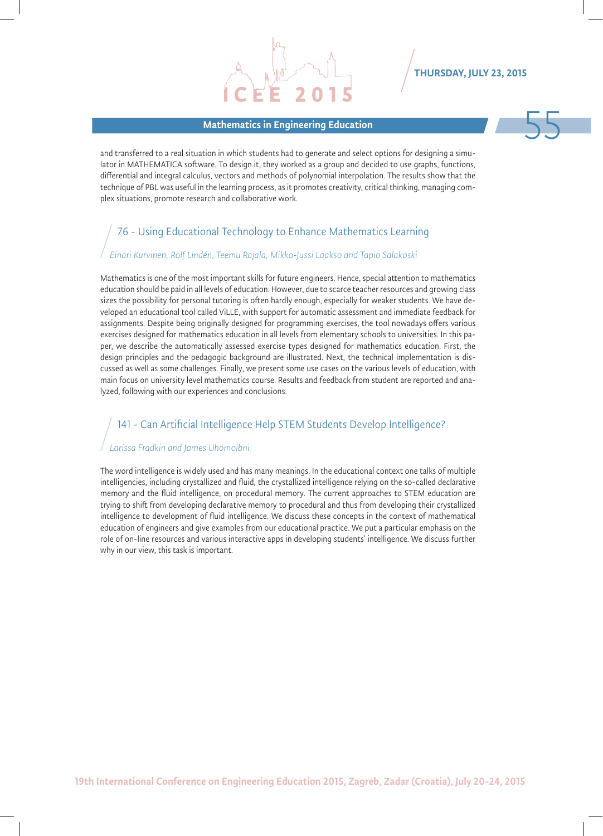#### Mathematics in Engineering Education 55



and transferred to a real situation in which students had to generate and select options for designing a simulator in MATHEMATICA software. To design it, they worked as a group and decided to use graphs, functions, differential and integral calculus, vectors and methods of polynomial interpolation. The results show that the technique of PBL was useful in the learning process, as it promotes creativity, critical thinking, managing complex situations, promote research and collaborative work.

### 76 - Using Educational Technology to Enhance Mathematics Learning

#### *Einari Kurvinen, Rolf Lindén, Teemu Rajala, Mikko-Jussi Laakso and Tapio Salakoski*

Mathematics is one of the most important skills for future engineers. Hence, special attention to mathematics education should be paid in all levels of education. However, due to scarce teacher resources and growing class sizes the possibility for personal tutoring is often hardly enough, especially for weaker students. We have developed an educational tool called ViLLE, with support for automatic assessment and immediate feedback for assignments. Despite being originally designed for programming exercises, the tool nowadays offers various exercises designed for mathematics education in all levels from elementary schools to universities. In this paper, we describe the automatically assessed exercise types designed for mathematics education. First, the design principles and the pedagogic background are illustrated. Next, the technical implementation is discussed as well as some challenges. Finally, we present some use cases on the various levels of education, with main focus on university level mathematics course. Results and feedback from student are reported and analyzed, following with our experiences and conclusions.

#### 141 - Can Artificial Intelligence Help STEM Students Develop Intelligence?

#### *Larissa Fradkin and James Uhomoibni*

The word intelligence is widely used and has many meanings. In the educational context one talks of multiple intelligencies, including crystallized and fluid, the crystallized intelligence relying on the so-called declarative memory and the fluid intelligence, on procedural memory. The current approaches to STEM education are trying to shift from developing declarative memory to procedural and thus from developing their crystallized intelligence to development of fluid intelligence. We discuss these concepts in the context of mathematical education of engineers and give examples from our educational practice. We put a particular emphasis on the role of on-line resources and various interactive apps in developing students' intelligence. We discuss further why in our view, this task is important.

19th International Conference on Engineering Education 2015, Zagreb, Zadar (Croatia), July 20-24, 2015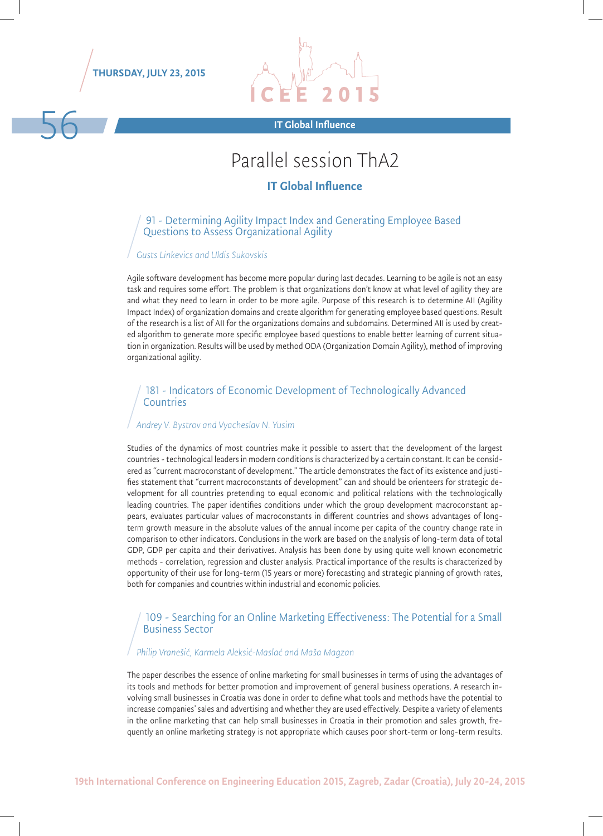THURSDAY, JULY 23, 2015



# Parallel session ThA2

#### IT Global Influence

#### 91 - Determining Agility Impact Index and Generating Employee Based Questions to Assess Organizational Agility

#### *Gusts Linkevics and Uldis Sukovskis*

Agile software development has become more popular during last decades. Learning to be agile is not an easy task and requires some effort. The problem is that organizations don't know at what level of agility they are and what they need to learn in order to be more agile. Purpose of this research is to determine AII (Agility Impact Index) of organization domains and create algorithm for generating employee based questions. Result of the research is a list of AII for the organizations domains and subdomains. Determined AII is used by created algorithm to generate more specific employee based questions to enable better learning of current situation in organization. Results will be used by method ODA (Organization Domain Agility), method of improving organizational agility.

#### 181 - Indicators of Economic Development of Technologically Advanced **Countries**

#### *Andrey V. Bystrov and Vyacheslav N. Yusim*

Studies of the dynamics of most countries make it possible to assert that the development of the largest countries - technological leaders in modern conditions is characterized by a certain constant. It can be considered as "current macroconstant of development." The article demonstrates the fact of its existence and justifies statement that "current macroconstants of development" can and should be orienteers for strategic development for all countries pretending to equal economic and political relations with the technologically leading countries. The paper identifies conditions under which the group development macroconstant appears, evaluates particular values of macroconstants in different countries and shows advantages of longterm growth measure in the absolute values of the annual income per capita of the country change rate in comparison to other indicators. Conclusions in the work are based on the analysis of long-term data of total GDP, GDP per capita and their derivatives. Analysis has been done by using quite well known econometric methods - correlation, regression and cluster analysis. Practical importance of the results is characterized by opportunity of their use for long-term (15 years or more) forecasting and strategic planning of growth rates, both for companies and countries within industrial and economic policies.

#### 109 - Searching for an Online Marketing Effectiveness: The Potential for a Small Business Sector

#### *Philip Vranešić, Karmela Aleksić-Maslać and Maša Magzan*

The paper describes the essence of online marketing for small businesses in terms of using the advantages of its tools and methods for better promotion and improvement of general business operations. A research involving small businesses in Croatia was done in order to define what tools and methods have the potential to increase companies' sales and advertising and whether they are used effectively. Despite a variety of elements in the online marketing that can help small businesses in Croatia in their promotion and sales growth, frequently an online marketing strategy is not appropriate which causes poor short-term or long-term results.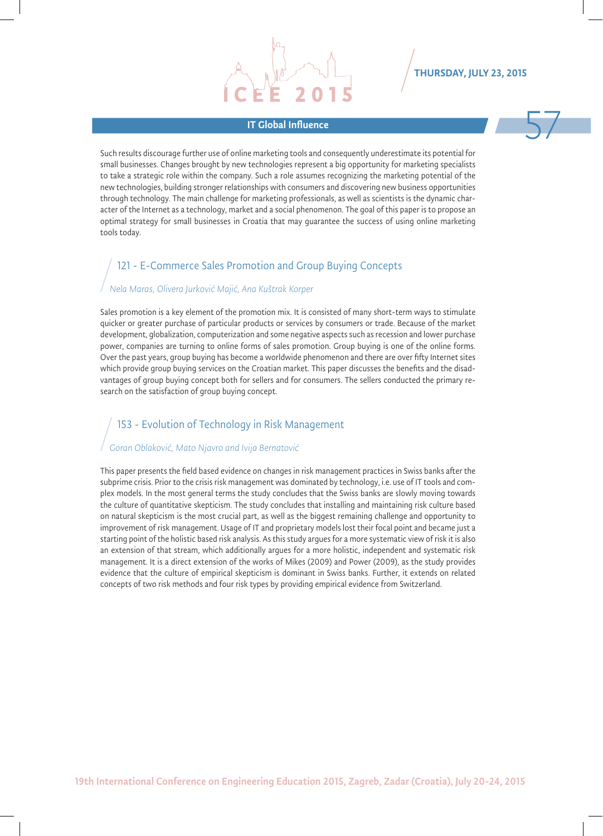IT Global Influence 57 Such results discourage further use of online marketing tools and consequently underestimate its potential for small businesses. Changes brought by new technologies represent a big opportunity for marketing specialists to take a strategic role within the company. Such a role assumes recognizing the marketing potential of the new technologies, building stronger relationships with consumers and discovering new business opportunities through technology. The main challenge for marketing professionals, as well as scientists is the dynamic character of the Internet as a technology, market and a social phenomenon. The goal of this paper is to propose an optimal strategy for small businesses in Croatia that may guarantee the success of using online marketing tools today.

#### 121 - E-Commerce Sales Promotion and Group Buying Concepts

#### *Nela Maras, Olivera Jurković Majić, Ana Kuštrak Korper*

Sales promotion is a key element of the promotion mix. It is consisted of many short-term ways to stimulate quicker or greater purchase of particular products or services by consumers or trade. Because of the market development, globalization, computerization and some negative aspects such as recession and lower purchase power, companies are turning to online forms of sales promotion. Group buying is one of the online forms. Over the past years, group buying has become a worldwide phenomenon and there are over fifty Internet sites which provide group buying services on the Croatian market. This paper discusses the benefits and the disadvantages of group buying concept both for sellers and for consumers. The sellers conducted the primary research on the satisfaction of group buying concept.

#### 153 - Evolution of Technology in Risk Management

#### *Goran Oblaković, Mato Njavro and Ivija Bernatović*

This paper presents the field based evidence on changes in risk management practices in Swiss banks after the subprime crisis. Prior to the crisis risk management was dominated by technology, i.e. use of IT tools and complex models. In the most general terms the study concludes that the Swiss banks are slowly moving towards the culture of quantitative skepticism. The study concludes that installing and maintaining risk culture based on natural skepticism is the most crucial part, as well as the biggest remaining challenge and opportunity to improvement of risk management. Usage of IT and proprietary models lost their focal point and became just a starting point of the holistic based risk analysis. As this study argues for a more systematic view of risk it is also an extension of that stream, which additionally argues for a more holistic, independent and systematic risk management. It is a direct extension of the works of Mikes (2009) and Power (2009), as the study provides evidence that the culture of empirical skepticism is dominant in Swiss banks. Further, it extends on related concepts of two risk methods and four risk types by providing empirical evidence from Switzerland.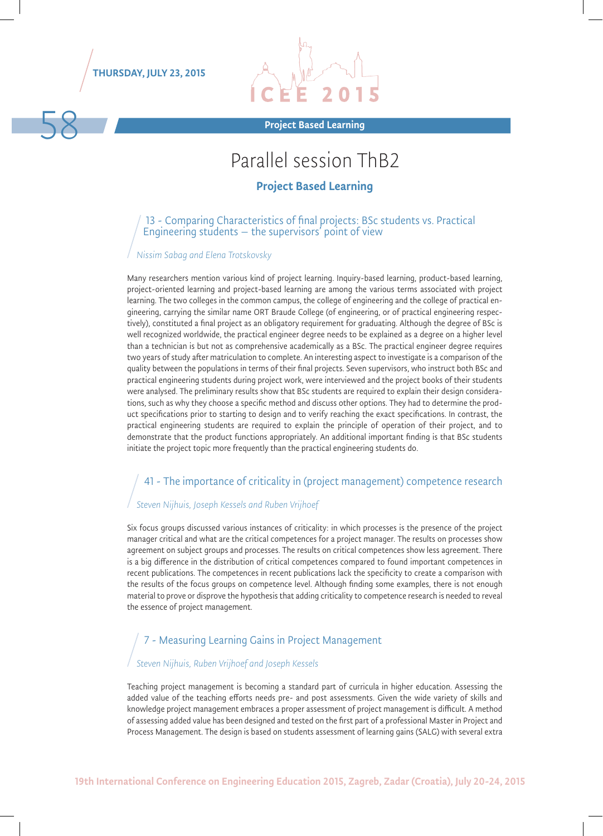THURSDAY, JULY 23, 2015



Project Based Learning 58

# Parallel session ThB2

#### Project Based Learning

13 - Comparing Characteristics of final projects: BSc students vs. Practical Engineering students – the supervisors' point of view

#### *Nissim Sabag and Elena Trotskovsky*

Many researchers mention various kind of project learning. Inquiry-based learning, product-based learning, project-oriented learning and project-based learning are among the various terms associated with project learning. The two colleges in the common campus, the college of engineering and the college of practical engineering, carrying the similar name ORT Braude College (of engineering, or of practical engineering respectively), constituted a final project as an obligatory requirement for graduating. Although the degree of BSc is well recognized worldwide, the practical engineer degree needs to be explained as a degree on a higher level than a technician is but not as comprehensive academically as a BSc. The practical engineer degree requires two years of study after matriculation to complete. An interesting aspect to investigate is a comparison of the quality between the populations in terms of their final projects. Seven supervisors, who instruct both BSc and practical engineering students during project work, were interviewed and the project books of their students were analysed. The preliminary results show that BSc students are required to explain their design considerations, such as why they choose a specific method and discuss other options. They had to determine the product specifications prior to starting to design and to verify reaching the exact specifications. In contrast, the practical engineering students are required to explain the principle of operation of their project, and to demonstrate that the product functions appropriately. An additional important finding is that BSc students initiate the project topic more frequently than the practical engineering students do.

### 41 - The importance of criticality in (project management) competence research

#### *Steven Nijhuis, Joseph Kessels and Ruben Vrijhoef*

Six focus groups discussed various instances of criticality: in which processes is the presence of the project manager critical and what are the critical competences for a project manager. The results on processes show agreement on subject groups and processes. The results on critical competences show less agreement. There is a big difference in the distribution of critical competences compared to found important competences in recent publications. The competences in recent publications lack the specificity to create a comparison with the results of the focus groups on competence level. Although finding some examples, there is not enough material to prove or disprove the hypothesis that adding criticality to competence research is needed to reveal the essence of project management.

### 7 - Measuring Learning Gains in Project Management

#### *Steven Nijhuis, Ruben Vrijhoef and Joseph Kessels*

Teaching project management is becoming a standard part of curricula in higher education. Assessing the added value of the teaching efforts needs pre- and post assessments. Given the wide variety of skills and knowledge project management embraces a proper assessment of project management is difficult. A method of assessing added value has been designed and tested on the first part of a professional Master in Project and Process Management. The design is based on students assessment of learning gains (SALG) with several extra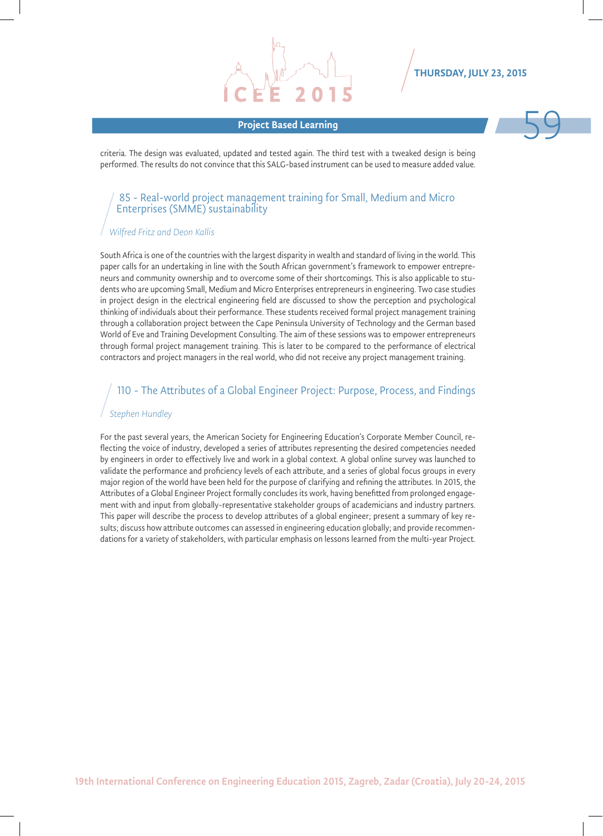# Project Based Learning 59



criteria. The design was evaluated, updated and tested again. The third test with a tweaked design is being performed. The results do not convince that this SALG-based instrument can be used to measure added value.

#### 85 - Real-world project management training for Small, Medium and Micro Enterprises (SMME) sustainability

#### *Wilfred Fritz and Deon Kallis*

South Africa is one of the countries with the largest disparity in wealth and standard of living in the world. This paper calls for an undertaking in line with the South African government's framework to empower entrepreneurs and community ownership and to overcome some of their shortcomings. This is also applicable to students who are upcoming Small, Medium and Micro Enterprises entrepreneurs in engineering. Two case studies in project design in the electrical engineering field are discussed to show the perception and psychological thinking of individuals about their performance. These students received formal project management training through a collaboration project between the Cape Peninsula University of Technology and the German based World of Eve and Training Development Consulting. The aim of these sessions was to empower entrepreneurs through formal project management training. This is later to be compared to the performance of electrical contractors and project managers in the real world, who did not receive any project management training.

#### 110 - The Attributes of a Global Engineer Project: Purpose, Process, and Findings

#### *Stephen Hundley*

For the past several years, the American Society for Engineering Education's Corporate Member Council, reflecting the voice of industry, developed a series of attributes representing the desired competencies needed by engineers in order to effectively live and work in a global context. A global online survey was launched to validate the performance and proficiency levels of each attribute, and a series of global focus groups in every major region of the world have been held for the purpose of clarifying and refining the attributes. In 2015, the Attributes of a Global Engineer Project formally concludes its work, having benefitted from prolonged engagement with and input from globally-representative stakeholder groups of academicians and industry partners. This paper will describe the process to develop attributes of a global engineer; present a summary of key results; discuss how attribute outcomes can assessed in engineering education globally; and provide recommendations for a variety of stakeholders, with particular emphasis on lessons learned from the multi-year Project.

19th International Conference on Engineering Education 2015, Zagreb, Zadar (Croatia), July 20-24, 2015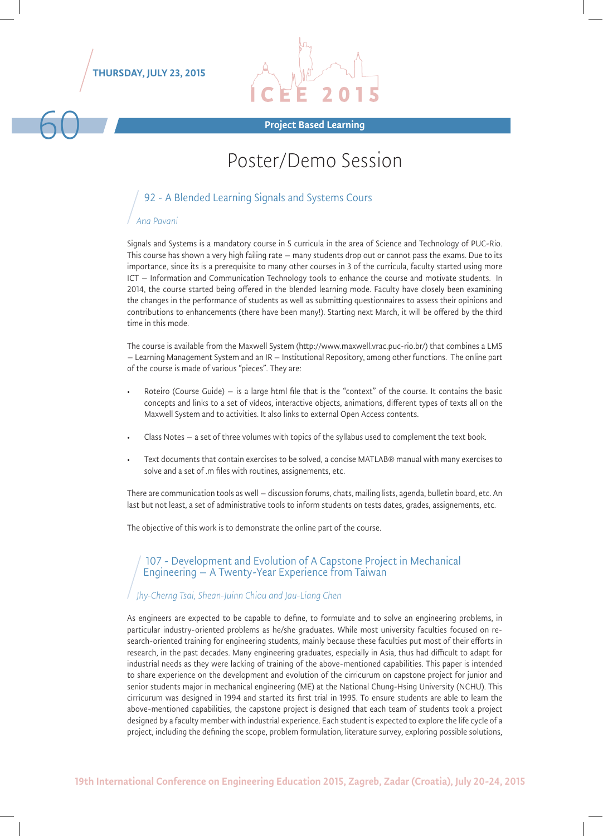THURSDAY, JULY 23, 2015



# 60 Project Based Learning

## Poster/Demo Session

#### 92 - A Blended Learning Signals and Systems Cours

#### *Ana Pavani*

Signals and Systems is a mandatory course in 5 curricula in the area of Science and Technology of PUC-Rio. This course has shown a very high failing rate – many students drop out or cannot pass the exams. Due to its importance, since its is a prerequisite to many other courses in 3 of the curricula, faculty started using more ICT – Information and Communication Technology tools to enhance the course and motivate students. In 2014, the course started being offered in the blended learning mode. Faculty have closely been examining the changes in the performance of students as well as submitting questionnaires to assess their opinions and contributions to enhancements (there have been many!). Starting next March, it will be offered by the third time in this mode.

The course is available from the Maxwell System (http://www.maxwell.vrac.puc-rio.br/) that combines a LMS – Learning Management System and an IR – Institutional Repository, among other functions. The online part of the course is made of various "pieces". They are:

- Roteiro (Course Guide) is a large html file that is the "context" of the course. It contains the basic concepts and links to a set of vídeos, interactive objects, animations, different types of texts all on the Maxwell System and to activities. It also links to external Open Access contents.
- Class Notes a set of three volumes with topics of the syllabus used to complement the text book.
- Text documents that contain exercises to be solved, a concise MATLAB® manual with many exercises to solve and a set of .m files with routines, assignements, etc.

There are communication tools as well – discussion forums, chats, mailing lists, agenda, bulletin board, etc. An last but not least, a set of administrative tools to inform students on tests dates, grades, assignements, etc.

The objective of this work is to demonstrate the online part of the course.

#### 107 - Development and Evolution of A Capstone Project in Mechanical Engineering – A Twenty-Year Experience from Taiwan

#### *Jhy-Cherng Tsai, Shean-Juinn Chiou and Jau-Liang Chen*

As engineers are expected to be capable to define, to formulate and to solve an engineering problems, in particular industry-oriented problems as he/she graduates. While most university faculties focused on research-oriented training for engineering students, mainly because these faculties put most of their efforts in research, in the past decades. Many engineering graduates, especially in Asia, thus had difficult to adapt for industrial needs as they were lacking of training of the above-mentioned capabilities. This paper is intended to share experience on the development and evolution of the cirricurum on capstone project for junior and senior students major in mechanical engineering (ME) at the National Chung-Hsing University (NCHU). This cirricurum was designed in 1994 and started its first trial in 1995. To ensure students are able to learn the above-mentioned capabilities, the capstone project is designed that each team of students took a project designed by a faculty member with industrial experience. Each student is expected to explore the life cycle of a project, including the defining the scope, problem formulation, literature survey, exploring possible solutions,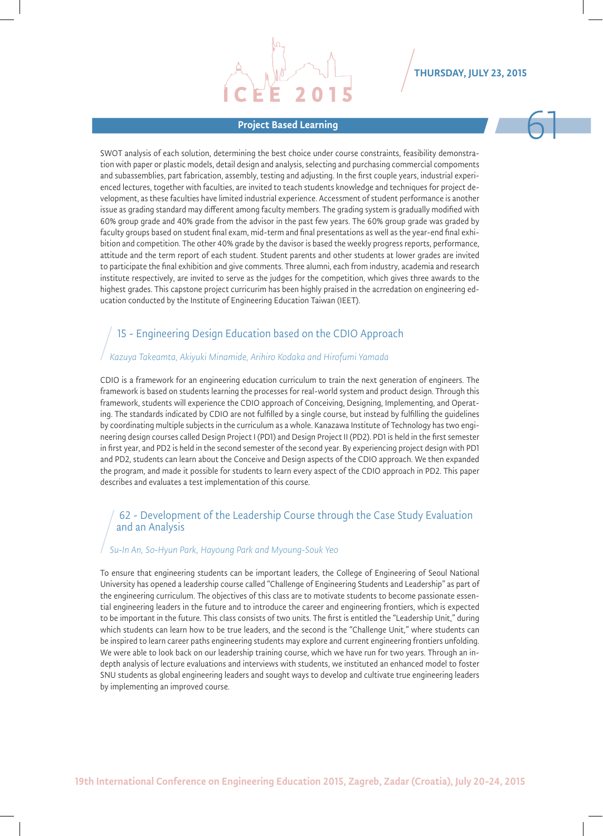# Project Based Learning Communication of the Communication of the Communication of the Communication of the Com<br>The Communication of the Communication of the Communication of the Communication of the Communication of the C<br>

SWOT analysis of each solution, determining the best choice under course constraints, feasibility demonstration with paper or plastic models, detail design and analysis, selecting and purchasing commercial compoments and subassemblies, part fabrication, assembly, testing and adjusting. In the first couple years, industrial experienced lectures, together with faculties, are invited to teach students knowledge and techniques for project development, as these faculties have limited industrial experience. Accessment of student performance is another issue as grading standard may different among faculty members. The grading system is gradually modified with 60% group grade and 40% grade from the advisor in the past few years. The 60% group grade was graded by faculty groups based on student final exam, mid-term and final presentations as well as the year-end final exhibition and competition. The other 40% grade by the davisor is based the weekly progress reports, performance, attitude and the term report of each student. Student parents and other students at lower grades are invited to participate the final exhibition and give comments. Three alumni, each from industry, academia and research institute respectively, are invited to serve as the judges for the competition, which gives three awards to the highest grades. This capstone project curricurim has been highly praised in the acrredation on engineering education conducted by the Institute of Engineering Education Taiwan (IEET).

### 15 - Engineering Design Education based on the CDIO Approach

#### *Kazuya Takeamta, Akiyuki Minamide, Arihiro Kodaka and Hirofumi Yamada*

CDIO is a framework for an engineering education curriculum to train the next generation of engineers. The framework is based on students learning the processes for real-world system and product design. Through this framework, students will experience the CDIO approach of Conceiving, Designing, Implementing, and Operating. The standards indicated by CDIO are not fulfilled by a single course, but instead by fulfilling the guidelines by coordinating multiple subjects in the curriculum as a whole. Kanazawa Institute of Technology has two engineering design courses called Design Project I (PD1) and Design Project II (PD2). PD1 is held in the first semester in first year, and PD2 is held in the second semester of the second year. By experiencing project design with PD1 and PD2, students can learn about the Conceive and Design aspects of the CDIO approach. We then expanded the program, and made it possible for students to learn every aspect of the CDIO approach in PD2. This paper describes and evaluates a test implementation of this course.

#### 62 - Development of the Leadership Course through the Case Study Evaluation and an Analysis

#### *Su-In An, So-Hyun Park, Hayoung Park and Myoung-Souk Yeo*

To ensure that engineering students can be important leaders, the College of Engineering of Seoul National University has opened a leadership course called "Challenge of Engineering Students and Leadership" as part of the engineering curriculum. The objectives of this class are to motivate students to become passionate essential engineering leaders in the future and to introduce the career and engineering frontiers, which is expected to be important in the future. This class consists of two units. The first is entitled the "Leadership Unit," during which students can learn how to be true leaders, and the second is the "Challenge Unit," where students can be inspired to learn career paths engineering students may explore and current engineering frontiers unfolding. We were able to look back on our leadership training course, which we have run for two years. Through an indepth analysis of lecture evaluations and interviews with students, we instituted an enhanced model to foster SNU students as global engineering leaders and sought ways to develop and cultivate true engineering leaders by implementing an improved course.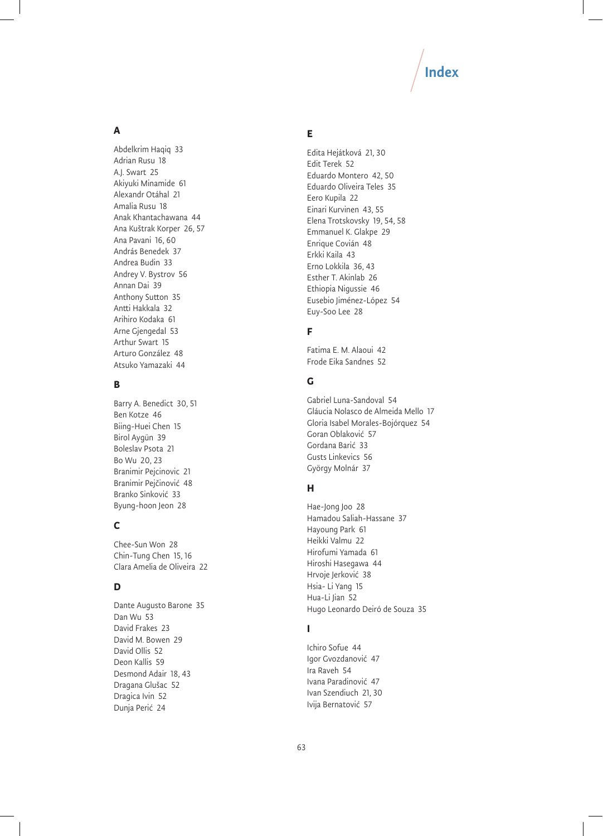# Index

#### **A**

Abdelkrim Haqiq 33 Adrian Rusu 18 A.J. Swart 25 Akiyuki Minamide 61 Alexandr Otáhal 21 Amalia Rusu 18 Anak Khantachawana 44 Ana Kuštrak Korper 26, 57 Ana Pavani 16, 60 András Benedek 37 Andrea Budin 33 Andrey V. Bystrov 56 Annan Dai 39 Anthony Sutton 35 Antti Hakkala 32 Arihiro Kodaka 61 Arne Gjengedal 53 Arthur Swart 15 Arturo González 48 Atsuko Yamazaki 44

#### **B**

Barry A. Benedict 30, 51 Ben Kotze 46 Biing-Huei Chen 15 Birol Aygün 39 Boleslav Psota 21 Bo Wu 20, 23 Branimir Pejcinovic 21 Branimir Pejčinović 48 Branko Sinković 33 Byung-hoon Jeon 28

#### **C**

Chee-Sun Won 28 Chin-Tung Chen 15, 16 Clara Amelia de Oliveira 22

#### **D**

Dante Augusto Barone 35 Dan Wu 53 David Frakes 23 David M. Bowen 29 David Ollis 52 Deon Kallis 59 Desmond Adair 18, 43 Dragana Glušac 52 Dragica Ivin 52 Dunja Perić 24

#### **E**

Edita Hejátková 21, 30 Edit Terek 52 Eduardo Montero 42, 50 Eduardo Oliveira Teles 35 Eero Kupila 22 Einari Kurvinen 43, 55 Elena Trotskovsky 19, 54, 58 Emmanuel K. Glakpe 29 Enrique Covián 48 Erkki Kaila 43 Erno Lokkila 36, 43 Esther T. Akinlab 26 Ethiopia Nigussie 46 Eusebio Jiménez-López 54 Euy-Soo Lee 28

#### **F**

Fatima E. M. Alaoui 42 Frode Eika Sandnes 52

#### **G**

Gabriel Luna-Sandoval 54 Gláucia Nolasco de Almeida Mello 17 Gloria Isabel Morales-Bojórquez 54 Goran Oblaković 57 Gordana Barić 33 Gusts Linkevics 56 György Molnár 37

#### **H**

Hae-Jong Joo 28 Hamadou Saliah-Hassane 37 Hayoung Park 61 Heikki Valmu 22 Hirofumi Yamada 61 Hiroshi Hasegawa 44 Hrvoje Jerković 38 Hsia- Li Yang 15 Hua-Li Jian 52 Hugo Leonardo Deiró de Souza 35

#### **I**

Ichiro Sofue 44 Igor Gvozdanović 47 Ira Raveh 54 Ivana Paradinović 47 Ivan Szendiuch 21, 30 Ivija Bernatović 57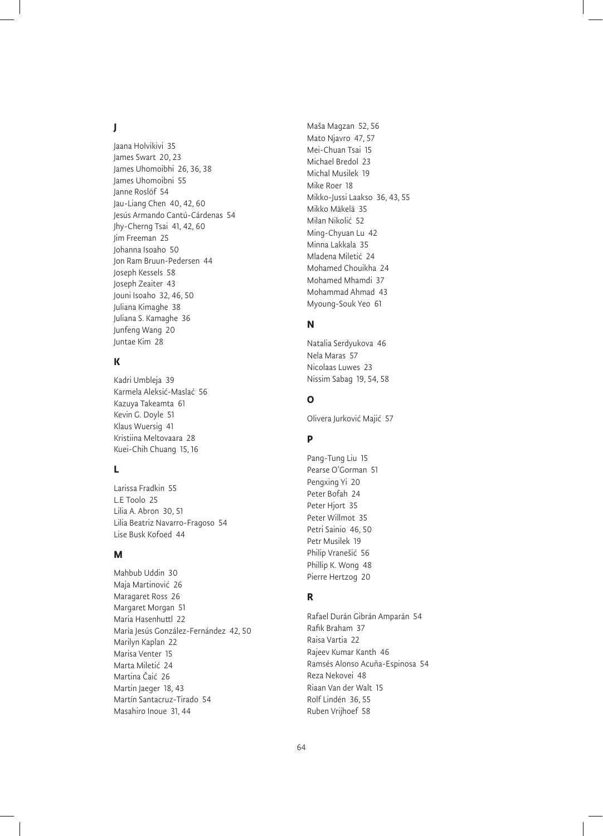#### **J**

Jaana Holvikivi 35 James Swart 20, 23 James Uhomoibhi 26, 36, 38 James Uhomoibni 55 Janne Roslöf 54 Jau-Liang Chen 40, 42, 60 Jesús Armando Cantú-Cárdenas 54 Jhy-Cherng Tsai 41, 42, 60 Jim Freeman 25 Johanna Isoaho 50 Jon Ram Bruun-Pedersen 44 Joseph Kessels 58 Joseph Zeaiter 43 Jouni Isoaho 32, 46, 50 Juliana Kimaghe 38 Juliana S. Kamaghe 36 Junfeng Wang 20 Juntae Kim 28

#### **K**

Kadri Umbleja 39 Karmela Aleksić-Maslać 56 Kazuya Takeamta 61 Kevin G. Doyle 51 Klaus Wuersig 41 Kristiina Meltovaara 28 Kuei-Chih Chuang 15, 16

#### **L**

Larissa Fradkin 55 L.E Toolo 25 Lilia A. Abron 30, 51 Lilia Beatriz Navarro-Fragoso 54 Lise Busk Kofoed 44

#### **M**

Mahbub Uddin 30 Maja Martinović 26 Maragaret Ross 26 Margaret Morgan 51 Maria Hasenhuttl 22 María Jesús González-Fernández 42, 50 Marilyn Kaplan 22 Marisa Venter 15 Marta Miletić 24 Martina Čaić 26 Martin Jaeger 18, 43 Martín Santacruz-Tirado 54 Masahiro Inoue 31, 44

Maša Magzan 52, 56 Mato Njavro 47, 57 Mei-Chuan Tsai 15 Michael Bredol 23 Michal Musilek 19 Mike Roer 18 Mikko-Jussi Laakso 36, 43, 55 Mikko Mäkelä 35 Milan Nikolić 52 Ming-Chyuan Lu 42 Minna Lakkala 35 Mladena Miletić 24 Mohamed Chouikha 24 Mohamed Mhamdi 37 Mohammad Ahmad 43 Myoung-Souk Yeo 61

#### **N**

Natalia Serdyukova 46 Nela Maras 57 Nicolaas Luwes 23 Nissim Sabag 19, 54, 58

#### **O**

Olivera Jurković Majić 57

#### **P**

Pang-Tung Liu 15 Pearse O'Gorman 51 Pengxing Yi 20 Peter Bofah 24 Peter Hjort 35 Peter Willmot 35 Petri Sainio 46, 50 Petr Musilek 19 Philip Vranešić 56 Phillip K. Wong 48 Pierre Hertzog 20

#### **R**

Rafael Durán Gibrán Amparán 54 Rafik Braham 37 Raisa Vartia 22 Rajeev Kumar Kanth 46 Ramsés Alonso Acuña-Espinosa 54 Reza Nekovei 48 Riaan Van der Walt 15 Rolf Lindén 36, 55 Ruben Vrijhoef 58